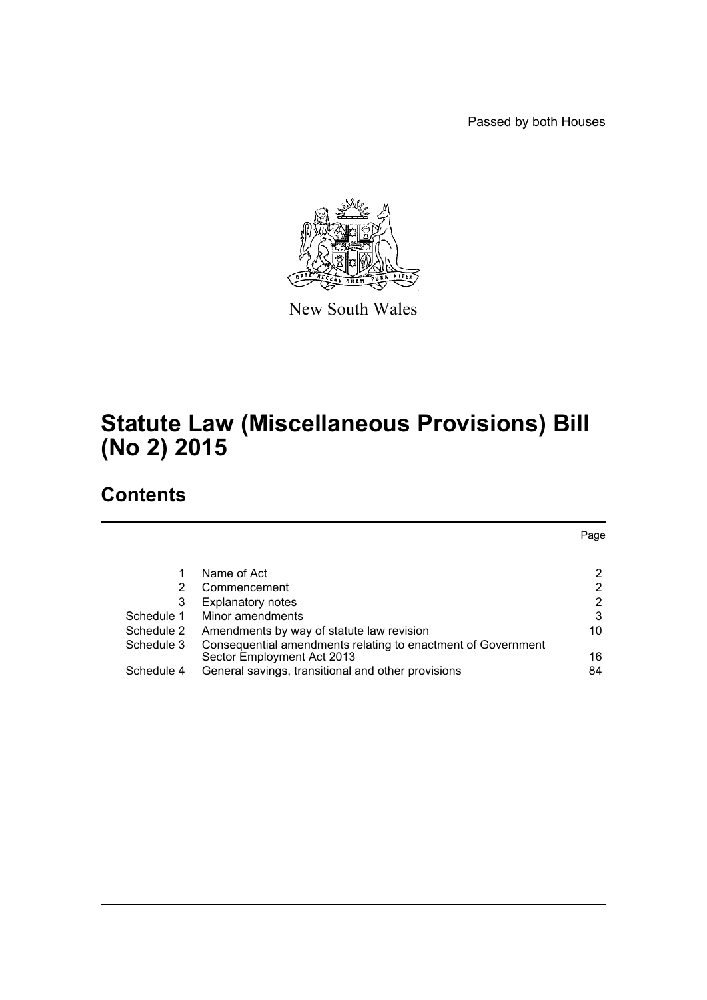Passed by both Houses



New South Wales

# **Statute Law (Miscellaneous Provisions) Bill (No 2) 2015**

# **Contents**

|            |                                                                                  | Page |
|------------|----------------------------------------------------------------------------------|------|
|            |                                                                                  |      |
|            | Name of Act                                                                      | 2    |
| 2          | Commencement                                                                     | 2    |
| 3          | <b>Explanatory notes</b>                                                         | 2    |
| Schedule 1 | Minor amendments                                                                 | 3    |
| Schedule 2 | Amendments by way of statute law revision                                        | 10   |
| Schedule 3 | Consequential amendments relating to enactment of Government                     | 16   |
| Schedule 4 | Sector Employment Act 2013<br>General savings, transitional and other provisions | 84   |
|            |                                                                                  |      |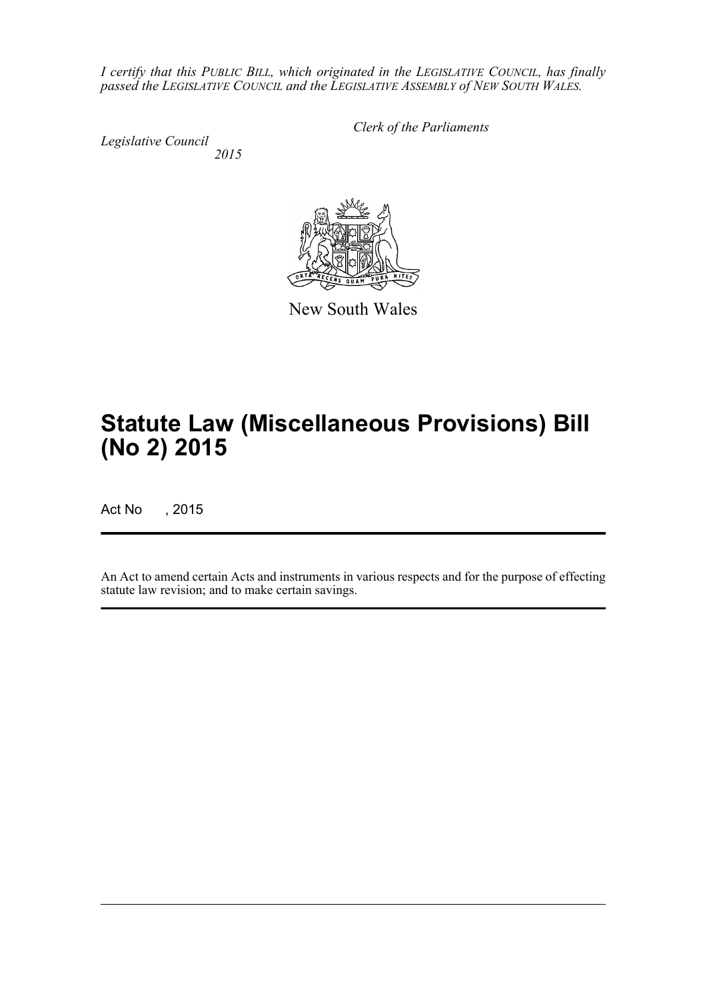*I certify that this PUBLIC BILL, which originated in the LEGISLATIVE COUNCIL, has finally passed the LEGISLATIVE COUNCIL and the LEGISLATIVE ASSEMBLY of NEW SOUTH WALES.*

*Legislative Council 2015* *Clerk of the Parliaments*

New South Wales

# **Statute Law (Miscellaneous Provisions) Bill (No 2) 2015**

Act No , 2015

An Act to amend certain Acts and instruments in various respects and for the purpose of effecting statute law revision; and to make certain savings.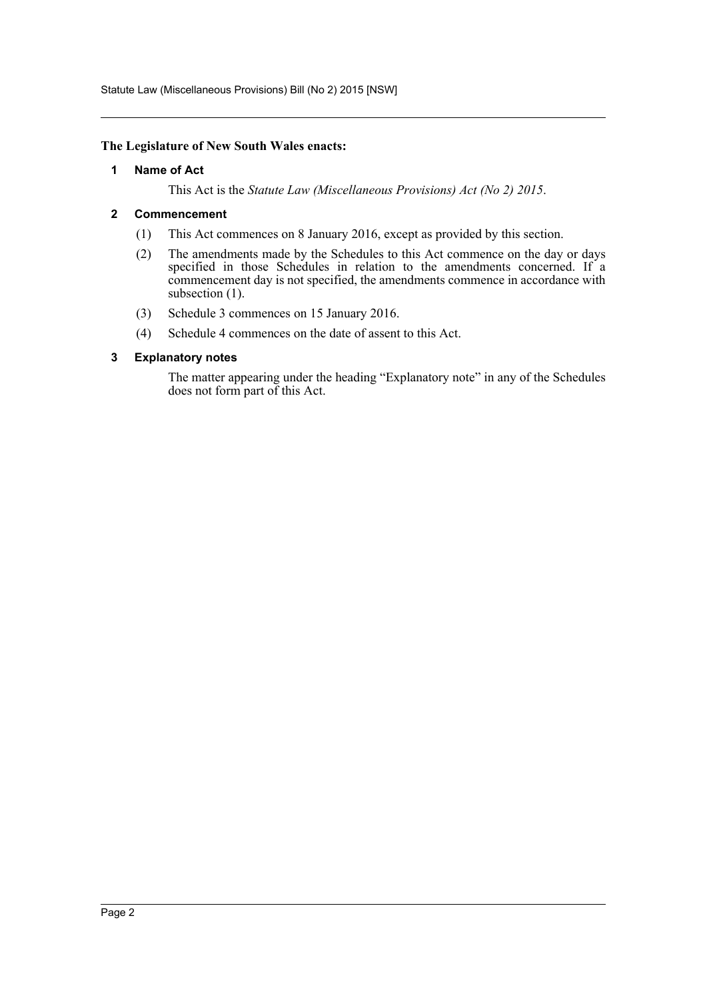Statute Law (Miscellaneous Provisions) Bill (No 2) 2015 [NSW]

#### <span id="page-2-0"></span>**The Legislature of New South Wales enacts:**

#### **1 Name of Act**

This Act is the *Statute Law (Miscellaneous Provisions) Act (No 2) 2015*.

#### <span id="page-2-1"></span>**2 Commencement**

- (1) This Act commences on 8 January 2016, except as provided by this section.
- (2) The amendments made by the Schedules to this Act commence on the day or days specified in those Schedules in relation to the amendments concerned. If a commencement day is not specified, the amendments commence in accordance with subsection  $(1)$ .
- (3) Schedule 3 commences on 15 January 2016.
- (4) Schedule 4 commences on the date of assent to this Act.

#### <span id="page-2-2"></span>**3 Explanatory notes**

The matter appearing under the heading "Explanatory note" in any of the Schedules does not form part of this Act.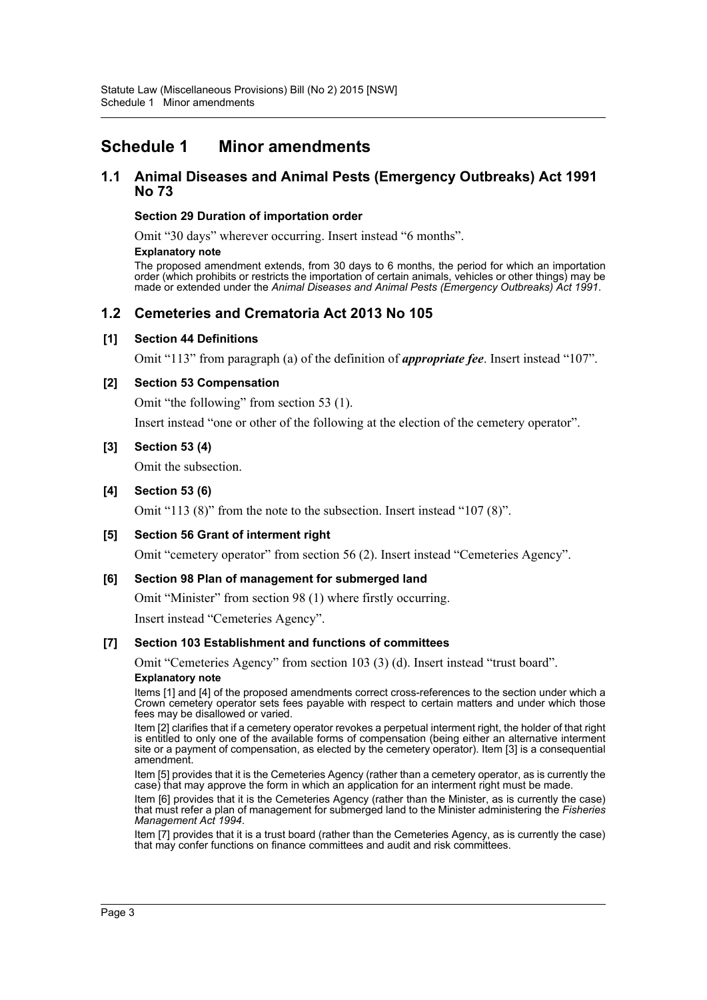# <span id="page-3-0"></span>**Schedule 1 Minor amendments**

### **1.1 Animal Diseases and Animal Pests (Emergency Outbreaks) Act 1991 No 73**

#### **Section 29 Duration of importation order**

Omit "30 days" wherever occurring. Insert instead "6 months".

#### **Explanatory note**

The proposed amendment extends, from 30 days to 6 months, the period for which an importation order (which prohibits or restricts the importation of certain animals, vehicles or other things) may be made or extended under the *Animal Diseases and Animal Pests (Emergency Outbreaks) Act 1991*.

# **1.2 Cemeteries and Crematoria Act 2013 No 105**

### **[1] Section 44 Definitions**

Omit "113" from paragraph (a) of the definition of *appropriate fee*. Insert instead "107".

### **[2] Section 53 Compensation**

Omit "the following" from section 53 (1).

Insert instead "one or other of the following at the election of the cemetery operator".

### **[3] Section 53 (4)**

Omit the subsection.

### **[4] Section 53 (6)**

Omit "113 (8)" from the note to the subsection. Insert instead "107 (8)".

### **[5] Section 56 Grant of interment right**

Omit "cemetery operator" from section 56 (2). Insert instead "Cemeteries Agency".

### **[6] Section 98 Plan of management for submerged land**

Omit "Minister" from section 98 (1) where firstly occurring.

Insert instead "Cemeteries Agency".

### **[7] Section 103 Establishment and functions of committees**

Omit "Cemeteries Agency" from section 103 (3) (d). Insert instead "trust board".

#### **Explanatory note**

Items [1] and [4] of the proposed amendments correct cross-references to the section under which a Crown cemetery operator sets fees payable with respect to certain matters and under which those fees may be disallowed or varied.

Item [2] clarifies that if a cemetery operator revokes a perpetual interment right, the holder of that right is entitled to only one of the available forms of compensation (being either an alternative interment site or a payment of compensation, as elected by the cemetery operator). Item [3] is a consequential amendment.

Item [5] provides that it is the Cemeteries Agency (rather than a cemetery operator, as is currently the case) that may approve the form in which an application for an interment right must be made.

Item [6] provides that it is the Cemeteries Agency (rather than the Minister, as is currently the case) that must refer a plan of management for submerged land to the Minister administering the *Fisheries Management Act 1994*.

Item [7] provides that it is a trust board (rather than the Cemeteries Agency, as is currently the case) that may confer functions on finance committees and audit and risk committees.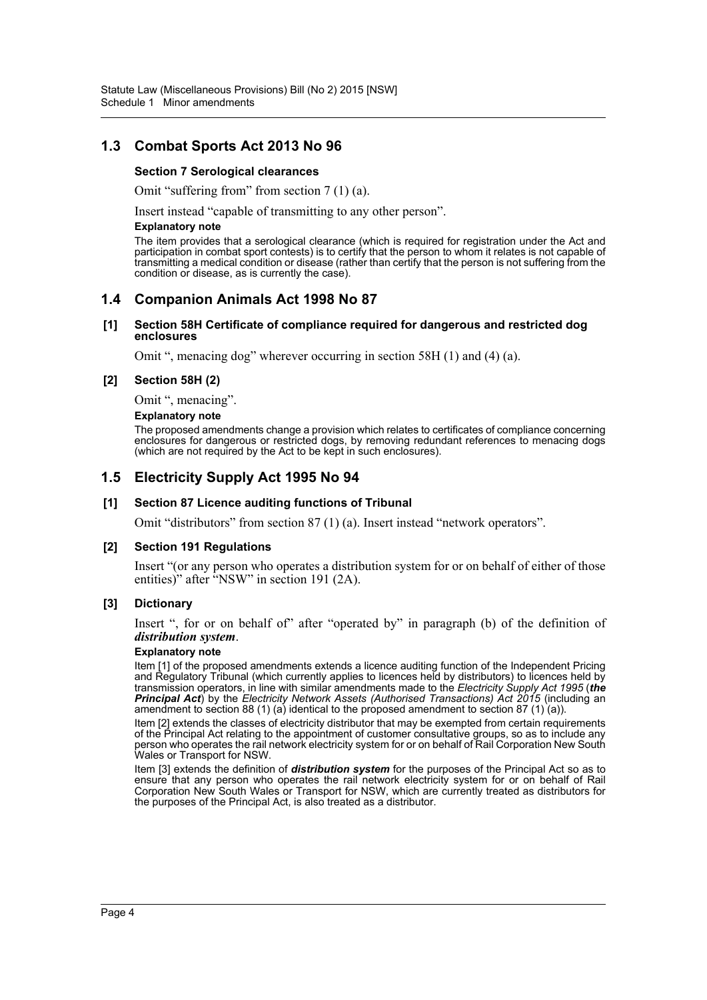# **1.3 Combat Sports Act 2013 No 96**

#### **Section 7 Serological clearances**

Omit "suffering from" from section 7 (1) (a).

Insert instead "capable of transmitting to any other person".

#### **Explanatory note**

The item provides that a serological clearance (which is required for registration under the Act and participation in combat sport contests) is to certify that the person to whom it relates is not capable of transmitting a medical condition or disease (rather than certify that the person is not suffering from the condition or disease, as is currently the case).

### **1.4 Companion Animals Act 1998 No 87**

#### **[1] Section 58H Certificate of compliance required for dangerous and restricted dog enclosures**

Omit ", menacing dog" wherever occurring in section 58H (1) and (4) (a).

#### **[2] Section 58H (2)**

Omit ", menacing".

#### **Explanatory note**

The proposed amendments change a provision which relates to certificates of compliance concerning enclosures for dangerous or restricted dogs, by removing redundant references to menacing dogs (which are not required by the Act to be kept in such enclosures).

### **1.5 Electricity Supply Act 1995 No 94**

#### **[1] Section 87 Licence auditing functions of Tribunal**

Omit "distributors" from section 87 (1) (a). Insert instead "network operators".

#### **[2] Section 191 Regulations**

Insert "(or any person who operates a distribution system for or on behalf of either of those entities)" after "NSW" in section 191 (2A).

#### **[3] Dictionary**

Insert ", for or on behalf of" after "operated by" in paragraph (b) of the definition of *distribution system*.

#### **Explanatory note**

Item [1] of the proposed amendments extends a licence auditing function of the Independent Pricing and Regulatory Tribunal (which currently applies to licences held by distributors) to licences held by transmission operators, in line with similar amendments made to the *Electricity Supply Act 1995* (*the Principal Act*) by the *Electricity Network Assets (Authorised Transactions) Act 2015* (including an amendment to section 88 (1) (a) identical to the proposed amendment to section 87 (1) (a)).

Item [2] extends the classes of electricity distributor that may be exempted from certain requirements of the Principal Act relating to the appointment of customer consultative groups, so as to include any person who operates the rail network electricity system for or on behalf of Rail Corporation New South Wales or Transport for NSW.

Item [3] extends the definition of *distribution system* for the purposes of the Principal Act so as to ensure that any person who operates the rail network electricity system for or on behalf of Rail Corporation New South Wales or Transport for NSW, which are currently treated as distributors for the purposes of the Principal Act, is also treated as a distributor.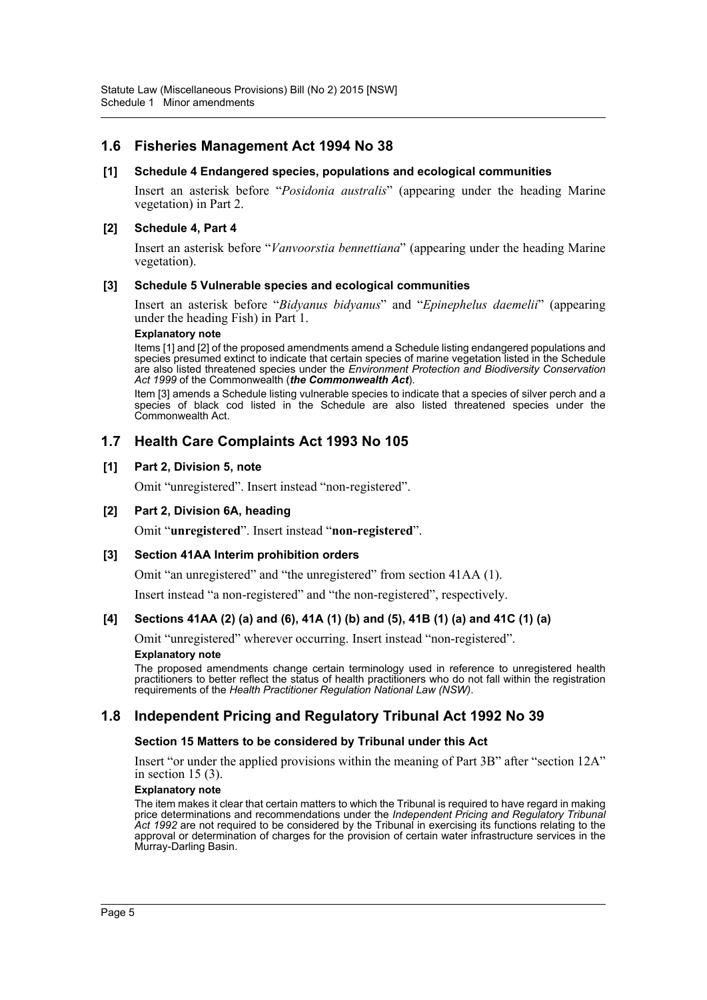# **1.6 Fisheries Management Act 1994 No 38**

#### **[1] Schedule 4 Endangered species, populations and ecological communities**

Insert an asterisk before "*Posidonia australis*" (appearing under the heading Marine vegetation) in Part 2.

#### **[2] Schedule 4, Part 4**

Insert an asterisk before "*Vanvoorstia bennettiana*" (appearing under the heading Marine vegetation).

#### **[3] Schedule 5 Vulnerable species and ecological communities**

Insert an asterisk before "*Bidyanus bidyanus*" and "*Epinephelus daemelii*" (appearing under the heading Fish) in Part 1.

#### **Explanatory note**

Items [1] and [2] of the proposed amendments amend a Schedule listing endangered populations and species presumed extinct to indicate that certain species of marine vegetation listed in the Schedule are also listed threatened species under the *Environment Protection and Biodiversity Conservation Act 1999* of the Commonwealth (*the Commonwealth Act*).

Item [3] amends a Schedule listing vulnerable species to indicate that a species of silver perch and a species of black cod listed in the Schedule are also listed threatened species under the Commonwealth Act.

### **1.7 Health Care Complaints Act 1993 No 105**

#### **[1] Part 2, Division 5, note**

Omit "unregistered". Insert instead "non-registered".

#### **[2] Part 2, Division 6A, heading**

Omit "**unregistered**". Insert instead "**non-registered**".

#### **[3] Section 41AA Interim prohibition orders**

Omit "an unregistered" and "the unregistered" from section 41AA (1).

Insert instead "a non-registered" and "the non-registered", respectively.

#### **[4] Sections 41AA (2) (a) and (6), 41A (1) (b) and (5), 41B (1) (a) and 41C (1) (a)**

Omit "unregistered" wherever occurring. Insert instead "non-registered". **Explanatory note**

The proposed amendments change certain terminology used in reference to unregistered health practitioners to better reflect the status of health practitioners who do not fall within the registration requirements of the *Health Practitioner Regulation National Law (NSW)*.

### **1.8 Independent Pricing and Regulatory Tribunal Act 1992 No 39**

#### **Section 15 Matters to be considered by Tribunal under this Act**

Insert "or under the applied provisions within the meaning of Part 3B" after "section 12A" in section  $15(3)$ .

#### **Explanatory note**

The item makes it clear that certain matters to which the Tribunal is required to have regard in making price determinations and recommendations under the *Independent Pricing and Regulatory Tribunal Act 1992* are not required to be considered by the Tribunal in exercising its functions relating to the approval or determination of charges for the provision of certain water infrastructure services in the Murray-Darling Basin.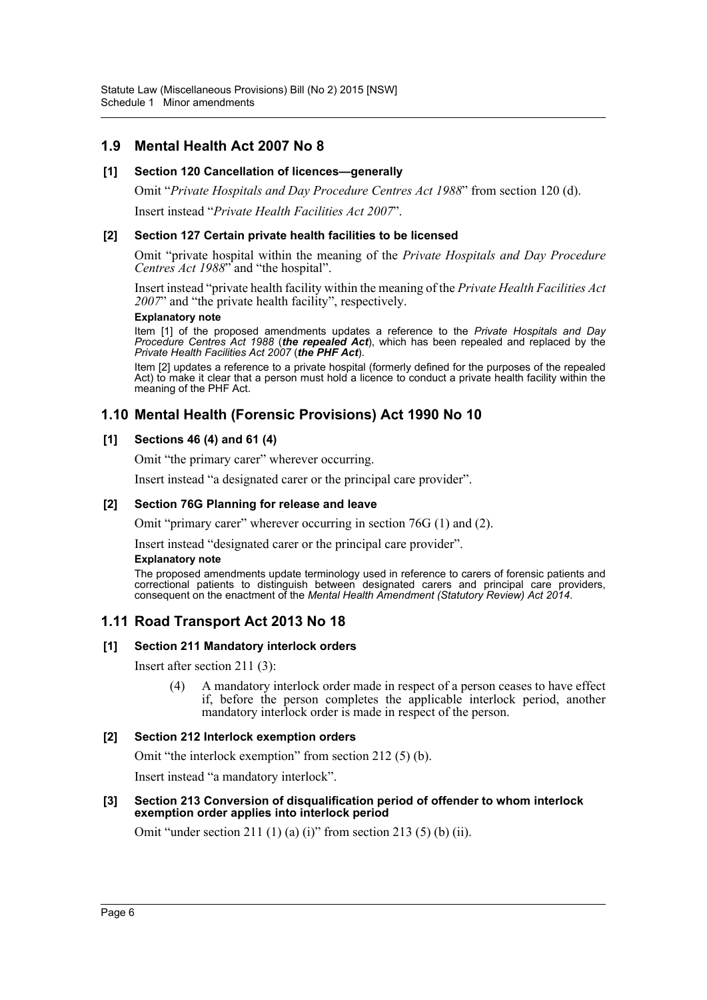# **1.9 Mental Health Act 2007 No 8**

### **[1] Section 120 Cancellation of licences—generally**

Omit "*Private Hospitals and Day Procedure Centres Act 1988*" from section 120 (d). Insert instead "*Private Health Facilities Act 2007*".

#### **[2] Section 127 Certain private health facilities to be licensed**

Omit "private hospital within the meaning of the *Private Hospitals and Day Procedure Centres Act 1988*" and "the hospital".

Insert instead "private health facility within the meaning of the *Private Health Facilities Act 2007*" and "the private health facility", respectively.

#### **Explanatory note**

Item [1] of the proposed amendments updates a reference to the *Private Hospitals and Day Procedure Centres Act 1988* (*the repealed Act*), which has been repealed and replaced by the *Private Health Facilities Act 2007* (*the PHF Act*).

Item [2] updates a reference to a private hospital (formerly defined for the purposes of the repealed Act) to make it clear that a person must hold a licence to conduct a private health facility within the meaning of the PHF Act.

# **1.10 Mental Health (Forensic Provisions) Act 1990 No 10**

### **[1] Sections 46 (4) and 61 (4)**

Omit "the primary carer" wherever occurring.

Insert instead "a designated carer or the principal care provider".

#### **[2] Section 76G Planning for release and leave**

Omit "primary carer" wherever occurring in section 76G (1) and (2).

Insert instead "designated carer or the principal care provider".

#### **Explanatory note**

The proposed amendments update terminology used in reference to carers of forensic patients and correctional patients to distinguish between designated carers and principal care providers, consequent on the enactment of the *Mental Health Amendment (Statutory Review) Act 2014*.

# **1.11 Road Transport Act 2013 No 18**

#### **[1] Section 211 Mandatory interlock orders**

Insert after section 211 (3):

(4) A mandatory interlock order made in respect of a person ceases to have effect if, before the person completes the applicable interlock period, another mandatory interlock order is made in respect of the person.

#### **[2] Section 212 Interlock exemption orders**

Omit "the interlock exemption" from section 212 (5) (b).

Insert instead "a mandatory interlock".

#### **[3] Section 213 Conversion of disqualification period of offender to whom interlock exemption order applies into interlock period**

Omit "under section 211 (1) (a) (i)" from section 213 (5) (b) (ii).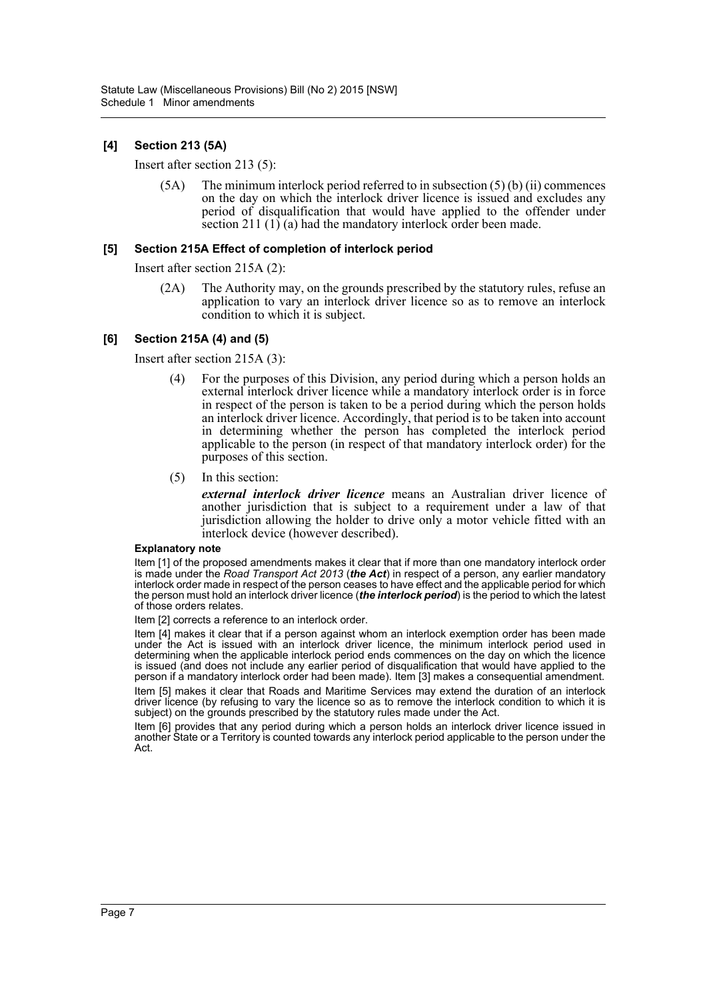### **[4] Section 213 (5A)**

Insert after section 213 (5):

(5A) The minimum interlock period referred to in subsection (5) (b) (ii) commences on the day on which the interlock driver licence is issued and excludes any period of disqualification that would have applied to the offender under section 211  $(1)$  (a) had the mandatory interlock order been made.

#### **[5] Section 215A Effect of completion of interlock period**

Insert after section 215A (2):

(2A) The Authority may, on the grounds prescribed by the statutory rules, refuse an application to vary an interlock driver licence so as to remove an interlock condition to which it is subject.

#### **[6] Section 215A (4) and (5)**

Insert after section 215A (3):

- (4) For the purposes of this Division, any period during which a person holds an external interlock driver licence while a mandatory interlock order is in force in respect of the person is taken to be a period during which the person holds an interlock driver licence. Accordingly, that period is to be taken into account in determining whether the person has completed the interlock period applicable to the person (in respect of that mandatory interlock order) for the purposes of this section.
- (5) In this section:

*external interlock driver licence* means an Australian driver licence of another jurisdiction that is subject to a requirement under a law of that jurisdiction allowing the holder to drive only a motor vehicle fitted with an interlock device (however described).

#### **Explanatory note**

Item [1] of the proposed amendments makes it clear that if more than one mandatory interlock order is made under the *Road Transport Act 2013* (*the Act*) in respect of a person, any earlier mandatory interlock order made in respect of the person ceases to have effect and the applicable period for which the person must hold an interlock driver licence (*the interlock period*) is the period to which the latest of those orders relates.

Item [2] corrects a reference to an interlock order.

Item [4] makes it clear that if a person against whom an interlock exemption order has been made under the Act is issued with an interlock driver licence, the minimum interlock period used in determining when the applicable interlock period ends commences on the day on which the licence is issued (and does not include any earlier period of disqualification that would have applied to the person if a mandatory interlock order had been made). Item [3] makes a consequential amendment. Item [5] makes it clear that Roads and Maritime Services may extend the duration of an interlock

driver licence (by refusing to vary the licence so as to remove the interlock condition to which it is subject) on the grounds prescribed by the statutory rules made under the Act.

Item [6] provides that any period during which a person holds an interlock driver licence issued in another State or a Territory is counted towards any interlock period applicable to the person under the Act.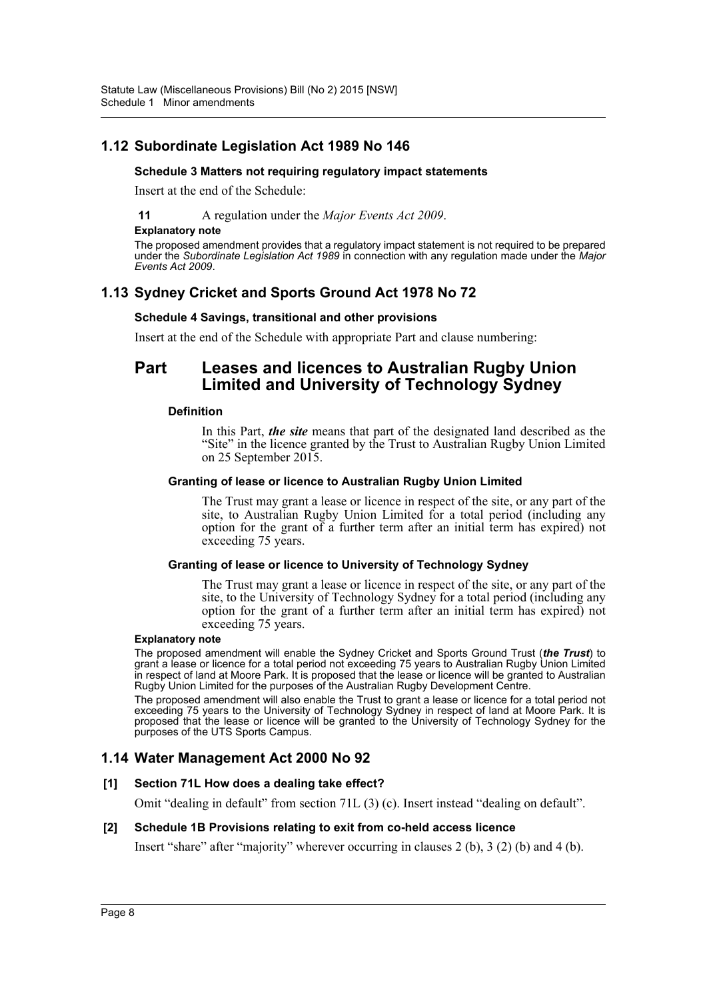# **1.12 Subordinate Legislation Act 1989 No 146**

#### **Schedule 3 Matters not requiring regulatory impact statements**

Insert at the end of the Schedule:

**11** A regulation under the *Major Events Act 2009*.

#### **Explanatory note**

The proposed amendment provides that a regulatory impact statement is not required to be prepared under the *Subordinate Legislation Act 1989* in connection with any regulation made under the *Major Events Act 2009*.

# **1.13 Sydney Cricket and Sports Ground Act 1978 No 72**

#### **Schedule 4 Savings, transitional and other provisions**

Insert at the end of the Schedule with appropriate Part and clause numbering:

# **Part Leases and licences to Australian Rugby Union Limited and University of Technology Sydney**

### **Definition**

In this Part, *the site* means that part of the designated land described as the "Site" in the licence granted by the Trust to Australian Rugby Union Limited on 25 September 2015.

#### **Granting of lease or licence to Australian Rugby Union Limited**

The Trust may grant a lease or licence in respect of the site, or any part of the site, to Australian Rugby Union Limited for a total period (including any option for the grant of a further term after an initial term has expired) not exceeding 75 years.

#### **Granting of lease or licence to University of Technology Sydney**

The Trust may grant a lease or licence in respect of the site, or any part of the site, to the University of Technology Sydney for a total period (including any option for the grant of a further term after an initial term has expired) not exceeding 75 years.

#### **Explanatory note**

The proposed amendment will enable the Sydney Cricket and Sports Ground Trust (*the Trust*) to grant a lease or licence for a total period not exceeding 75 years to Australian Rugby Union Limited in respect of land at Moore Park. It is proposed that the lease or licence will be granted to Australian Rugby Union Limited for the purposes of the Australian Rugby Development Centre.

The proposed amendment will also enable the Trust to grant a lease or licence for a total period not exceeding 75 years to the University of Technology Sydney in respect of land at Moore Park. It is proposed that the lease or licence will be granted to the University of Technology Sydney for the purposes of the UTS Sports Campus.

### **1.14 Water Management Act 2000 No 92**

#### **[1] Section 71L How does a dealing take effect?**

Omit "dealing in default" from section 71L (3) (c). Insert instead "dealing on default".

#### **[2] Schedule 1B Provisions relating to exit from co-held access licence**

Insert "share" after "majority" wherever occurring in clauses 2 (b), 3 (2) (b) and 4 (b).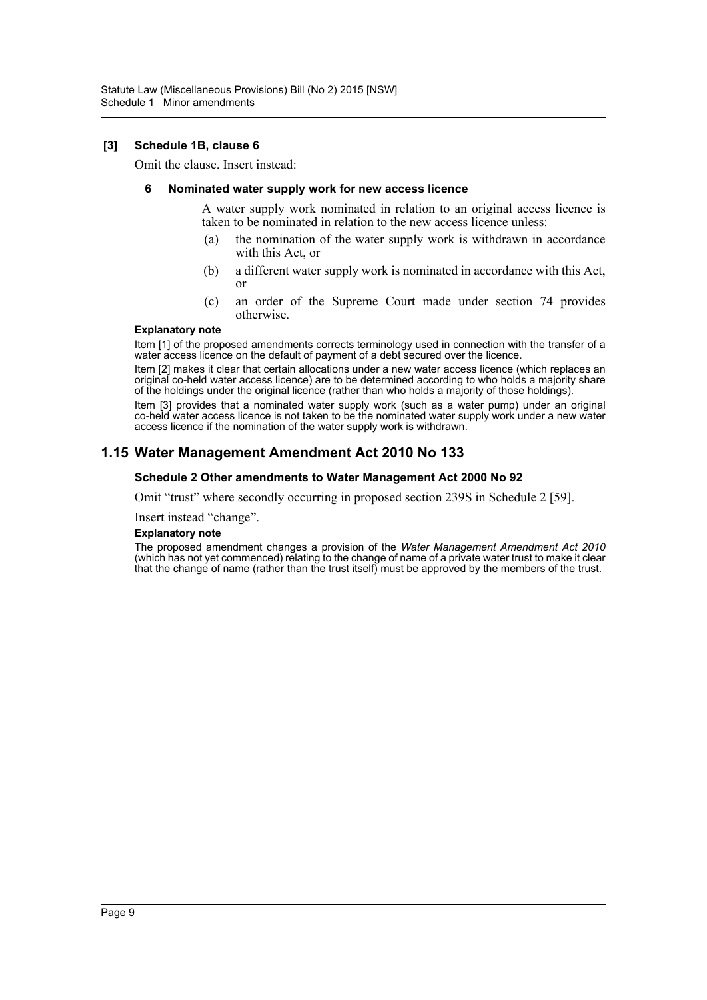#### **[3] Schedule 1B, clause 6**

Omit the clause. Insert instead:

#### **6 Nominated water supply work for new access licence**

A water supply work nominated in relation to an original access licence is taken to be nominated in relation to the new access licence unless:

- (a) the nomination of the water supply work is withdrawn in accordance with this Act, or
- (b) a different water supply work is nominated in accordance with this Act, or
- (c) an order of the Supreme Court made under section 74 provides otherwise.

#### **Explanatory note**

Item [1] of the proposed amendments corrects terminology used in connection with the transfer of a water access licence on the default of payment of a debt secured over the licence.

Item [2] makes it clear that certain allocations under a new water access licence (which replaces an original co-held water access licence) are to be determined according to who holds a majority share of the holdings under the original licence (rather than who holds a majority of those holdings).

Item [3] provides that a nominated water supply work (such as a water pump) under an original co-held water access licence is not taken to be the nominated water supply work under a new water access licence if the nomination of the water supply work is withdrawn.

# **1.15 Water Management Amendment Act 2010 No 133**

#### **Schedule 2 Other amendments to Water Management Act 2000 No 92**

Omit "trust" where secondly occurring in proposed section 239S in Schedule 2 [59].

#### Insert instead "change".

#### **Explanatory note**

The proposed amendment changes a provision of the *Water Management Amendment Act 2010* (which has not yet commenced) relating to the change of name of a private water trust to make it clear that the change of name (rather than the trust itself) must be approved by the members of the trust.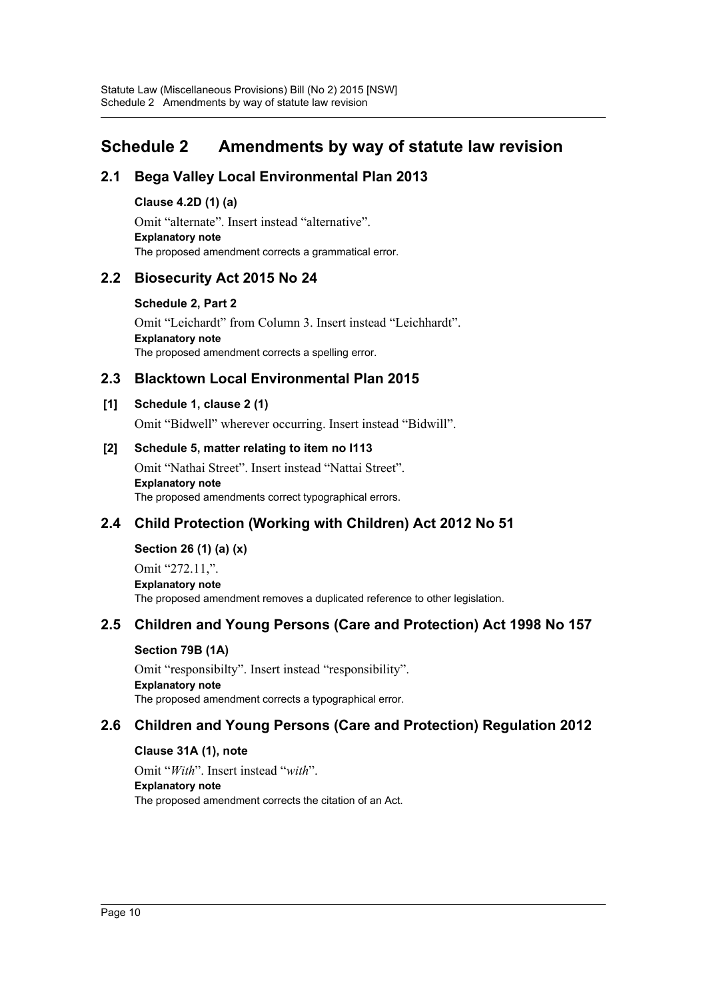# <span id="page-10-0"></span>**Schedule 2 Amendments by way of statute law revision**

# **2.1 Bega Valley Local Environmental Plan 2013**

### **Clause 4.2D (1) (a)**

Omit "alternate". Insert instead "alternative". **Explanatory note** The proposed amendment corrects a grammatical error.

# **2.2 Biosecurity Act 2015 No 24**

#### **Schedule 2, Part 2**

Omit "Leichardt" from Column 3. Insert instead "Leichhardt". **Explanatory note** The proposed amendment corrects a spelling error.

# **2.3 Blacktown Local Environmental Plan 2015**

### **[1] Schedule 1, clause 2 (1)**

Omit "Bidwell" wherever occurring. Insert instead "Bidwill".

### **[2] Schedule 5, matter relating to item no I113**

Omit "Nathai Street". Insert instead "Nattai Street". **Explanatory note** The proposed amendments correct typographical errors.

# **2.4 Child Protection (Working with Children) Act 2012 No 51**

**Section 26 (1) (a) (x)** Omit "272.11,". **Explanatory note** The proposed amendment removes a duplicated reference to other legislation.

# **2.5 Children and Young Persons (Care and Protection) Act 1998 No 157**

### **Section 79B (1A)**

Omit "responsibilty". Insert instead "responsibility". **Explanatory note** The proposed amendment corrects a typographical error.

# **2.6 Children and Young Persons (Care and Protection) Regulation 2012**

### **Clause 31A (1), note**

Omit "*With*". Insert instead "*with*". **Explanatory note** The proposed amendment corrects the citation of an Act.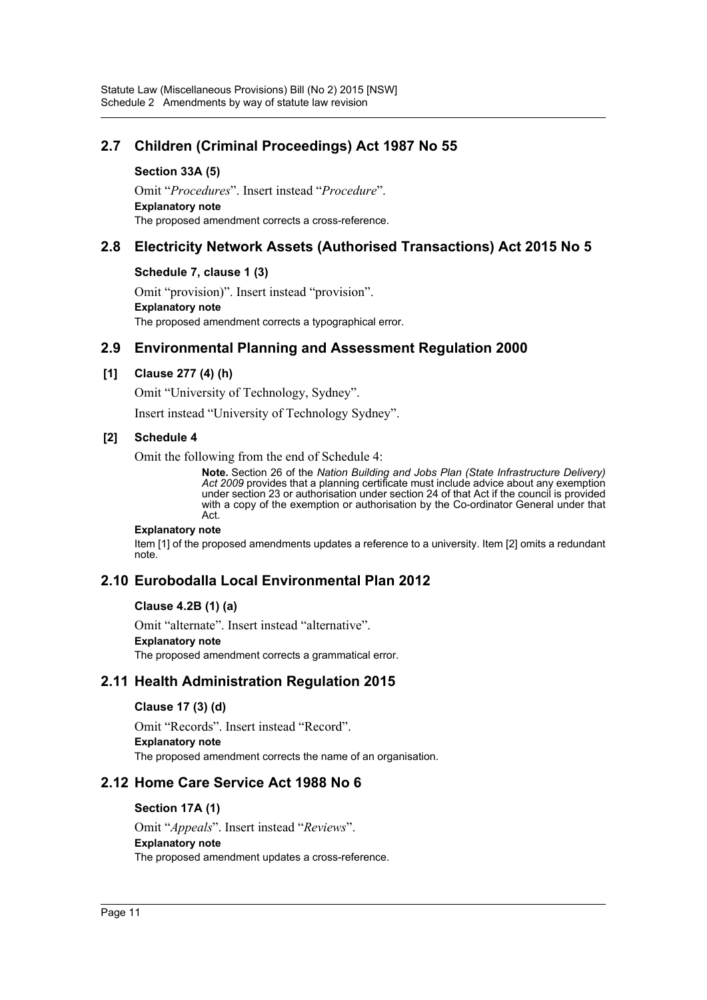# **2.7 Children (Criminal Proceedings) Act 1987 No 55**

#### **Section 33A (5)**

Omit "*Procedures*". Insert instead "*Procedure*". **Explanatory note** The proposed amendment corrects a cross-reference.

# **2.8 Electricity Network Assets (Authorised Transactions) Act 2015 No 5**

#### **Schedule 7, clause 1 (3)**

Omit "provision)". Insert instead "provision". **Explanatory note** The proposed amendment corrects a typographical error.

# **2.9 Environmental Planning and Assessment Regulation 2000**

### **[1] Clause 277 (4) (h)**

Omit "University of Technology, Sydney".

Insert instead "University of Technology Sydney".

### **[2] Schedule 4**

Omit the following from the end of Schedule 4:

**Note.** Section 26 of the *Nation Building and Jobs Plan (State Infrastructure Delivery)* Act 2009 provides that a planning certificate must include advice about any exemption under section 23 or authorisation under section 24 of that Act if the council is provided with a copy of the exemption or authorisation by the Co-ordinator General under that Act.

#### **Explanatory note**

Item [1] of the proposed amendments updates a reference to a university. Item [2] omits a redundant note.

# **2.10 Eurobodalla Local Environmental Plan 2012**

#### **Clause 4.2B (1) (a)**

Omit "alternate". Insert instead "alternative".

#### **Explanatory note**

The proposed amendment corrects a grammatical error.

# **2.11 Health Administration Regulation 2015**

### **Clause 17 (3) (d)**

Omit "Records". Insert instead "Record". **Explanatory note** The proposed amendment corrects the name of an organisation.

# **2.12 Home Care Service Act 1988 No 6**

#### **Section 17A (1)**

Omit "*Appeals*". Insert instead "*Reviews*". **Explanatory note** The proposed amendment updates a cross-reference.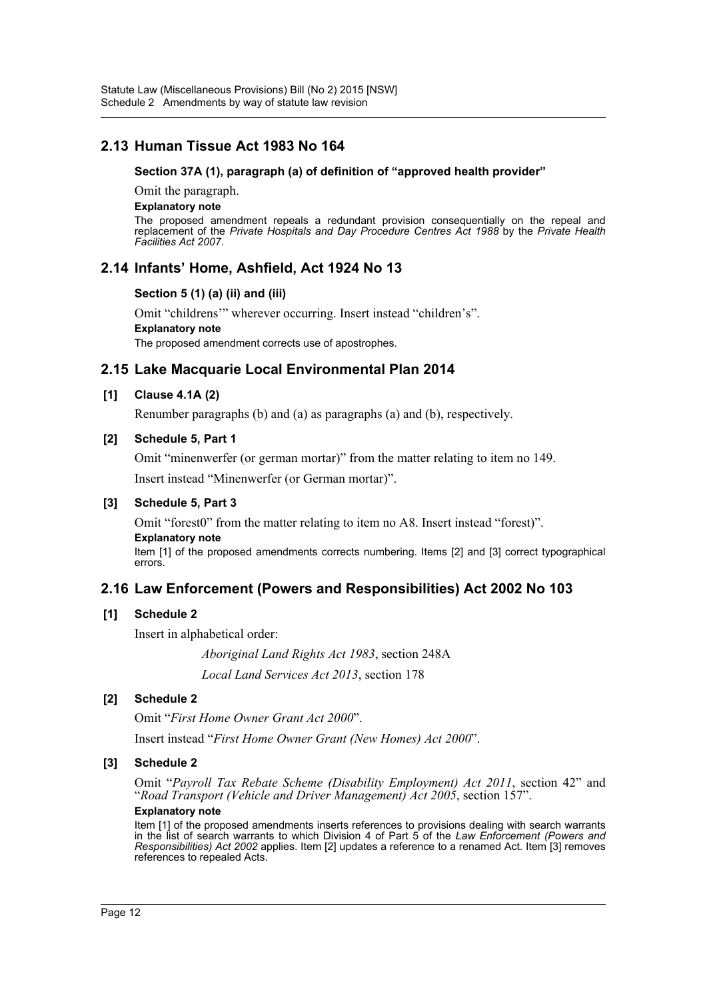# **2.13 Human Tissue Act 1983 No 164**

#### **Section 37A (1), paragraph (a) of definition of "approved health provider"**

Omit the paragraph.

#### **Explanatory note**

The proposed amendment repeals a redundant provision consequentially on the repeal and replacement of the *Private Hospitals and Day Procedure Centres Act 1988* by the *Private Health Facilities Act 2007*.

# **2.14 Infants' Home, Ashfield, Act 1924 No 13**

### **Section 5 (1) (a) (ii) and (iii)**

Omit "childrens'" wherever occurring. Insert instead "children's". **Explanatory note** The proposed amendment corrects use of apostrophes.

# **2.15 Lake Macquarie Local Environmental Plan 2014**

### **[1] Clause 4.1A (2)**

Renumber paragraphs (b) and (a) as paragraphs (a) and (b), respectively.

### **[2] Schedule 5, Part 1**

Omit "minenwerfer (or german mortar)" from the matter relating to item no 149. Insert instead "Minenwerfer (or German mortar)".

#### **[3] Schedule 5, Part 3**

Omit "forest0" from the matter relating to item no A8. Insert instead "forest)". **Explanatory note**

Item [1] of the proposed amendments corrects numbering. Items [2] and [3] correct typographical errors.

# **2.16 Law Enforcement (Powers and Responsibilities) Act 2002 No 103**

#### **[1] Schedule 2**

Insert in alphabetical order:

*Aboriginal Land Rights Act 1983*, section 248A

*Local Land Services Act 2013*, section 178

### **[2] Schedule 2**

Omit "*First Home Owner Grant Act 2000*".

Insert instead "*First Home Owner Grant (New Homes) Act 2000*".

### **[3] Schedule 2**

Omit "*Payroll Tax Rebate Scheme (Disability Employment) Act 2011*, section 42" and "*Road Transport (Vehicle and Driver Management) Act 2005*, section 157".

#### **Explanatory note**

Item [1] of the proposed amendments inserts references to provisions dealing with search warrants in the list of search warrants to which Division 4 of Part 5 of the *Law Enforcement (Powers and Responsibilities) Act 2002* applies. Item [2] updates a reference to a renamed Act. Item [3] removes references to repealed Acts.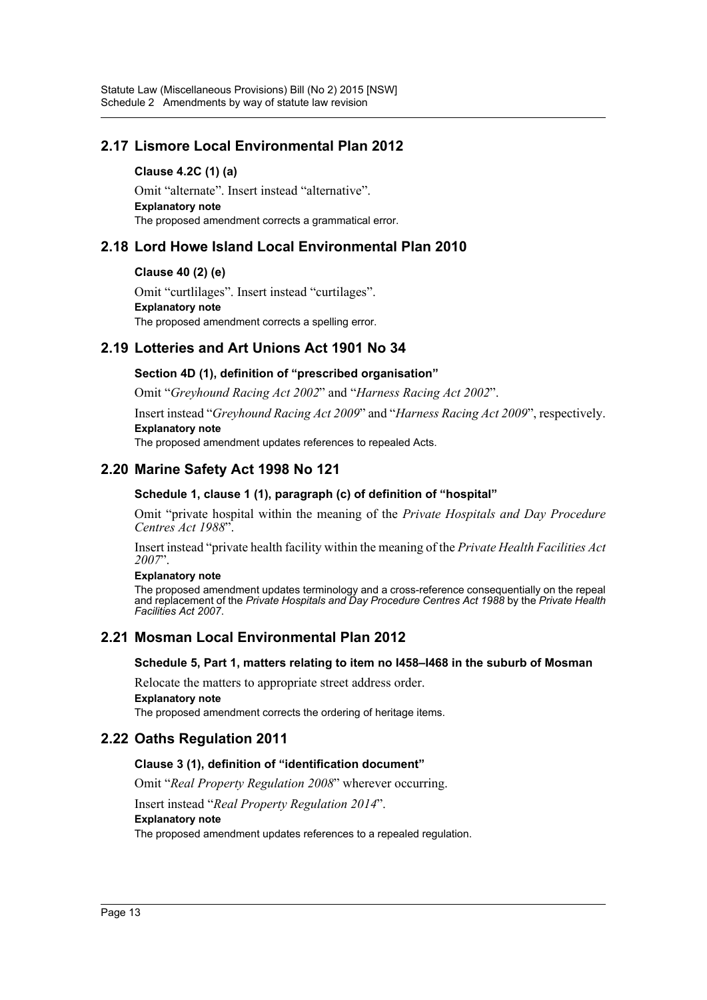# **2.17 Lismore Local Environmental Plan 2012**

#### **Clause 4.2C (1) (a)**

Omit "alternate". Insert instead "alternative". **Explanatory note** The proposed amendment corrects a grammatical error.

# **2.18 Lord Howe Island Local Environmental Plan 2010**

#### **Clause 40 (2) (e)**

Omit "curtlilages". Insert instead "curtilages". **Explanatory note** The proposed amendment corrects a spelling error.

# **2.19 Lotteries and Art Unions Act 1901 No 34**

### **Section 4D (1), definition of "prescribed organisation"**

Omit "*Greyhound Racing Act 2002*" and "*Harness Racing Act 2002*".

Insert instead "*Greyhound Racing Act 2009*" and "*Harness Racing Act 2009*", respectively. **Explanatory note**

The proposed amendment updates references to repealed Acts.

# **2.20 Marine Safety Act 1998 No 121**

### **Schedule 1, clause 1 (1), paragraph (c) of definition of "hospital"**

Omit "private hospital within the meaning of the *Private Hospitals and Day Procedure Centres Act 1988*".

Insert instead "private health facility within the meaning of the *Private Health Facilities Act 2007*".

#### **Explanatory note**

The proposed amendment updates terminology and a cross-reference consequentially on the repeal and replacement of the *Private Hospitals and Day Procedure Centres Act 1988* by the *Private Health Facilities Act 2007*.

# **2.21 Mosman Local Environmental Plan 2012**

#### **Schedule 5, Part 1, matters relating to item no I458–I468 in the suburb of Mosman**

Relocate the matters to appropriate street address order. **Explanatory note**

The proposed amendment corrects the ordering of heritage items.

# **2.22 Oaths Regulation 2011**

#### **Clause 3 (1), definition of "identification document"**

Omit "*Real Property Regulation 2008*" wherever occurring.

Insert instead "*Real Property Regulation 2014*".

**Explanatory note**

The proposed amendment updates references to a repealed regulation.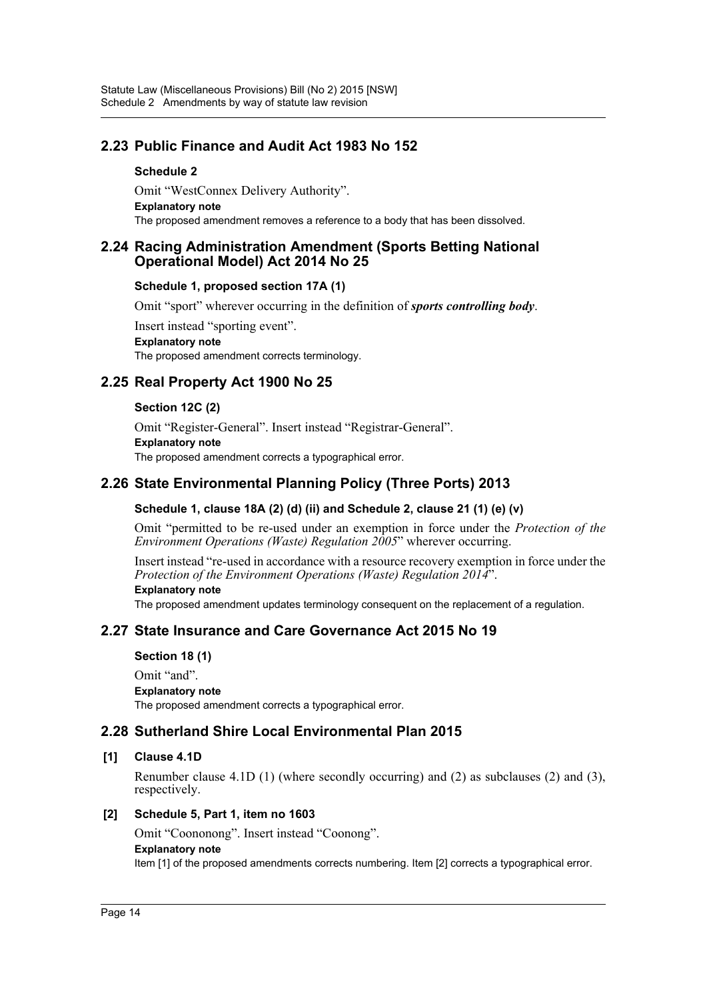# **2.23 Public Finance and Audit Act 1983 No 152**

#### **Schedule 2**

Omit "WestConnex Delivery Authority". **Explanatory note** The proposed amendment removes a reference to a body that has been dissolved.

### **2.24 Racing Administration Amendment (Sports Betting National Operational Model) Act 2014 No 25**

#### **Schedule 1, proposed section 17A (1)**

Omit "sport" wherever occurring in the definition of *sports controlling body*.

Insert instead "sporting event". **Explanatory note** The proposed amendment corrects terminology.

# **2.25 Real Property Act 1900 No 25**

#### **Section 12C (2)**

Omit "Register-General". Insert instead "Registrar-General". **Explanatory note** The proposed amendment corrects a typographical error.

# **2.26 State Environmental Planning Policy (Three Ports) 2013**

### **Schedule 1, clause 18A (2) (d) (ii) and Schedule 2, clause 21 (1) (e) (v)**

Omit "permitted to be re-used under an exemption in force under the *Protection of the Environment Operations (Waste) Regulation 2005*" wherever occurring.

Insert instead "re-used in accordance with a resource recovery exemption in force under the *Protection of the Environment Operations (Waste) Regulation 2014*".

#### **Explanatory note**

The proposed amendment updates terminology consequent on the replacement of a regulation.

# **2.27 State Insurance and Care Governance Act 2015 No 19**

#### **Section 18 (1)**

Omit "and". **Explanatory note** The proposed amendment corrects a typographical error.

# **2.28 Sutherland Shire Local Environmental Plan 2015**

#### **[1] Clause 4.1D**

Renumber clause 4.1D (1) (where secondly occurring) and (2) as subclauses (2) and (3), respectively.

#### **[2] Schedule 5, Part 1, item no 1603**

Omit "Coononong". Insert instead "Coonong".

#### **Explanatory note**

Item [1] of the proposed amendments corrects numbering. Item [2] corrects a typographical error.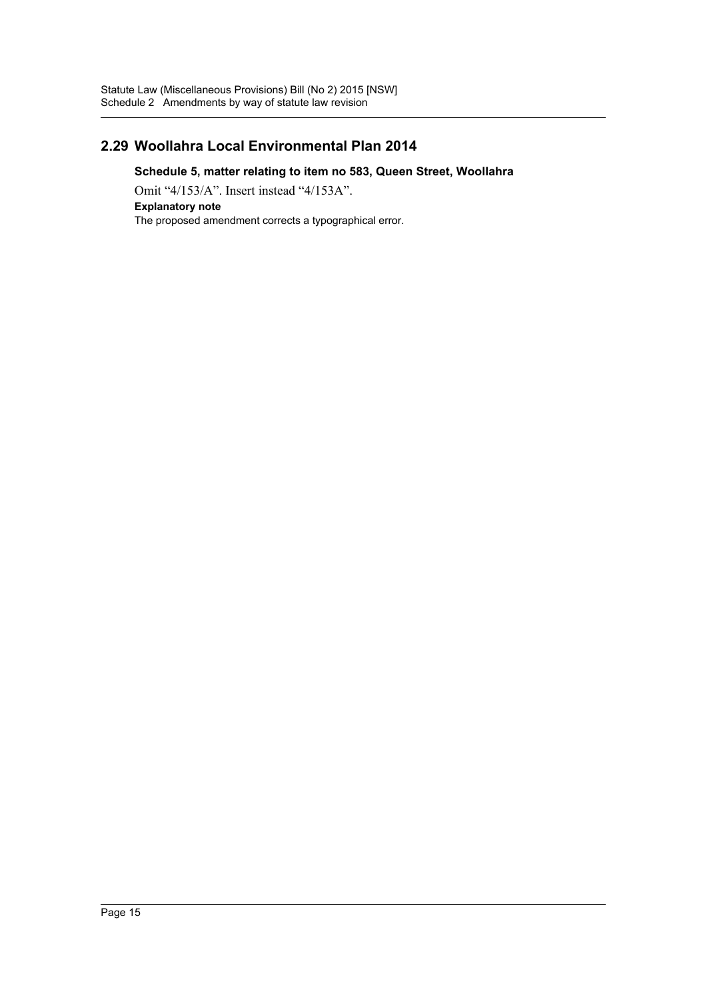# **2.29 Woollahra Local Environmental Plan 2014**

### **Schedule 5, matter relating to item no 583, Queen Street, Woollahra**

Omit "4/153/A". Insert instead "4/153A". **Explanatory note** The proposed amendment corrects a typographical error.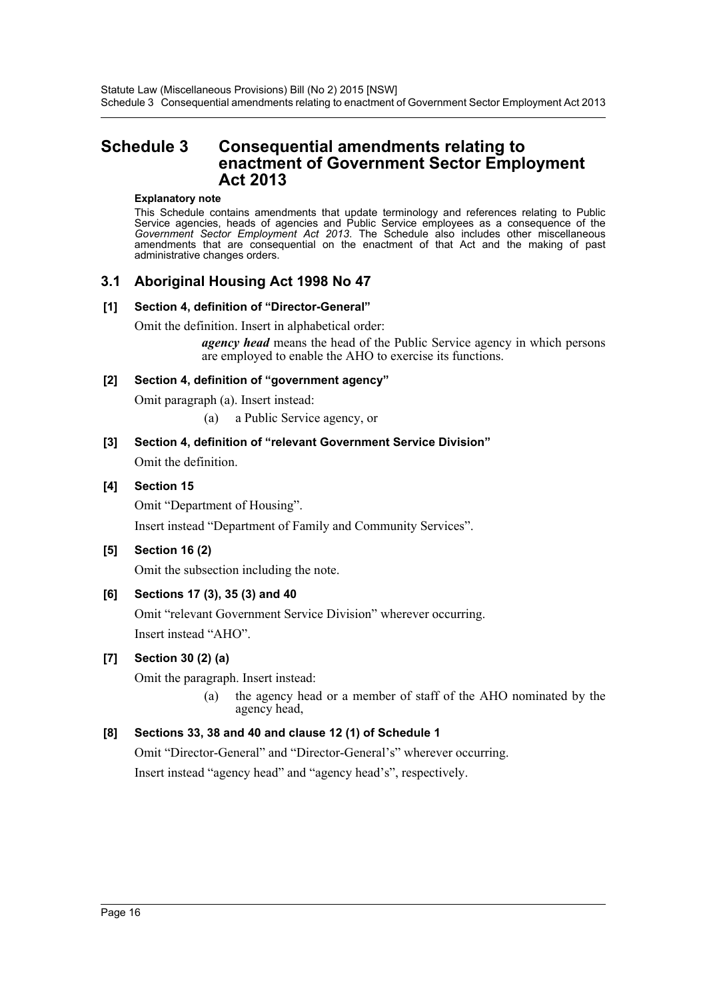# <span id="page-16-0"></span>**Schedule 3 Consequential amendments relating to enactment of Government Sector Employment Act 2013**

#### **Explanatory note**

This Schedule contains amendments that update terminology and references relating to Public Service agencies, heads of agencies and Public Service employees as a consequence of the *Government Sector Employment Act 2013*. The Schedule also includes other miscellaneous amendments that are consequential on the enactment of that Act and the making of past administrative changes orders.

# **3.1 Aboriginal Housing Act 1998 No 47**

#### **[1] Section 4, definition of "Director-General"**

Omit the definition. Insert in alphabetical order:

*agency head* means the head of the Public Service agency in which persons are employed to enable the AHO to exercise its functions.

#### **[2] Section 4, definition of "government agency"**

Omit paragraph (a). Insert instead:

- (a) a Public Service agency, or
- **[3] Section 4, definition of "relevant Government Service Division"** Omit the definition.

### **[4] Section 15**

Omit "Department of Housing". Insert instead "Department of Family and Community Services".

### **[5] Section 16 (2)**

Omit the subsection including the note.

### **[6] Sections 17 (3), 35 (3) and 40**

Omit "relevant Government Service Division" wherever occurring. Insert instead "AHO".

### **[7] Section 30 (2) (a)**

Omit the paragraph. Insert instead:

(a) the agency head or a member of staff of the AHO nominated by the agency head,

### **[8] Sections 33, 38 and 40 and clause 12 (1) of Schedule 1**

Omit "Director-General" and "Director-General's" wherever occurring.

Insert instead "agency head" and "agency head's", respectively.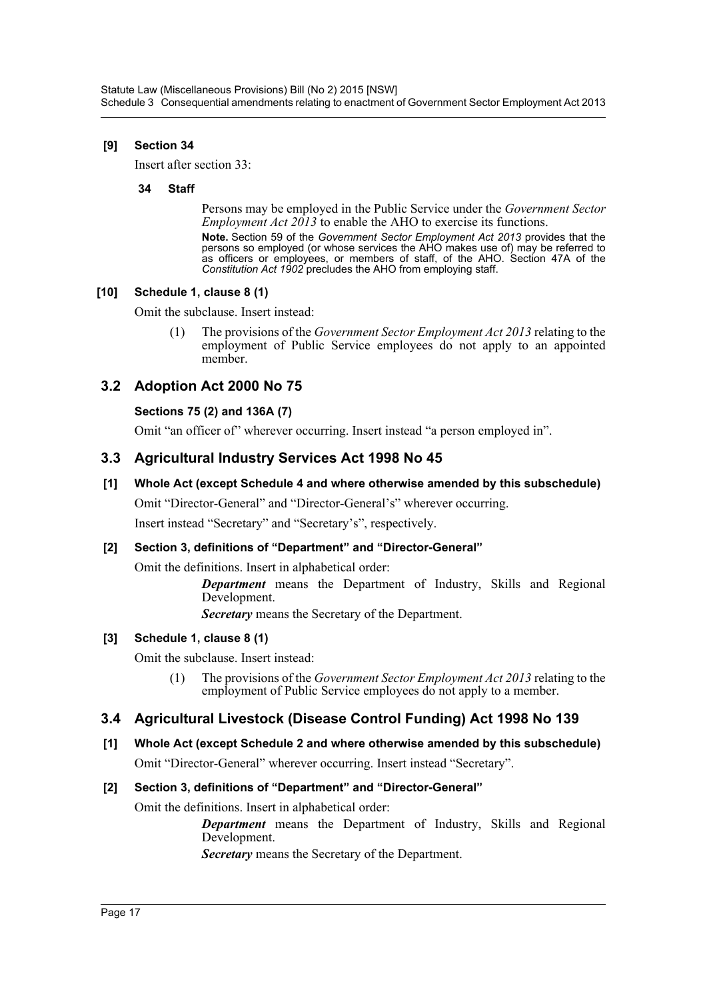### **[9] Section 34**

Insert after section 33:

#### **34 Staff**

Persons may be employed in the Public Service under the *Government Sector Employment Act 2013* to enable the AHO to exercise its functions.

**Note.** Section 59 of the *Government Sector Employment Act 2013* provides that the persons so employed (or whose services the AHO makes use of) may be referred to as officers or employees, or members of staff, of the AHO. Section 47A of the *Constitution Act 1902* precludes the AHO from employing staff.

### **[10] Schedule 1, clause 8 (1)**

Omit the subclause. Insert instead:

(1) The provisions of the *Government Sector Employment Act 2013* relating to the employment of Public Service employees do not apply to an appointed member.

# **3.2 Adoption Act 2000 No 75**

# **Sections 75 (2) and 136A (7)**

Omit "an officer of" wherever occurring. Insert instead "a person employed in".

# **3.3 Agricultural Industry Services Act 1998 No 45**

### **[1] Whole Act (except Schedule 4 and where otherwise amended by this subschedule)**

Omit "Director-General" and "Director-General's" wherever occurring.

Insert instead "Secretary" and "Secretary's", respectively.

### **[2] Section 3, definitions of "Department" and "Director-General"**

Omit the definitions. Insert in alphabetical order:

*Department* means the Department of Industry, Skills and Regional Development.

*Secretary* means the Secretary of the Department.

### **[3] Schedule 1, clause 8 (1)**

Omit the subclause. Insert instead:

(1) The provisions of the *Government Sector Employment Act 2013* relating to the employment of Public Service employees do not apply to a member.

# **3.4 Agricultural Livestock (Disease Control Funding) Act 1998 No 139**

**[1] Whole Act (except Schedule 2 and where otherwise amended by this subschedule)** Omit "Director-General" wherever occurring. Insert instead "Secretary".

### **[2] Section 3, definitions of "Department" and "Director-General"**

Omit the definitions. Insert in alphabetical order:

*Department* means the Department of Industry, Skills and Regional Development.

*Secretary* means the Secretary of the Department.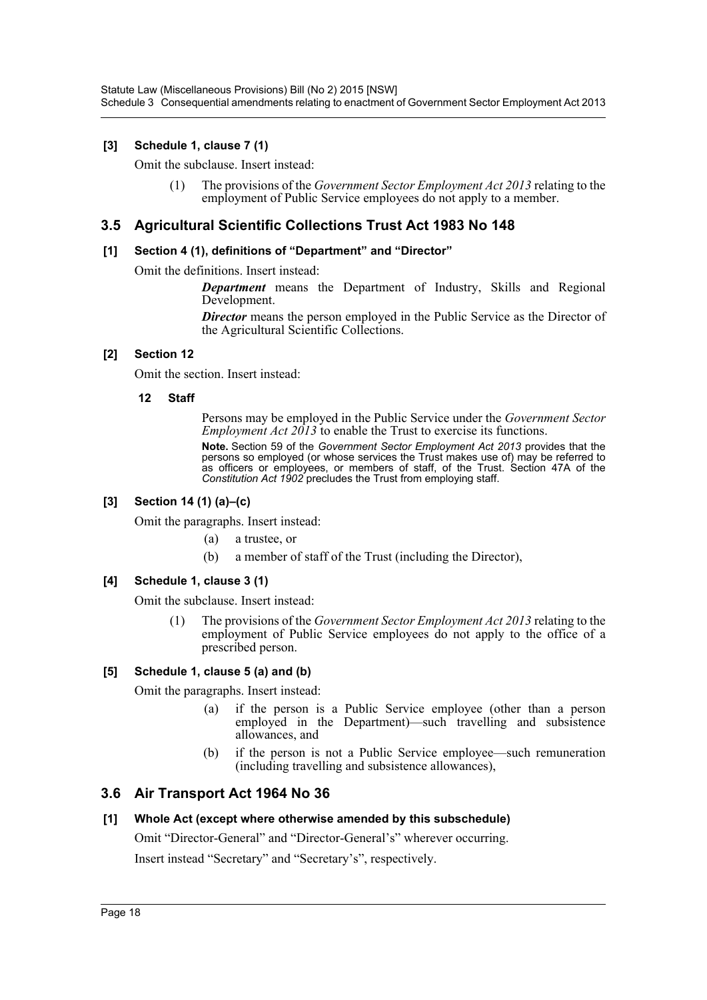Statute Law (Miscellaneous Provisions) Bill (No 2) 2015 [NSW] Schedule 3 Consequential amendments relating to enactment of Government Sector Employment Act 2013

### **[3] Schedule 1, clause 7 (1)**

Omit the subclause. Insert instead:

(1) The provisions of the *Government Sector Employment Act 2013* relating to the employment of Public Service employees do not apply to a member.

### **3.5 Agricultural Scientific Collections Trust Act 1983 No 148**

#### **[1] Section 4 (1), definitions of "Department" and "Director"**

Omit the definitions. Insert instead:

*Department* means the Department of Industry, Skills and Regional Development.

**Director** means the person employed in the Public Service as the Director of the Agricultural Scientific Collections.

### **[2] Section 12**

Omit the section. Insert instead:

### **12 Staff**

Persons may be employed in the Public Service under the *Government Sector Employment Act 2013* to enable the Trust to exercise its functions.

**Note.** Section 59 of the *Government Sector Employment Act 2013* provides that the persons so employed (or whose services the Trust makes use of) may be referred to as officers or employees, or members of staff, of the Trust. Section 47A of the *Constitution Act 1902* precludes the Trust from employing staff.

### **[3] Section 14 (1) (a)–(c)**

Omit the paragraphs. Insert instead:

- (a) a trustee, or
- (b) a member of staff of the Trust (including the Director),

### **[4] Schedule 1, clause 3 (1)**

Omit the subclause. Insert instead:

(1) The provisions of the *Government Sector Employment Act 2013* relating to the employment of Public Service employees do not apply to the office of a prescribed person.

#### **[5] Schedule 1, clause 5 (a) and (b)**

Omit the paragraphs. Insert instead:

- (a) if the person is a Public Service employee (other than a person employed in the Department)—such travelling and subsistence allowances, and
- (b) if the person is not a Public Service employee—such remuneration (including travelling and subsistence allowances),

### **3.6 Air Transport Act 1964 No 36**

#### **[1] Whole Act (except where otherwise amended by this subschedule)**

Omit "Director-General" and "Director-General's" wherever occurring.

Insert instead "Secretary" and "Secretary's", respectively.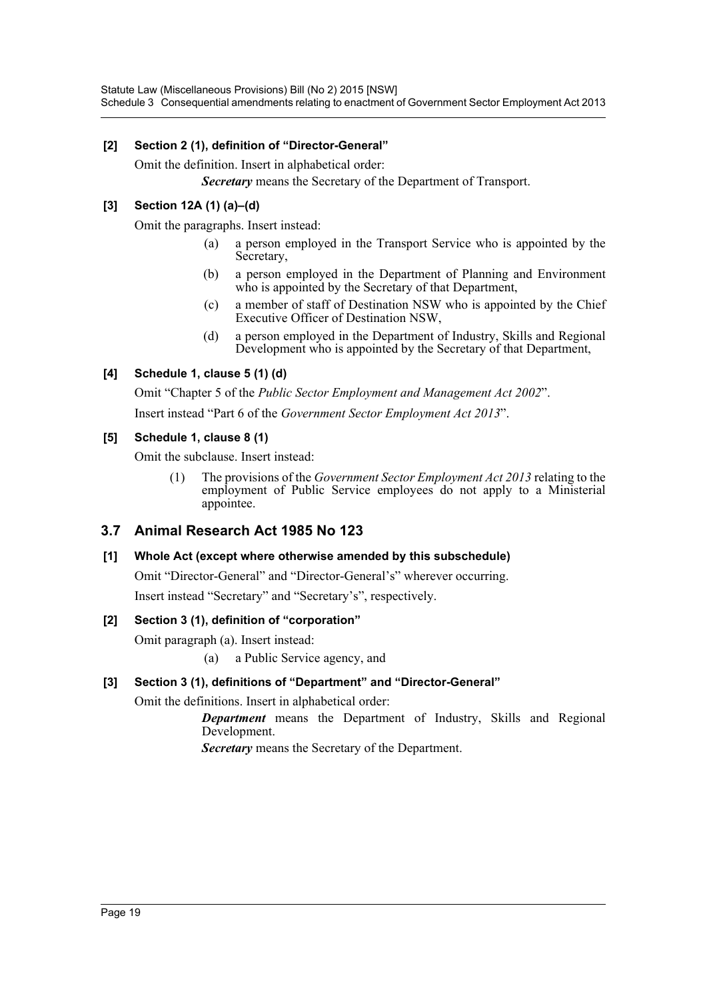# **[2] Section 2 (1), definition of "Director-General"**

Omit the definition. Insert in alphabetical order:

*Secretary* means the Secretary of the Department of Transport.

# **[3] Section 12A (1) (a)–(d)**

Omit the paragraphs. Insert instead:

- (a) a person employed in the Transport Service who is appointed by the Secretary,
- (b) a person employed in the Department of Planning and Environment who is appointed by the Secretary of that Department,
- (c) a member of staff of Destination NSW who is appointed by the Chief Executive Officer of Destination NSW,
- (d) a person employed in the Department of Industry, Skills and Regional Development who is appointed by the Secretary of that Department,

# **[4] Schedule 1, clause 5 (1) (d)**

Omit "Chapter 5 of the *Public Sector Employment and Management Act 2002*".

Insert instead "Part 6 of the *Government Sector Employment Act 2013*".

### **[5] Schedule 1, clause 8 (1)**

Omit the subclause. Insert instead:

(1) The provisions of the *Government Sector Employment Act 2013* relating to the employment of Public Service employees do not apply to a Ministerial appointee.

# **3.7 Animal Research Act 1985 No 123**

### **[1] Whole Act (except where otherwise amended by this subschedule)**

Omit "Director-General" and "Director-General's" wherever occurring.

Insert instead "Secretary" and "Secretary's", respectively.

### **[2] Section 3 (1), definition of "corporation"**

Omit paragraph (a). Insert instead:

(a) a Public Service agency, and

### **[3] Section 3 (1), definitions of "Department" and "Director-General"**

Omit the definitions. Insert in alphabetical order:

*Department* means the Department of Industry, Skills and Regional Development.

*Secretary* means the Secretary of the Department.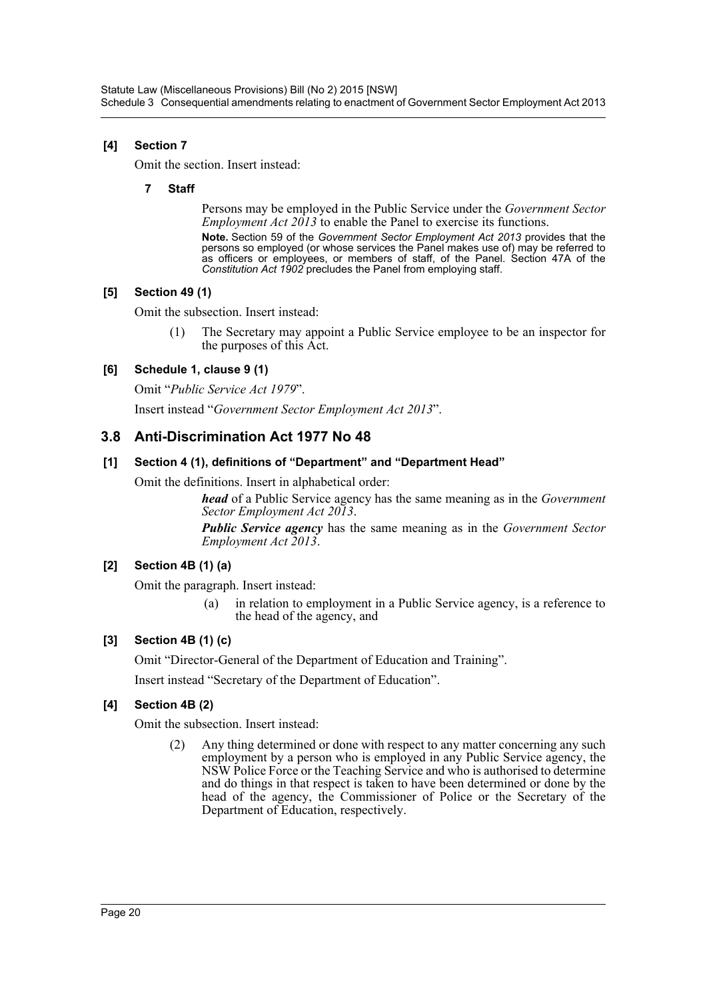# **[4] Section 7**

Omit the section. Insert instead:

### **7 Staff**

Persons may be employed in the Public Service under the *Government Sector Employment Act 2013* to enable the Panel to exercise its functions.

**Note.** Section 59 of the *Government Sector Employment Act 2013* provides that the persons so employed (or whose services the Panel makes use of) may be referred to as officers or employees, or members of staff, of the Panel. Section 47A of the *Constitution Act 1902* precludes the Panel from employing staff.

### **[5] Section 49 (1)**

Omit the subsection. Insert instead:

The Secretary may appoint a Public Service employee to be an inspector for the purposes of this Act.

# **[6] Schedule 1, clause 9 (1)**

Omit "*Public Service Act 1979*".

Insert instead "*Government Sector Employment Act 2013*".

# **3.8 Anti-Discrimination Act 1977 No 48**

### **[1] Section 4 (1), definitions of "Department" and "Department Head"**

Omit the definitions. Insert in alphabetical order:

*head* of a Public Service agency has the same meaning as in the *Government Sector Employment Act 2013*.

*Public Service agency* has the same meaning as in the *Government Sector Employment Act 2013*.

### **[2] Section 4B (1) (a)**

Omit the paragraph. Insert instead:

(a) in relation to employment in a Public Service agency, is a reference to the head of the agency, and

### **[3] Section 4B (1) (c)**

Omit "Director-General of the Department of Education and Training".

Insert instead "Secretary of the Department of Education".

### **[4] Section 4B (2)**

Omit the subsection. Insert instead:

(2) Any thing determined or done with respect to any matter concerning any such employment by a person who is employed in any Public Service agency, the NSW Police Force or the Teaching Service and who is authorised to determine and do things in that respect is taken to have been determined or done by the head of the agency, the Commissioner of Police or the Secretary of the Department of Education, respectively.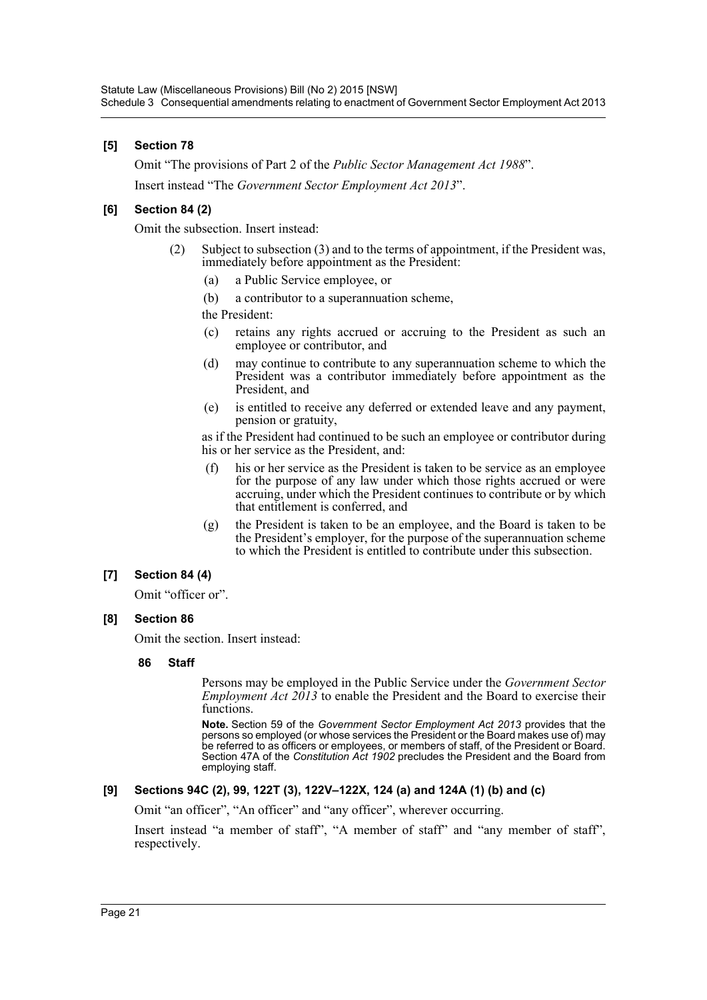### **[5] Section 78**

Omit "The provisions of Part 2 of the *Public Sector Management Act 1988*". Insert instead "The *Government Sector Employment Act 2013*".

### **[6] Section 84 (2)**

Omit the subsection. Insert instead:

- Subject to subsection (3) and to the terms of appointment, if the President was, immediately before appointment as the President:
	- (a) a Public Service employee, or
	- (b) a contributor to a superannuation scheme,

the President:

- (c) retains any rights accrued or accruing to the President as such an employee or contributor, and
- (d) may continue to contribute to any superannuation scheme to which the President was a contributor immediately before appointment as the President, and
- (e) is entitled to receive any deferred or extended leave and any payment, pension or gratuity,

as if the President had continued to be such an employee or contributor during his or her service as the President, and:

- (f) his or her service as the President is taken to be service as an employee for the purpose of any law under which those rights accrued or were accruing, under which the President continues to contribute or by which that entitlement is conferred, and
- (g) the President is taken to be an employee, and the Board is taken to be the President's employer, for the purpose of the superannuation scheme to which the President is entitled to contribute under this subsection.

#### **[7] Section 84 (4)**

Omit "officer or".

#### **[8] Section 86**

Omit the section. Insert instead:

#### **86 Staff**

Persons may be employed in the Public Service under the *Government Sector Employment Act 2013* to enable the President and the Board to exercise their functions.

**Note.** Section 59 of the *Government Sector Employment Act 2013* provides that the persons so employed (or whose services the President or the Board makes use of) may be referred to as officers or employees, or members of staff, of the President or Board. Section 47A of the *Constitution Act 1902* precludes the President and the Board from employing staff.

#### **[9] Sections 94C (2), 99, 122T (3), 122V–122X, 124 (a) and 124A (1) (b) and (c)**

Omit "an officer", "An officer" and "any officer", wherever occurring.

Insert instead "a member of staff", "A member of staff" and "any member of staff", respectively.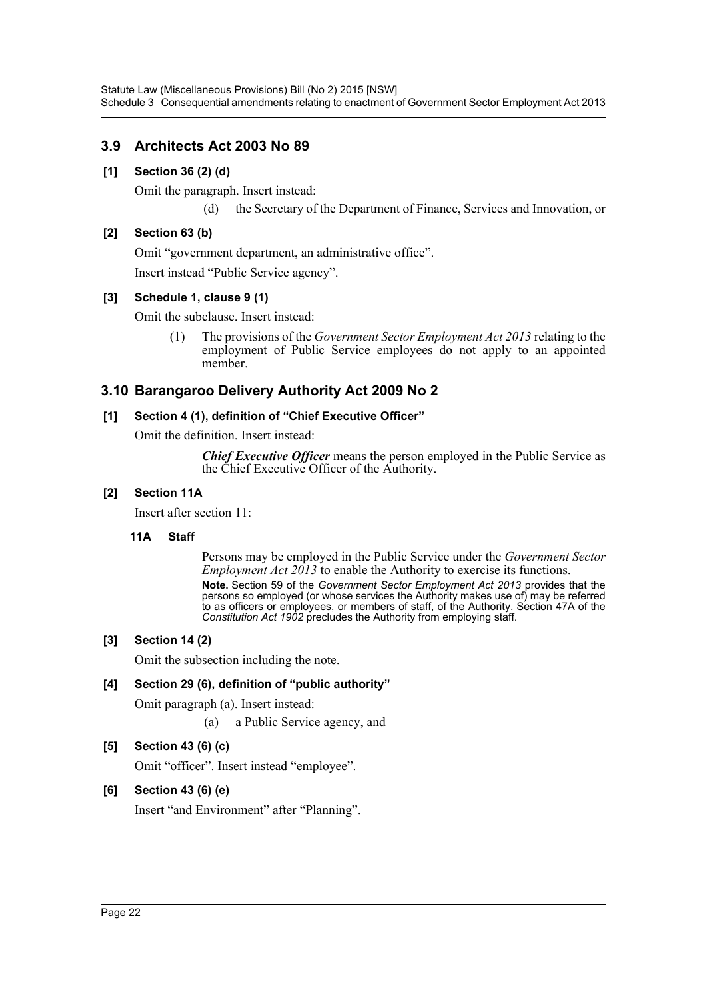# **3.9 Architects Act 2003 No 89**

### **[1] Section 36 (2) (d)**

Omit the paragraph. Insert instead:

(d) the Secretary of the Department of Finance, Services and Innovation, or

### **[2] Section 63 (b)**

Omit "government department, an administrative office". Insert instead "Public Service agency".

### **[3] Schedule 1, clause 9 (1)**

Omit the subclause. Insert instead:

(1) The provisions of the *Government Sector Employment Act 2013* relating to the employment of Public Service employees do not apply to an appointed member.

# **3.10 Barangaroo Delivery Authority Act 2009 No 2**

### **[1] Section 4 (1), definition of "Chief Executive Officer"**

Omit the definition. Insert instead:

*Chief Executive Officer* means the person employed in the Public Service as the Chief Executive Officer of the Authority.

### **[2] Section 11A**

Insert after section 11:

#### **11A Staff**

Persons may be employed in the Public Service under the *Government Sector Employment Act 2013* to enable the Authority to exercise its functions. **Note.** Section 59 of the *Government Sector Employment Act 2013* provides that the persons so employed (or whose services the Authority makes use of) may be referred to as officers or employees, or members of staff, of the Authority. Section 47A of the *Constitution Act 1902* precludes the Authority from employing staff.

### **[3] Section 14 (2)**

Omit the subsection including the note.

### **[4] Section 29 (6), definition of "public authority"**

Omit paragraph (a). Insert instead:

(a) a Public Service agency, and

### **[5] Section 43 (6) (c)**

Omit "officer". Insert instead "employee".

### **[6] Section 43 (6) (e)**

Insert "and Environment" after "Planning".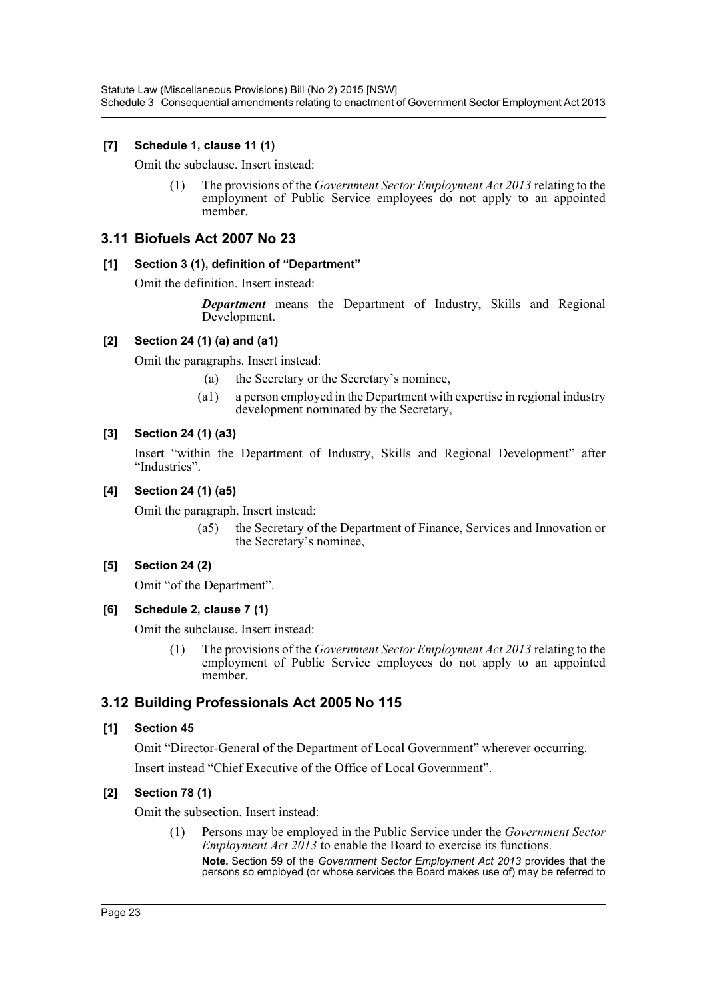Statute Law (Miscellaneous Provisions) Bill (No 2) 2015 [NSW] Schedule 3 Consequential amendments relating to enactment of Government Sector Employment Act 2013

### **[7] Schedule 1, clause 11 (1)**

Omit the subclause. Insert instead:

(1) The provisions of the *Government Sector Employment Act 2013* relating to the employment of Public Service employees do not apply to an appointed member.

# **3.11 Biofuels Act 2007 No 23**

#### **[1] Section 3 (1), definition of "Department"**

Omit the definition. Insert instead:

*Department* means the Department of Industry, Skills and Regional Development.

#### **[2] Section 24 (1) (a) and (a1)**

Omit the paragraphs. Insert instead:

- (a) the Secretary or the Secretary's nominee,
- (a1) a person employed in the Department with expertise in regional industry development nominated by the Secretary,

#### **[3] Section 24 (1) (a3)**

Insert "within the Department of Industry, Skills and Regional Development" after "Industries".

#### **[4] Section 24 (1) (a5)**

Omit the paragraph. Insert instead:

(a5) the Secretary of the Department of Finance, Services and Innovation or the Secretary's nominee,

#### **[5] Section 24 (2)**

Omit "of the Department".

#### **[6] Schedule 2, clause 7 (1)**

Omit the subclause. Insert instead:

(1) The provisions of the *Government Sector Employment Act 2013* relating to the employment of Public Service employees do not apply to an appointed member.

### **3.12 Building Professionals Act 2005 No 115**

#### **[1] Section 45**

Omit "Director-General of the Department of Local Government" wherever occurring. Insert instead "Chief Executive of the Office of Local Government".

#### **[2] Section 78 (1)**

Omit the subsection. Insert instead:

(1) Persons may be employed in the Public Service under the *Government Sector Employment Act 2013* to enable the Board to exercise its functions. **Note.** Section 59 of the *Government Sector Employment Act 2013* provides that the persons so employed (or whose services the Board makes use of) may be referred to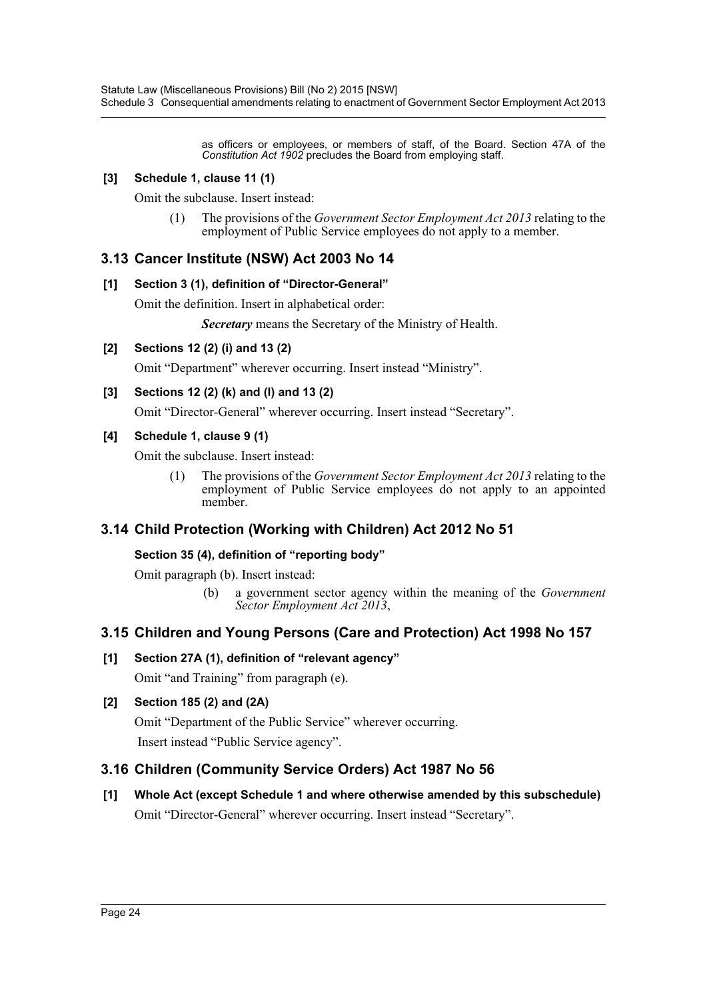as officers or employees, or members of staff, of the Board. Section 47A of the *Constitution Act 1902* precludes the Board from employing staff.

### **[3] Schedule 1, clause 11 (1)**

Omit the subclause. Insert instead:

(1) The provisions of the *Government Sector Employment Act 2013* relating to the employment of Public Service employees do not apply to a member.

# **3.13 Cancer Institute (NSW) Act 2003 No 14**

### **[1] Section 3 (1), definition of "Director-General"**

Omit the definition. Insert in alphabetical order:

*Secretary* means the Secretary of the Ministry of Health.

### **[2] Sections 12 (2) (i) and 13 (2)**

Omit "Department" wherever occurring. Insert instead "Ministry".

### **[3] Sections 12 (2) (k) and (l) and 13 (2)**

Omit "Director-General" wherever occurring. Insert instead "Secretary".

### **[4] Schedule 1, clause 9 (1)**

Omit the subclause. Insert instead:

(1) The provisions of the *Government Sector Employment Act 2013* relating to the employment of Public Service employees do not apply to an appointed member.

# **3.14 Child Protection (Working with Children) Act 2012 No 51**

### **Section 35 (4), definition of "reporting body"**

Omit paragraph (b). Insert instead:

(b) a government sector agency within the meaning of the *Government Sector Employment Act 2013*,

# **3.15 Children and Young Persons (Care and Protection) Act 1998 No 157**

**[1] Section 27A (1), definition of "relevant agency"** Omit "and Training" from paragraph (e).

### **[2] Section 185 (2) and (2A)**

Omit "Department of the Public Service" wherever occurring. Insert instead "Public Service agency".

# **3.16 Children (Community Service Orders) Act 1987 No 56**

**[1] Whole Act (except Schedule 1 and where otherwise amended by this subschedule)** Omit "Director-General" wherever occurring. Insert instead "Secretary".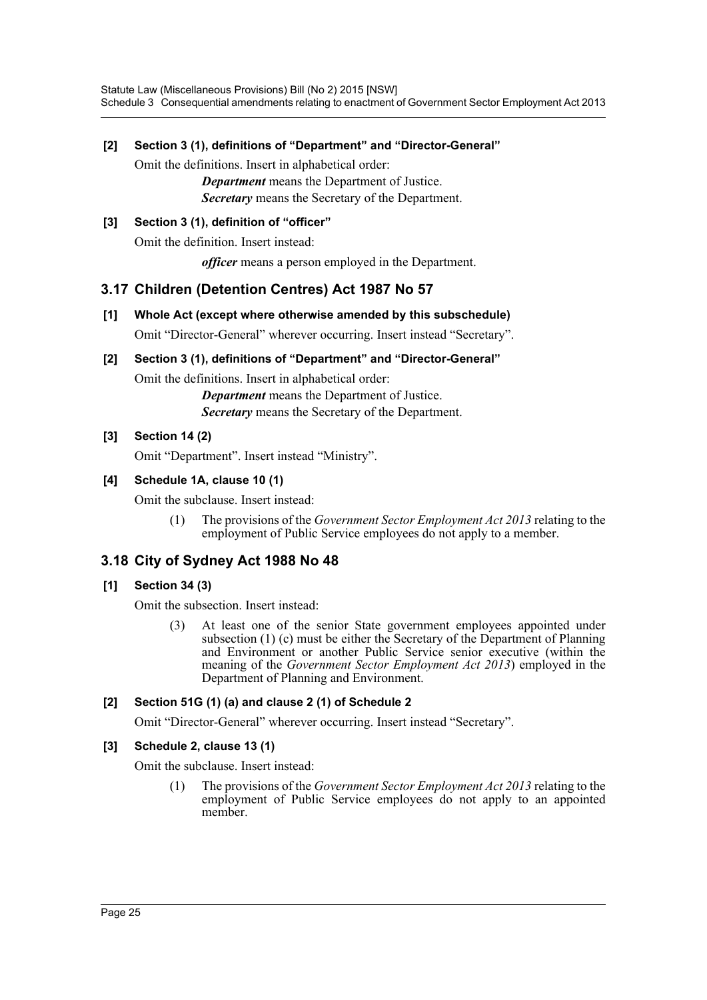### **[2] Section 3 (1), definitions of "Department" and "Director-General"**

Omit the definitions. Insert in alphabetical order:

*Department* means the Department of Justice. *Secretary* means the Secretary of the Department.

# **[3] Section 3 (1), definition of "officer"**

Omit the definition. Insert instead:

*officer* means a person employed in the Department.

# **3.17 Children (Detention Centres) Act 1987 No 57**

**[1] Whole Act (except where otherwise amended by this subschedule)**

Omit "Director-General" wherever occurring. Insert instead "Secretary".

# **[2] Section 3 (1), definitions of "Department" and "Director-General"**

Omit the definitions. Insert in alphabetical order:

*Department* means the Department of Justice. *Secretary* means the Secretary of the Department.

# **[3] Section 14 (2)**

Omit "Department". Insert instead "Ministry".

# **[4] Schedule 1A, clause 10 (1)**

Omit the subclause. Insert instead:

(1) The provisions of the *Government Sector Employment Act 2013* relating to the employment of Public Service employees do not apply to a member.

# **3.18 City of Sydney Act 1988 No 48**

# **[1] Section 34 (3)**

Omit the subsection. Insert instead:

(3) At least one of the senior State government employees appointed under subsection (1) (c) must be either the Secretary of the Department of Planning and Environment or another Public Service senior executive (within the meaning of the *Government Sector Employment Act 2013*) employed in the Department of Planning and Environment.

### **[2] Section 51G (1) (a) and clause 2 (1) of Schedule 2**

Omit "Director-General" wherever occurring. Insert instead "Secretary".

### **[3] Schedule 2, clause 13 (1)**

Omit the subclause. Insert instead:

(1) The provisions of the *Government Sector Employment Act 2013* relating to the employment of Public Service employees do not apply to an appointed member.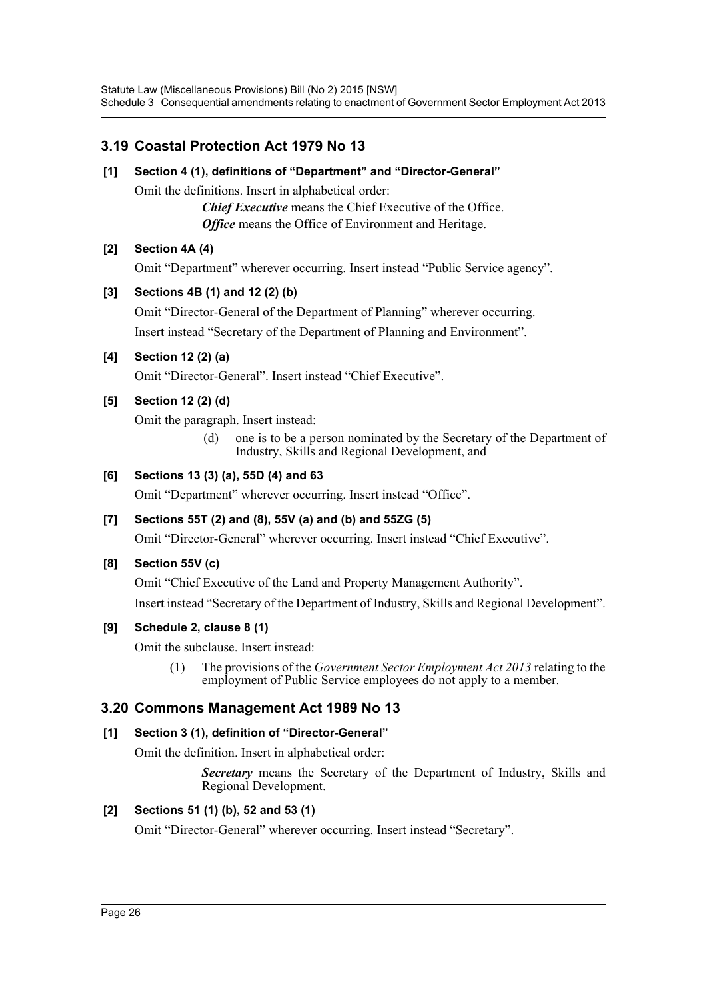# **3.19 Coastal Protection Act 1979 No 13**

# **[1] Section 4 (1), definitions of "Department" and "Director-General"**

Omit the definitions. Insert in alphabetical order:

*Chief Executive* means the Chief Executive of the Office. *Office* means the Office of Environment and Heritage.

# **[2] Section 4A (4)**

Omit "Department" wherever occurring. Insert instead "Public Service agency".

# **[3] Sections 4B (1) and 12 (2) (b)**

Omit "Director-General of the Department of Planning" wherever occurring. Insert instead "Secretary of the Department of Planning and Environment".

# **[4] Section 12 (2) (a)**

Omit "Director-General". Insert instead "Chief Executive".

# **[5] Section 12 (2) (d)**

Omit the paragraph. Insert instead:

(d) one is to be a person nominated by the Secretary of the Department of Industry, Skills and Regional Development, and

# **[6] Sections 13 (3) (a), 55D (4) and 63**

Omit "Department" wherever occurring. Insert instead "Office".

### **[7] Sections 55T (2) and (8), 55V (a) and (b) and 55ZG (5)**

Omit "Director-General" wherever occurring. Insert instead "Chief Executive".

### **[8] Section 55V (c)**

Omit "Chief Executive of the Land and Property Management Authority".

Insert instead "Secretary of the Department of Industry, Skills and Regional Development".

### **[9] Schedule 2, clause 8 (1)**

Omit the subclause. Insert instead:

(1) The provisions of the *Government Sector Employment Act 2013* relating to the employment of Public Service employees do not apply to a member.

# **3.20 Commons Management Act 1989 No 13**

### **[1] Section 3 (1), definition of "Director-General"**

Omit the definition. Insert in alphabetical order:

*Secretary* means the Secretary of the Department of Industry, Skills and Regional Development.

### **[2] Sections 51 (1) (b), 52 and 53 (1)**

Omit "Director-General" wherever occurring. Insert instead "Secretary".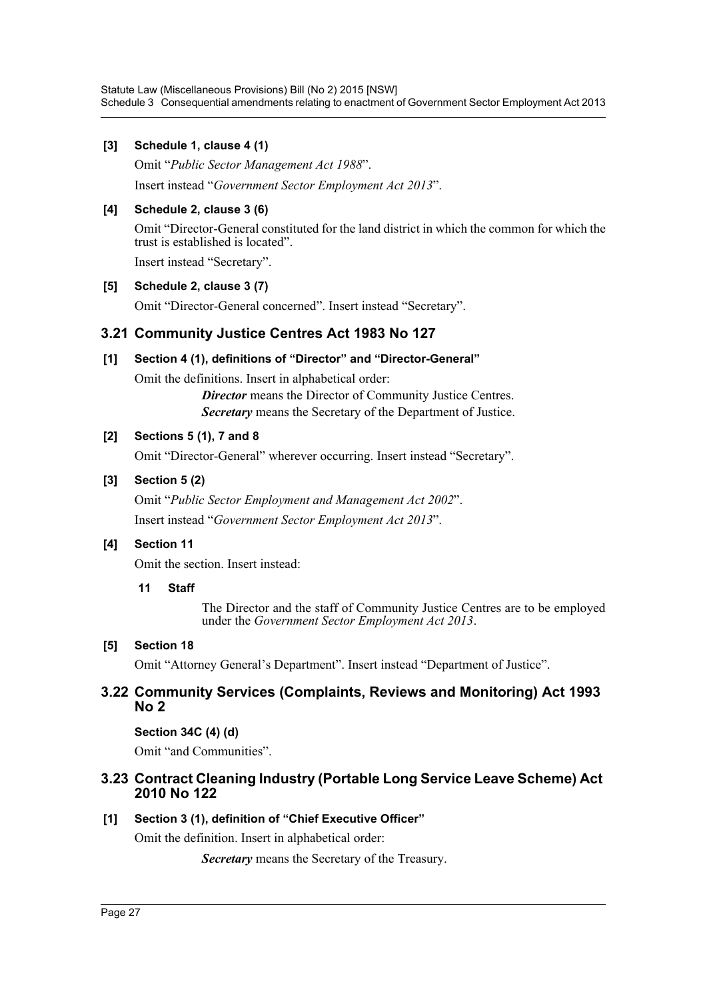### **[3] Schedule 1, clause 4 (1)**

Omit "*Public Sector Management Act 1988*".

Insert instead "*Government Sector Employment Act 2013*".

# **[4] Schedule 2, clause 3 (6)**

Omit "Director-General constituted for the land district in which the common for which the trust is established is located".

Insert instead "Secretary".

# **[5] Schedule 2, clause 3 (7)**

Omit "Director-General concerned". Insert instead "Secretary".

# **3.21 Community Justice Centres Act 1983 No 127**

# **[1] Section 4 (1), definitions of "Director" and "Director-General"**

Omit the definitions. Insert in alphabetical order:

*Director* means the Director of Community Justice Centres. *Secretary* means the Secretary of the Department of Justice.

# **[2] Sections 5 (1), 7 and 8**

Omit "Director-General" wherever occurring. Insert instead "Secretary".

# **[3] Section 5 (2)**

Omit "*Public Sector Employment and Management Act 2002*". Insert instead "*Government Sector Employment Act 2013*".

# **[4] Section 11**

Omit the section. Insert instead:

### **11 Staff**

The Director and the staff of Community Justice Centres are to be employed under the *Government Sector Employment Act 2013*.

# **[5] Section 18**

Omit "Attorney General's Department". Insert instead "Department of Justice".

# **3.22 Community Services (Complaints, Reviews and Monitoring) Act 1993 No 2**

### **Section 34C (4) (d)**

Omit "and Communities".

# **3.23 Contract Cleaning Industry (Portable Long Service Leave Scheme) Act 2010 No 122**

# **[1] Section 3 (1), definition of "Chief Executive Officer"**

Omit the definition. Insert in alphabetical order:

*Secretary* means the Secretary of the Treasury.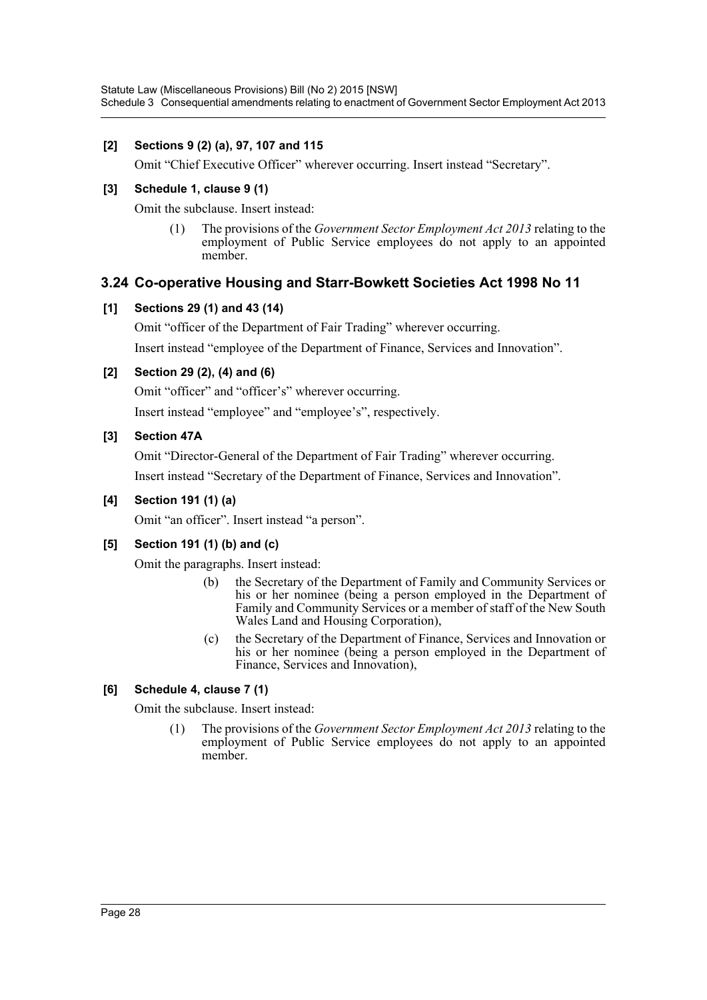### **[2] Sections 9 (2) (a), 97, 107 and 115**

Omit "Chief Executive Officer" wherever occurring. Insert instead "Secretary".

### **[3] Schedule 1, clause 9 (1)**

Omit the subclause. Insert instead:

(1) The provisions of the *Government Sector Employment Act 2013* relating to the employment of Public Service employees do not apply to an appointed member.

# **3.24 Co-operative Housing and Starr-Bowkett Societies Act 1998 No 11**

# **[1] Sections 29 (1) and 43 (14)**

Omit "officer of the Department of Fair Trading" wherever occurring. Insert instead "employee of the Department of Finance, Services and Innovation".

# **[2] Section 29 (2), (4) and (6)**

Omit "officer" and "officer's" wherever occurring. Insert instead "employee" and "employee's", respectively.

# **[3] Section 47A**

Omit "Director-General of the Department of Fair Trading" wherever occurring. Insert instead "Secretary of the Department of Finance, Services and Innovation".

### **[4] Section 191 (1) (a)**

Omit "an officer". Insert instead "a person".

# **[5] Section 191 (1) (b) and (c)**

Omit the paragraphs. Insert instead:

- (b) the Secretary of the Department of Family and Community Services or his or her nominee (being a person employed in the Department of Family and Community Services or a member of staff of the New South Wales Land and Housing Corporation),
- (c) the Secretary of the Department of Finance, Services and Innovation or his or her nominee (being a person employed in the Department of Finance, Services and Innovation),

# **[6] Schedule 4, clause 7 (1)**

Omit the subclause. Insert instead:

(1) The provisions of the *Government Sector Employment Act 2013* relating to the employment of Public Service employees do not apply to an appointed member.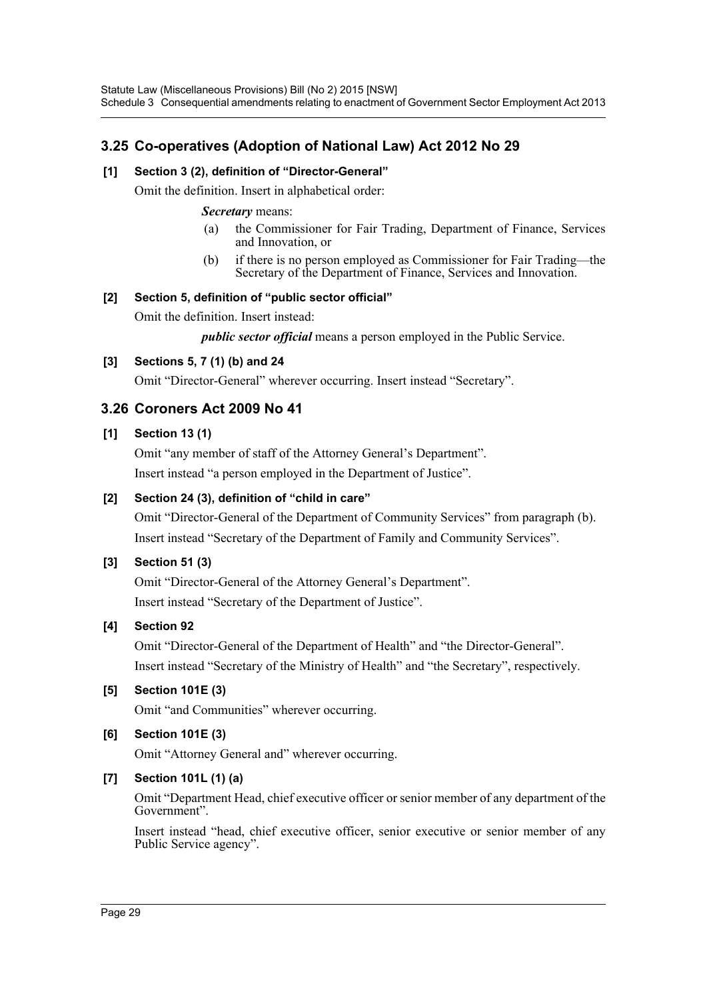# **3.25 Co-operatives (Adoption of National Law) Act 2012 No 29**

# **[1] Section 3 (2), definition of "Director-General"**

Omit the definition. Insert in alphabetical order:

### *Secretary* means:

- (a) the Commissioner for Fair Trading, Department of Finance, Services and Innovation, or
- (b) if there is no person employed as Commissioner for Fair Trading—the Secretary of the Department of Finance, Services and Innovation.

### **[2] Section 5, definition of "public sector official"**

Omit the definition. Insert instead:

*public sector official* means a person employed in the Public Service.

# **[3] Sections 5, 7 (1) (b) and 24**

Omit "Director-General" wherever occurring. Insert instead "Secretary".

# **3.26 Coroners Act 2009 No 41**

# **[1] Section 13 (1)**

Omit "any member of staff of the Attorney General's Department". Insert instead "a person employed in the Department of Justice".

# **[2] Section 24 (3), definition of "child in care"**

Omit "Director-General of the Department of Community Services" from paragraph (b). Insert instead "Secretary of the Department of Family and Community Services".

### **[3] Section 51 (3)**

Omit "Director-General of the Attorney General's Department". Insert instead "Secretary of the Department of Justice".

### **[4] Section 92**

Omit "Director-General of the Department of Health" and "the Director-General". Insert instead "Secretary of the Ministry of Health" and "the Secretary", respectively.

# **[5] Section 101E (3)**

Omit "and Communities" wherever occurring.

### **[6] Section 101E (3)**

Omit "Attorney General and" wherever occurring.

# **[7] Section 101L (1) (a)**

Omit "Department Head, chief executive officer or senior member of any department of the Government".

Insert instead "head, chief executive officer, senior executive or senior member of any Public Service agency".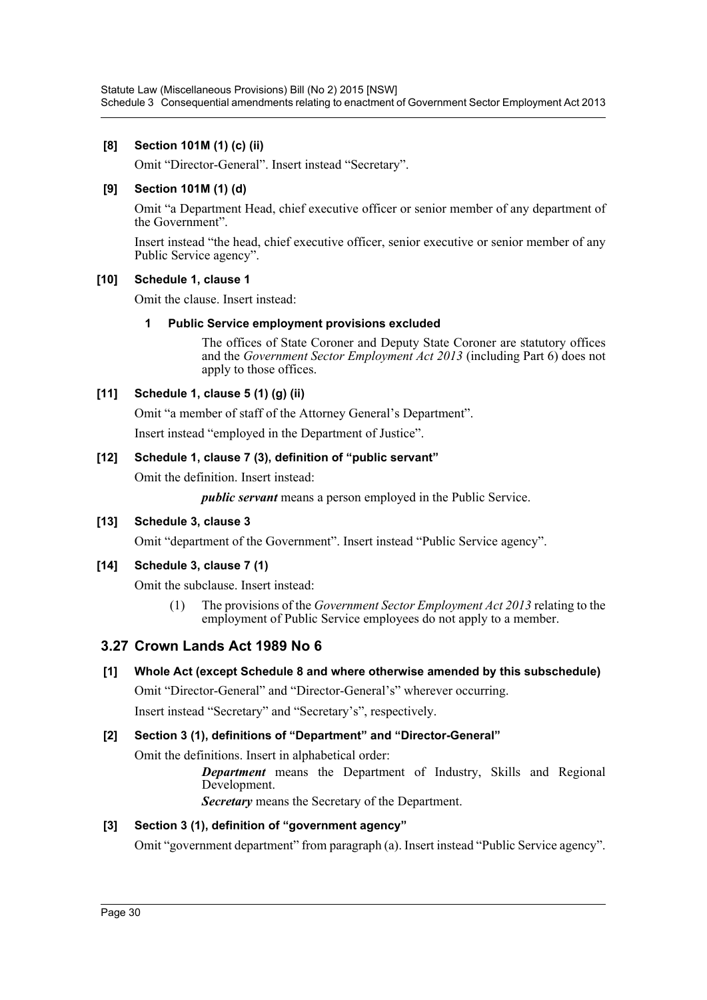### **[8] Section 101M (1) (c) (ii)**

Omit "Director-General". Insert instead "Secretary".

### **[9] Section 101M (1) (d)**

Omit "a Department Head, chief executive officer or senior member of any department of the Government".

Insert instead "the head, chief executive officer, senior executive or senior member of any Public Service agency".

### **[10] Schedule 1, clause 1**

Omit the clause. Insert instead:

### **1 Public Service employment provisions excluded**

The offices of State Coroner and Deputy State Coroner are statutory offices and the *Government Sector Employment Act 2013* (including Part 6) does not apply to those offices.

### **[11] Schedule 1, clause 5 (1) (g) (ii)**

Omit "a member of staff of the Attorney General's Department".

Insert instead "employed in the Department of Justice".

### **[12] Schedule 1, clause 7 (3), definition of "public servant"**

Omit the definition. Insert instead:

*public servant* means a person employed in the Public Service.

### **[13] Schedule 3, clause 3**

Omit "department of the Government". Insert instead "Public Service agency".

### **[14] Schedule 3, clause 7 (1)**

Omit the subclause. Insert instead:

(1) The provisions of the *Government Sector Employment Act 2013* relating to the employment of Public Service employees do not apply to a member.

# **3.27 Crown Lands Act 1989 No 6**

# **[1] Whole Act (except Schedule 8 and where otherwise amended by this subschedule)**

Omit "Director-General" and "Director-General's" wherever occurring.

Insert instead "Secretary" and "Secretary's", respectively.

### **[2] Section 3 (1), definitions of "Department" and "Director-General"**

Omit the definitions. Insert in alphabetical order:

*Department* means the Department of Industry, Skills and Regional Development.

*Secretary* means the Secretary of the Department.

### **[3] Section 3 (1), definition of "government agency"**

Omit "government department" from paragraph (a). Insert instead "Public Service agency".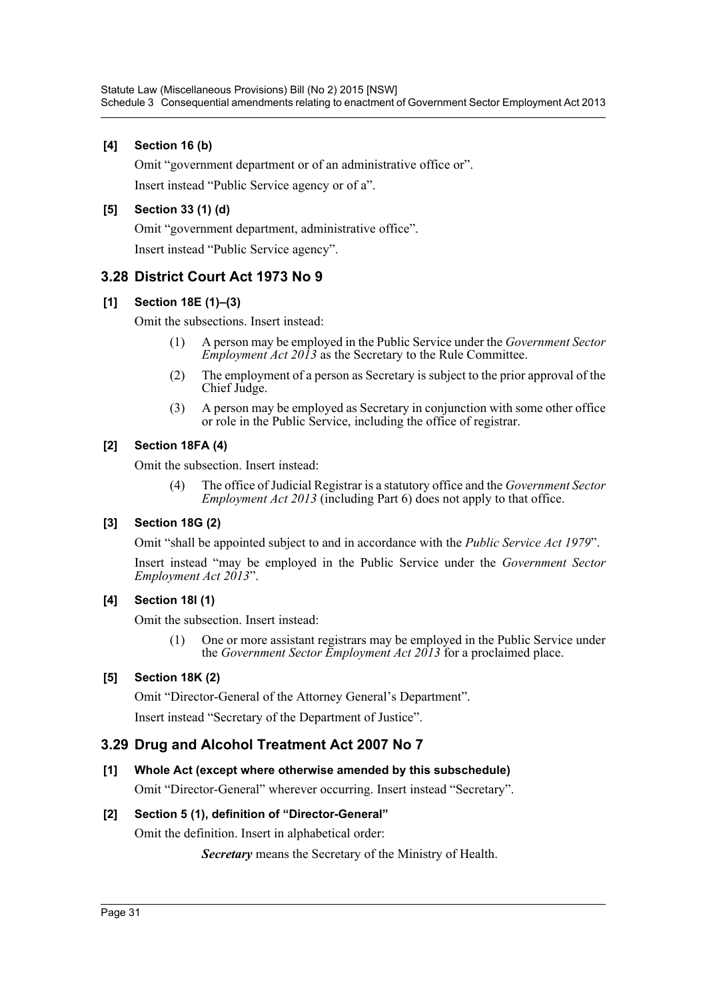### **[4] Section 16 (b)**

Omit "government department or of an administrative office or". Insert instead "Public Service agency or of a".

# **[5] Section 33 (1) (d)**

Omit "government department, administrative office". Insert instead "Public Service agency".

# **3.28 District Court Act 1973 No 9**

# **[1] Section 18E (1)–(3)**

Omit the subsections. Insert instead:

- (1) A person may be employed in the Public Service under the *Government Sector Employment Act 2013* as the Secretary to the Rule Committee.
- (2) The employment of a person as Secretary is subject to the prior approval of the Chief Judge.
- (3) A person may be employed as Secretary in conjunction with some other office or role in the Public Service, including the office of registrar.

# **[2] Section 18FA (4)**

Omit the subsection. Insert instead:

(4) The office of Judicial Registrar is a statutory office and the *Government Sector Employment Act 2013* (including Part 6) does not apply to that office.

# **[3] Section 18G (2)**

Omit "shall be appointed subject to and in accordance with the *Public Service Act 1979*".

Insert instead "may be employed in the Public Service under the *Government Sector Employment Act 2013*".

# **[4] Section 18I (1)**

Omit the subsection. Insert instead:

(1) One or more assistant registrars may be employed in the Public Service under the *Government Sector Employment Act 2013* for a proclaimed place.

### **[5] Section 18K (2)**

Omit "Director-General of the Attorney General's Department". Insert instead "Secretary of the Department of Justice".

# **3.29 Drug and Alcohol Treatment Act 2007 No 7**

### **[1] Whole Act (except where otherwise amended by this subschedule)**

Omit "Director-General" wherever occurring. Insert instead "Secretary".

### **[2] Section 5 (1), definition of "Director-General"**

Omit the definition. Insert in alphabetical order:

*Secretary* means the Secretary of the Ministry of Health.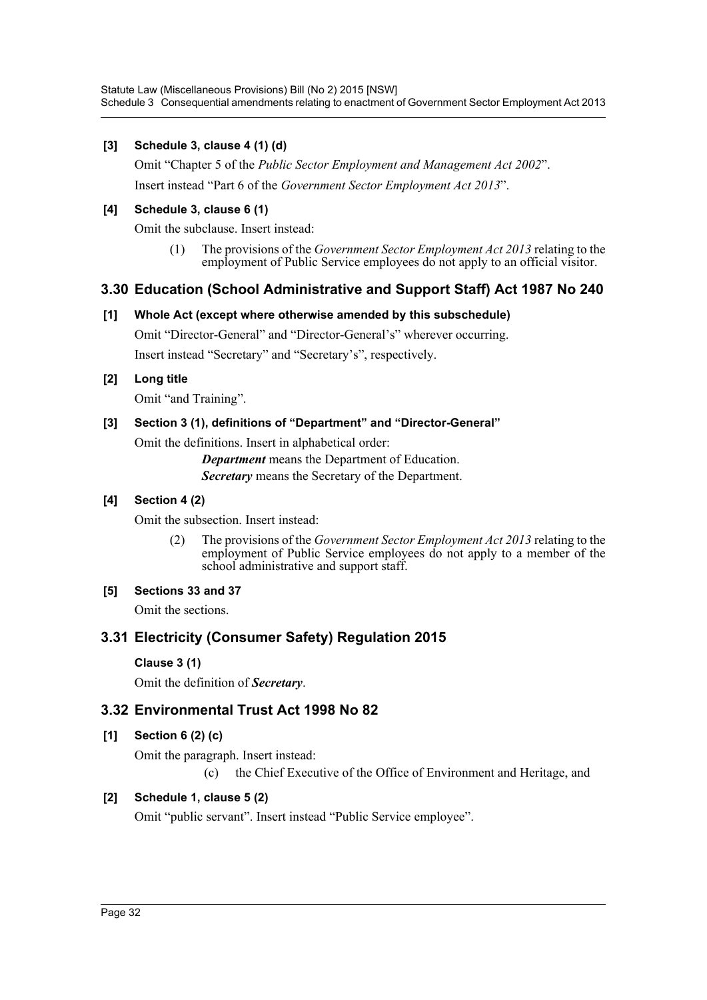Statute Law (Miscellaneous Provisions) Bill (No 2) 2015 [NSW] Schedule 3 Consequential amendments relating to enactment of Government Sector Employment Act 2013

### **[3] Schedule 3, clause 4 (1) (d)**

Omit "Chapter 5 of the *Public Sector Employment and Management Act 2002*". Insert instead "Part 6 of the *Government Sector Employment Act 2013*".

#### **[4] Schedule 3, clause 6 (1)**

Omit the subclause. Insert instead:

(1) The provisions of the *Government Sector Employment Act 2013* relating to the employment of Public Service employees do not apply to an official visitor.

### **3.30 Education (School Administrative and Support Staff) Act 1987 No 240**

### **[1] Whole Act (except where otherwise amended by this subschedule)**

Omit "Director-General" and "Director-General's" wherever occurring.

Insert instead "Secretary" and "Secretary's", respectively.

### **[2] Long title**

Omit "and Training".

### **[3] Section 3 (1), definitions of "Department" and "Director-General"**

Omit the definitions. Insert in alphabetical order:

*Department* means the Department of Education. *Secretary* means the Secretary of the Department.

### **[4] Section 4 (2)**

Omit the subsection. Insert instead:

(2) The provisions of the *Government Sector Employment Act 2013* relating to the employment of Public Service employees do not apply to a member of the school administrative and support staff.

# **[5] Sections 33 and 37**

Omit the sections.

# **3.31 Electricity (Consumer Safety) Regulation 2015**

#### **Clause 3 (1)**

Omit the definition of *Secretary*.

### **3.32 Environmental Trust Act 1998 No 82**

### **[1] Section 6 (2) (c)**

Omit the paragraph. Insert instead:

(c) the Chief Executive of the Office of Environment and Heritage, and

### **[2] Schedule 1, clause 5 (2)**

Omit "public servant". Insert instead "Public Service employee".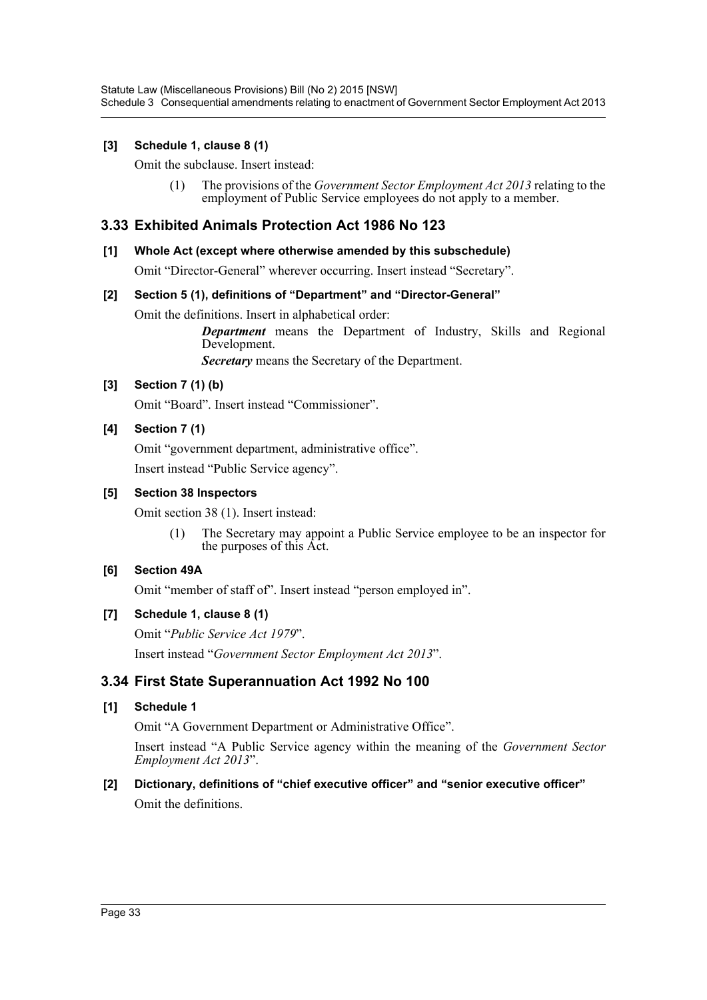Statute Law (Miscellaneous Provisions) Bill (No 2) 2015 [NSW] Schedule 3 Consequential amendments relating to enactment of Government Sector Employment Act 2013

### **[3] Schedule 1, clause 8 (1)**

Omit the subclause. Insert instead:

(1) The provisions of the *Government Sector Employment Act 2013* relating to the employment of Public Service employees do not apply to a member.

### **3.33 Exhibited Animals Protection Act 1986 No 123**

#### **[1] Whole Act (except where otherwise amended by this subschedule)**

Omit "Director-General" wherever occurring. Insert instead "Secretary".

#### **[2] Section 5 (1), definitions of "Department" and "Director-General"**

Omit the definitions. Insert in alphabetical order:

*Department* means the Department of Industry, Skills and Regional Development.

*Secretary* means the Secretary of the Department.

### **[3] Section 7 (1) (b)**

Omit "Board". Insert instead "Commissioner".

#### **[4] Section 7 (1)**

Omit "government department, administrative office". Insert instead "Public Service agency".

#### **[5] Section 38 Inspectors**

Omit section 38 (1). Insert instead:

(1) The Secretary may appoint a Public Service employee to be an inspector for the purposes of this Act.

#### **[6] Section 49A**

Omit "member of staff of". Insert instead "person employed in".

#### **[7] Schedule 1, clause 8 (1)**

Omit "*Public Service Act 1979*". Insert instead "*Government Sector Employment Act 2013*".

### **3.34 First State Superannuation Act 1992 No 100**

#### **[1] Schedule 1**

Omit "A Government Department or Administrative Office".

Insert instead "A Public Service agency within the meaning of the *Government Sector Employment Act 2013*".

#### **[2] Dictionary, definitions of "chief executive officer" and "senior executive officer"**

Omit the definitions.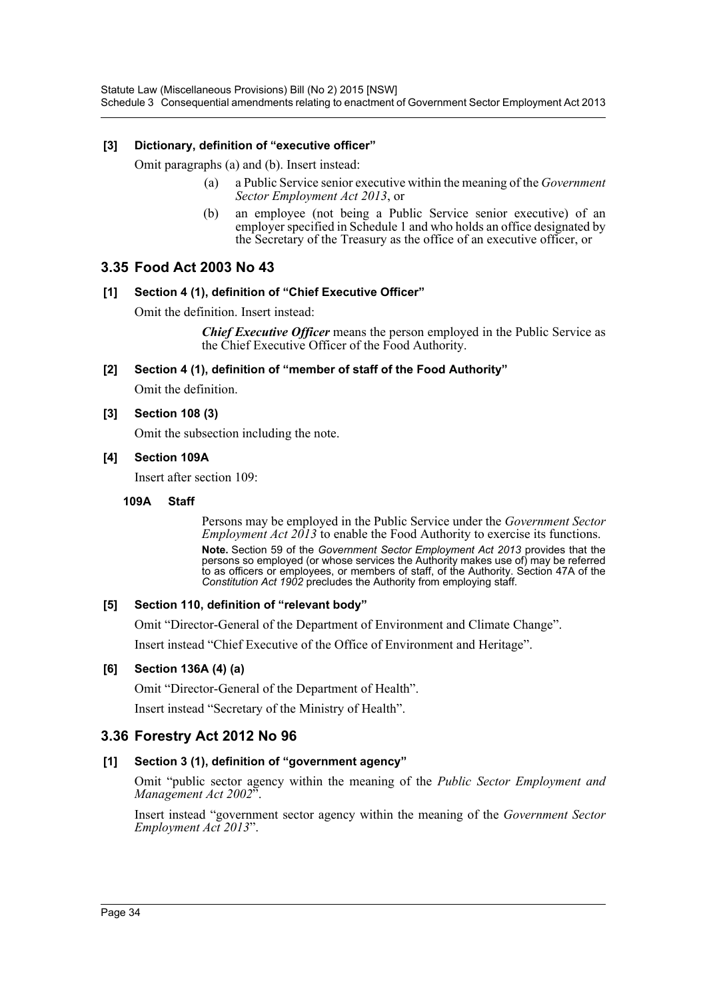### **[3] Dictionary, definition of "executive officer"**

Omit paragraphs (a) and (b). Insert instead:

- (a) a Public Service senior executive within the meaning of the *Government Sector Employment Act 2013*, or
- (b) an employee (not being a Public Service senior executive) of an employer specified in Schedule 1 and who holds an office designated by the Secretary of the Treasury as the office of an executive officer, or

# **3.35 Food Act 2003 No 43**

#### **[1] Section 4 (1), definition of "Chief Executive Officer"**

Omit the definition. Insert instead:

*Chief Executive Officer* means the person employed in the Public Service as the Chief Executive Officer of the Food Authority.

**[2] Section 4 (1), definition of "member of staff of the Food Authority"**

Omit the definition.

### **[3] Section 108 (3)**

Omit the subsection including the note.

#### **[4] Section 109A**

Insert after section 109:

#### **109A Staff**

Persons may be employed in the Public Service under the *Government Sector Employment Act 2013* to enable the Food Authority to exercise its functions. **Note.** Section 59 of the *Government Sector Employment Act 2013* provides that the persons so employed (or whose services the Authority makes use of) may be referred to as officers or employees, or members of staff, of the Authority. Section 47A of the *Constitution Act 1902* precludes the Authority from employing staff.

#### **[5] Section 110, definition of "relevant body"**

Omit "Director-General of the Department of Environment and Climate Change".

Insert instead "Chief Executive of the Office of Environment and Heritage".

### **[6] Section 136A (4) (a)**

Omit "Director-General of the Department of Health".

Insert instead "Secretary of the Ministry of Health".

# **3.36 Forestry Act 2012 No 96**

### **[1] Section 3 (1), definition of "government agency"**

Omit "public sector agency within the meaning of the *Public Sector Employment and Management Act 2002*".

Insert instead "government sector agency within the meaning of the *Government Sector Employment Act 2013*".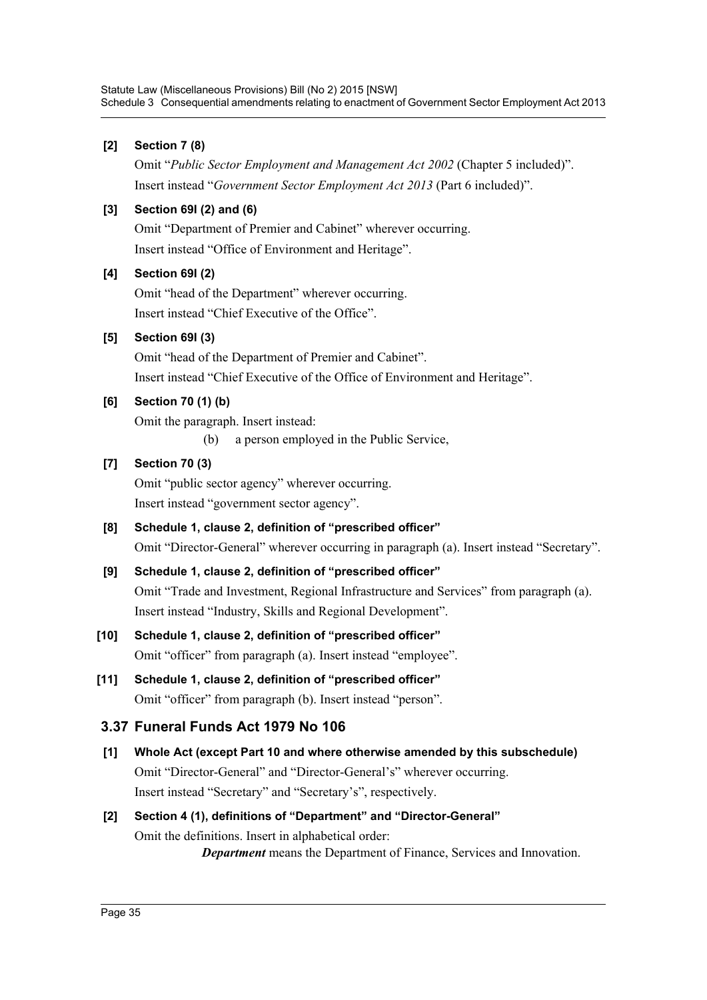# **[2] Section 7 (8)**

Omit "*Public Sector Employment and Management Act 2002* (Chapter 5 included)". Insert instead "*Government Sector Employment Act 2013* (Part 6 included)".

# **[3] Section 69I (2) and (6)**

Omit "Department of Premier and Cabinet" wherever occurring. Insert instead "Office of Environment and Heritage".

# **[4] Section 69I (2)**

Omit "head of the Department" wherever occurring. Insert instead "Chief Executive of the Office".

# **[5] Section 69I (3)**

Omit "head of the Department of Premier and Cabinet". Insert instead "Chief Executive of the Office of Environment and Heritage".

# **[6] Section 70 (1) (b)**

Omit the paragraph. Insert instead:

(b) a person employed in the Public Service,

# **[7] Section 70 (3)**

Omit "public sector agency" wherever occurring. Insert instead "government sector agency".

- **[8] Schedule 1, clause 2, definition of "prescribed officer"** Omit "Director-General" wherever occurring in paragraph (a). Insert instead "Secretary".
- **[9] Schedule 1, clause 2, definition of "prescribed officer"** Omit "Trade and Investment, Regional Infrastructure and Services" from paragraph (a). Insert instead "Industry, Skills and Regional Development".

# **[10] Schedule 1, clause 2, definition of "prescribed officer"** Omit "officer" from paragraph (a). Insert instead "employee".

**[11] Schedule 1, clause 2, definition of "prescribed officer"** Omit "officer" from paragraph (b). Insert instead "person".

# **3.37 Funeral Funds Act 1979 No 106**

**[1] Whole Act (except Part 10 and where otherwise amended by this subschedule)** Omit "Director-General" and "Director-General's" wherever occurring. Insert instead "Secretary" and "Secretary's", respectively.

# **[2] Section 4 (1), definitions of "Department" and "Director-General"** Omit the definitions. Insert in alphabetical order: *Department* means the Department of Finance, Services and Innovation.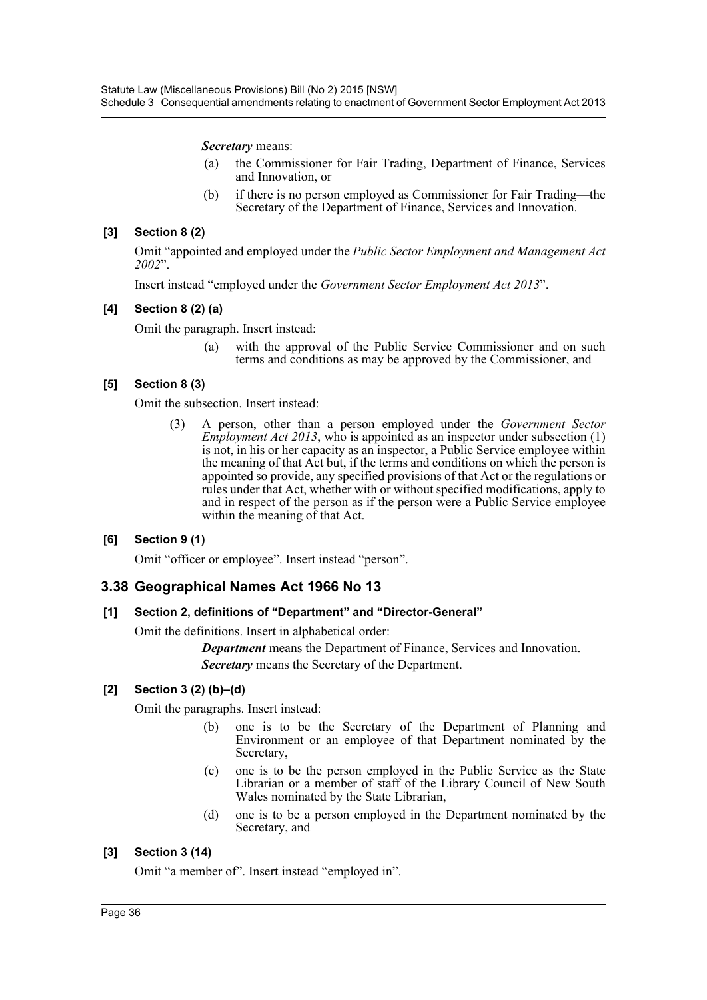*Secretary* means:

- (a) the Commissioner for Fair Trading, Department of Finance, Services and Innovation, or
- (b) if there is no person employed as Commissioner for Fair Trading—the Secretary of the Department of Finance, Services and Innovation.

## **[3] Section 8 (2)**

Omit "appointed and employed under the *Public Sector Employment and Management Act 2002*".

Insert instead "employed under the *Government Sector Employment Act 2013*".

## **[4] Section 8 (2) (a)**

Omit the paragraph. Insert instead:

(a) with the approval of the Public Service Commissioner and on such terms and conditions as may be approved by the Commissioner, and

### **[5] Section 8 (3)**

Omit the subsection. Insert instead:

(3) A person, other than a person employed under the *Government Sector Employment Act 2013*, who is appointed as an inspector under subsection (1) is not, in his or her capacity as an inspector, a Public Service employee within the meaning of that Act but, if the terms and conditions on which the person is appointed so provide, any specified provisions of that Act or the regulations or rules under that Act, whether with or without specified modifications, apply to and in respect of the person as if the person were a Public Service employee within the meaning of that Act.

## **[6] Section 9 (1)**

Omit "officer or employee". Insert instead "person".

## **3.38 Geographical Names Act 1966 No 13**

### **[1] Section 2, definitions of "Department" and "Director-General"**

Omit the definitions. Insert in alphabetical order:

*Department* means the Department of Finance, Services and Innovation. *Secretary* means the Secretary of the Department.

## **[2] Section 3 (2) (b)–(d)**

Omit the paragraphs. Insert instead:

- (b) one is to be the Secretary of the Department of Planning and Environment or an employee of that Department nominated by the Secretary,
- (c) one is to be the person employed in the Public Service as the State Librarian or a member of staff of the Library Council of New South Wales nominated by the State Librarian,
- (d) one is to be a person employed in the Department nominated by the Secretary, and

## **[3] Section 3 (14)**

Omit "a member of". Insert instead "employed in".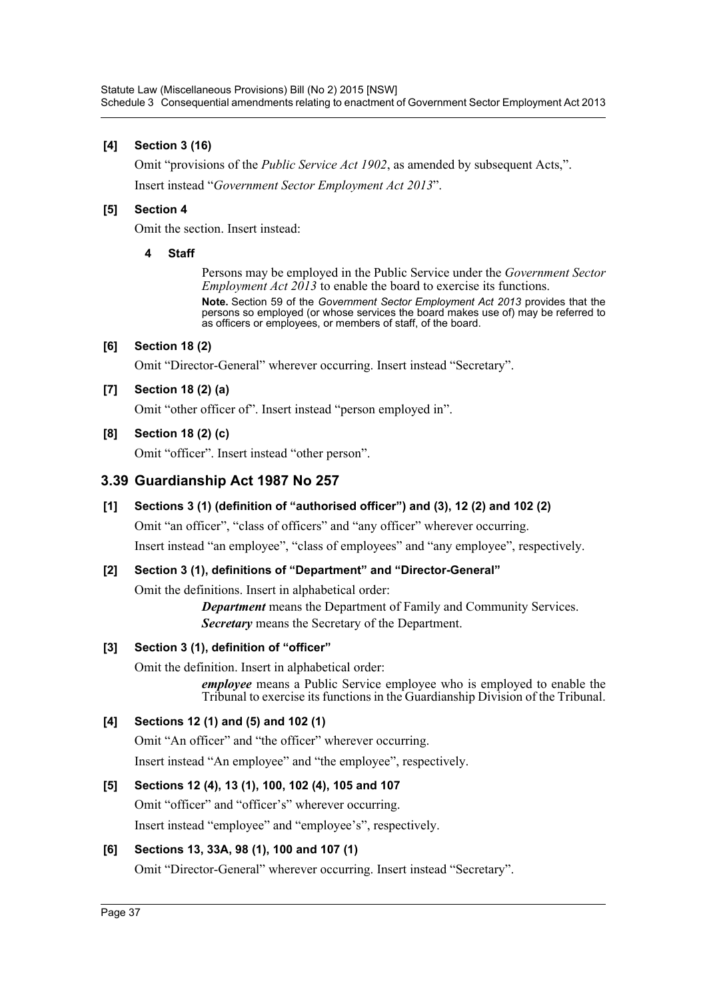# **[4] Section 3 (16)**

Omit "provisions of the *Public Service Act 1902*, as amended by subsequent Acts,". Insert instead "*Government Sector Employment Act 2013*".

## **[5] Section 4**

Omit the section. Insert instead:

### **4 Staff**

Persons may be employed in the Public Service under the *Government Sector Employment Act 2013* to enable the board to exercise its functions. **Note.** Section 59 of the *Government Sector Employment Act 2013* provides that the persons so employed (or whose services the board makes use of) may be referred to as officers or employees, or members of staff, of the board.

## **[6] Section 18 (2)**

Omit "Director-General" wherever occurring. Insert instead "Secretary".

# **[7] Section 18 (2) (a)**

Omit "other officer of". Insert instead "person employed in".

## **[8] Section 18 (2) (c)**

Omit "officer". Insert instead "other person".

# **3.39 Guardianship Act 1987 No 257**

# **[1] Sections 3 (1) (definition of "authorised officer") and (3), 12 (2) and 102 (2)**

Omit "an officer", "class of officers" and "any officer" wherever occurring.

Insert instead "an employee", "class of employees" and "any employee", respectively.

# **[2] Section 3 (1), definitions of "Department" and "Director-General"**

Omit the definitions. Insert in alphabetical order:

*Department* means the Department of Family and Community Services. *Secretary* means the Secretary of the Department.

# **[3] Section 3 (1), definition of "officer"**

Omit the definition. Insert in alphabetical order:

*employee* means a Public Service employee who is employed to enable the Tribunal to exercise its functions in the Guardianship Division of the Tribunal.

# **[4] Sections 12 (1) and (5) and 102 (1)**

Omit "An officer" and "the officer" wherever occurring. Insert instead "An employee" and "the employee", respectively.

## **[5] Sections 12 (4), 13 (1), 100, 102 (4), 105 and 107**

Omit "officer" and "officer's" wherever occurring.

Insert instead "employee" and "employee's", respectively.

# **[6] Sections 13, 33A, 98 (1), 100 and 107 (1)**

Omit "Director-General" wherever occurring. Insert instead "Secretary".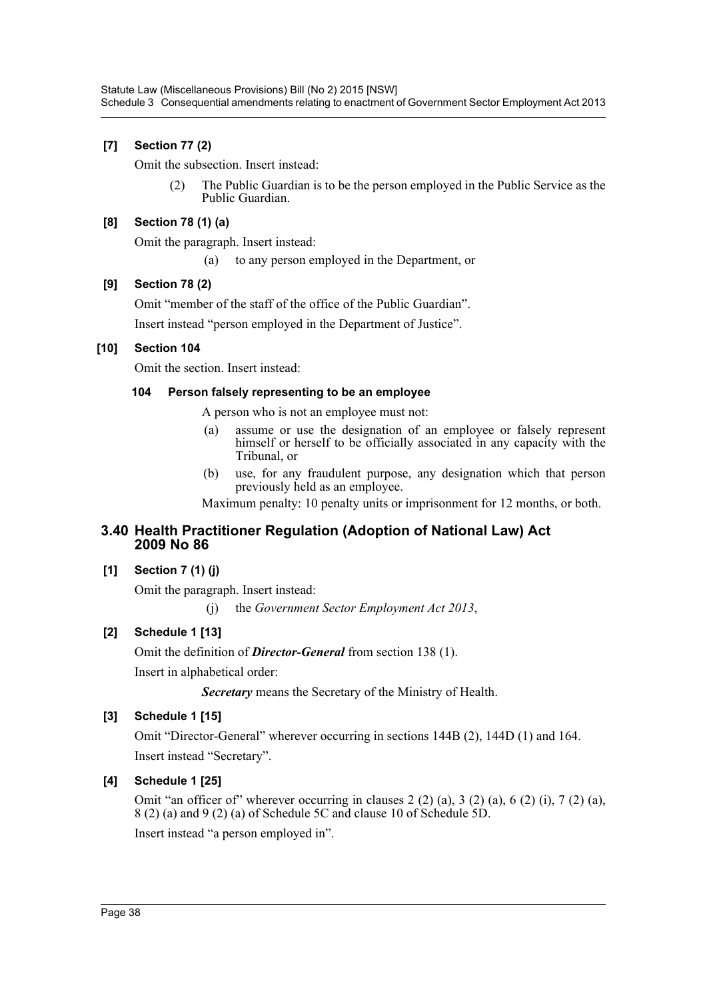# **[7] Section 77 (2)**

Omit the subsection. Insert instead:

(2) The Public Guardian is to be the person employed in the Public Service as the Public Guardian.

## **[8] Section 78 (1) (a)**

Omit the paragraph. Insert instead:

(a) to any person employed in the Department, or

## **[9] Section 78 (2)**

Omit "member of the staff of the office of the Public Guardian".

Insert instead "person employed in the Department of Justice".

## **[10] Section 104**

Omit the section. Insert instead:

## **104 Person falsely representing to be an employee**

A person who is not an employee must not:

- (a) assume or use the designation of an employee or falsely represent himself or herself to be officially associated in any capacity with the Tribunal, or
- (b) use, for any fraudulent purpose, any designation which that person previously held as an employee.

Maximum penalty: 10 penalty units or imprisonment for 12 months, or both.

# **3.40 Health Practitioner Regulation (Adoption of National Law) Act 2009 No 86**

## **[1] Section 7 (1) (j)**

Omit the paragraph. Insert instead:

(j) the *Government Sector Employment Act 2013*,

# **[2] Schedule 1 [13]**

Omit the definition of *Director-General* from section 138 (1).

Insert in alphabetical order:

*Secretary* means the Secretary of the Ministry of Health.

## **[3] Schedule 1 [15]**

Omit "Director-General" wherever occurring in sections 144B (2), 144D (1) and 164. Insert instead "Secretary".

## **[4] Schedule 1 [25]**

Omit "an officer of" wherever occurring in clauses  $2(2)$  (a),  $3(2)$  (a),  $6(2)$  (i),  $7(2)$  (a), 8 (2) (a) and 9 (2) (a) of Schedule 5C and clause 10 of Schedule 5D.

Insert instead "a person employed in".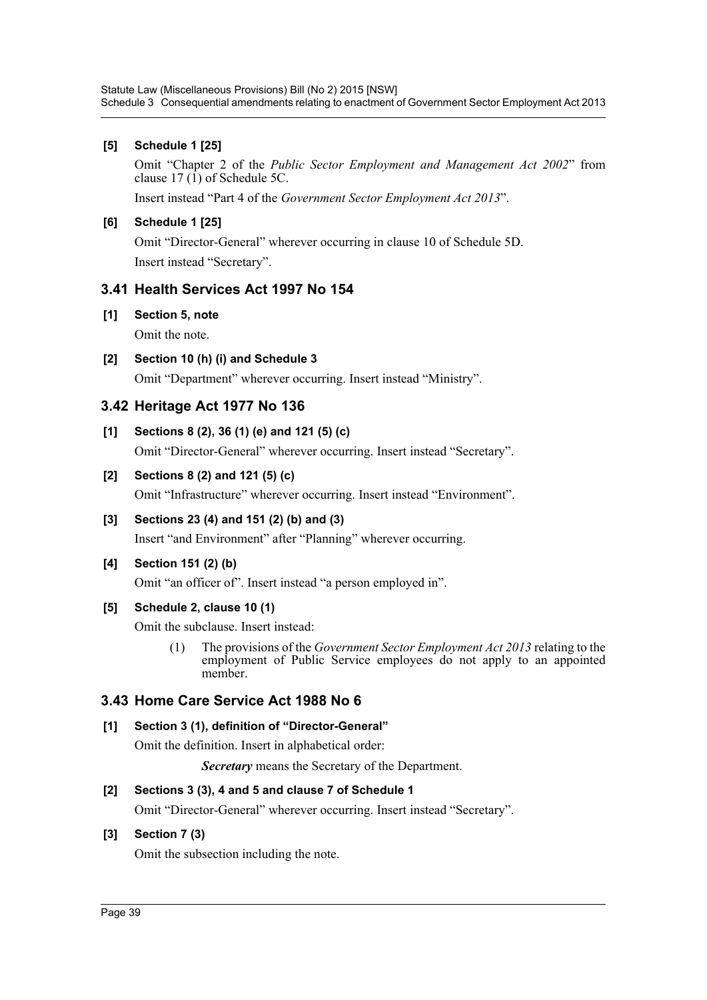## **[5] Schedule 1 [25]**

Omit "Chapter 2 of the *Public Sector Employment and Management Act 2002*" from clause  $17 \overline{1}$  of Schedule 5C.

Insert instead "Part 4 of the *Government Sector Employment Act 2013*".

# **[6] Schedule 1 [25]**

Omit "Director-General" wherever occurring in clause 10 of Schedule 5D. Insert instead "Secretary".

# **3.41 Health Services Act 1997 No 154**

**[1] Section 5, note**

Omit the note.

**[2] Section 10 (h) (i) and Schedule 3** Omit "Department" wherever occurring. Insert instead "Ministry".

# **3.42 Heritage Act 1977 No 136**

**[1] Sections 8 (2), 36 (1) (e) and 121 (5) (c)**

Omit "Director-General" wherever occurring. Insert instead "Secretary".

# **[2] Sections 8 (2) and 121 (5) (c)**

Omit "Infrastructure" wherever occurring. Insert instead "Environment".

# **[3] Sections 23 (4) and 151 (2) (b) and (3)**

Insert "and Environment" after "Planning" wherever occurring.

## **[4] Section 151 (2) (b)**

Omit "an officer of". Insert instead "a person employed in".

## **[5] Schedule 2, clause 10 (1)**

Omit the subclause. Insert instead:

(1) The provisions of the *Government Sector Employment Act 2013* relating to the employment of Public Service employees do not apply to an appointed member.

# **3.43 Home Care Service Act 1988 No 6**

# **[1] Section 3 (1), definition of "Director-General"**

Omit the definition. Insert in alphabetical order:

*Secretary* means the Secretary of the Department.

# **[2] Sections 3 (3), 4 and 5 and clause 7 of Schedule 1**

Omit "Director-General" wherever occurring. Insert instead "Secretary".

# **[3] Section 7 (3)**

Omit the subsection including the note.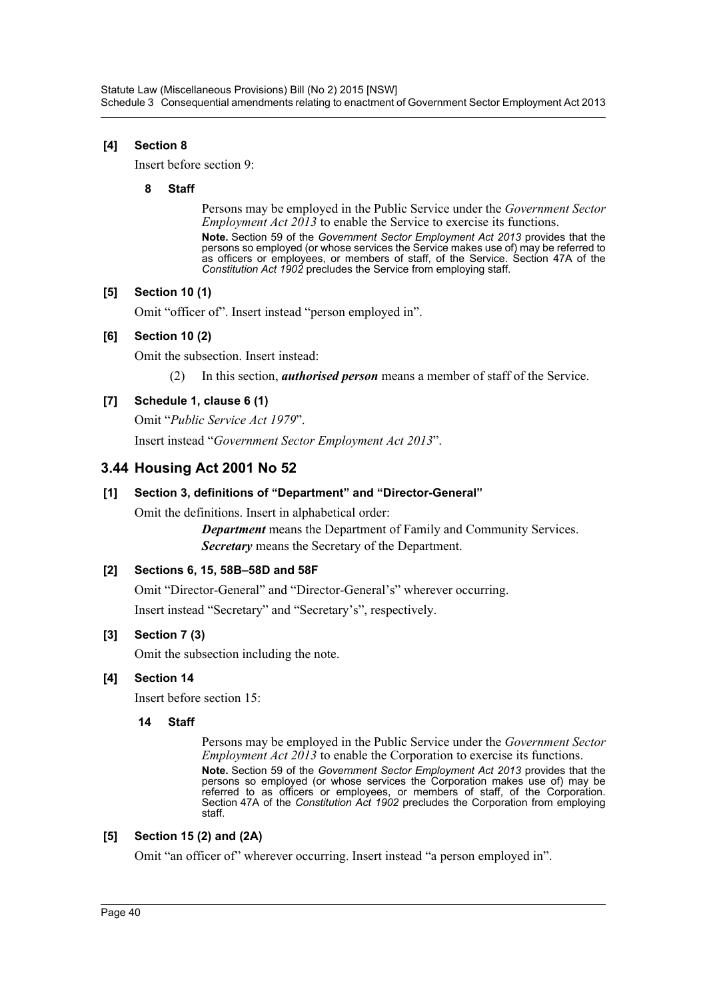## **[4] Section 8**

Insert before section 9:

### **8 Staff**

Persons may be employed in the Public Service under the *Government Sector Employment Act 2013* to enable the Service to exercise its functions.

**Note.** Section 59 of the *Government Sector Employment Act 2013* provides that the persons so employed (or whose services the Service makes use of) may be referred to as officers or employees, or members of staff, of the Service. Section 47A of the *Constitution Act 1902* precludes the Service from employing staff.

## **[5] Section 10 (1)**

Omit "officer of". Insert instead "person employed in".

## **[6] Section 10 (2)**

Omit the subsection. Insert instead:

(2) In this section, *authorised person* means a member of staff of the Service.

# **[7] Schedule 1, clause 6 (1)**

Omit "*Public Service Act 1979*". Insert instead "*Government Sector Employment Act 2013*".

# **3.44 Housing Act 2001 No 52**

## **[1] Section 3, definitions of "Department" and "Director-General"**

Omit the definitions. Insert in alphabetical order:

*Department* means the Department of Family and Community Services. *Secretary* means the Secretary of the Department.

## **[2] Sections 6, 15, 58B–58D and 58F**

Omit "Director-General" and "Director-General's" wherever occurring. Insert instead "Secretary" and "Secretary's", respectively.

## **[3] Section 7 (3)**

Omit the subsection including the note.

## **[4] Section 14**

Insert before section 15:

### **14 Staff**

Persons may be employed in the Public Service under the *Government Sector Employment Act 2013* to enable the Corporation to exercise its functions. **Note.** Section 59 of the *Government Sector Employment Act 2013* provides that the persons so employed (or whose services the Corporation makes use of) may be referred to as officers or employees, or members of staff, of the Corporation. Section 47A of the *Constitution Act 1902* precludes the Corporation from employing staff.

## **[5] Section 15 (2) and (2A)**

Omit "an officer of" wherever occurring. Insert instead "a person employed in".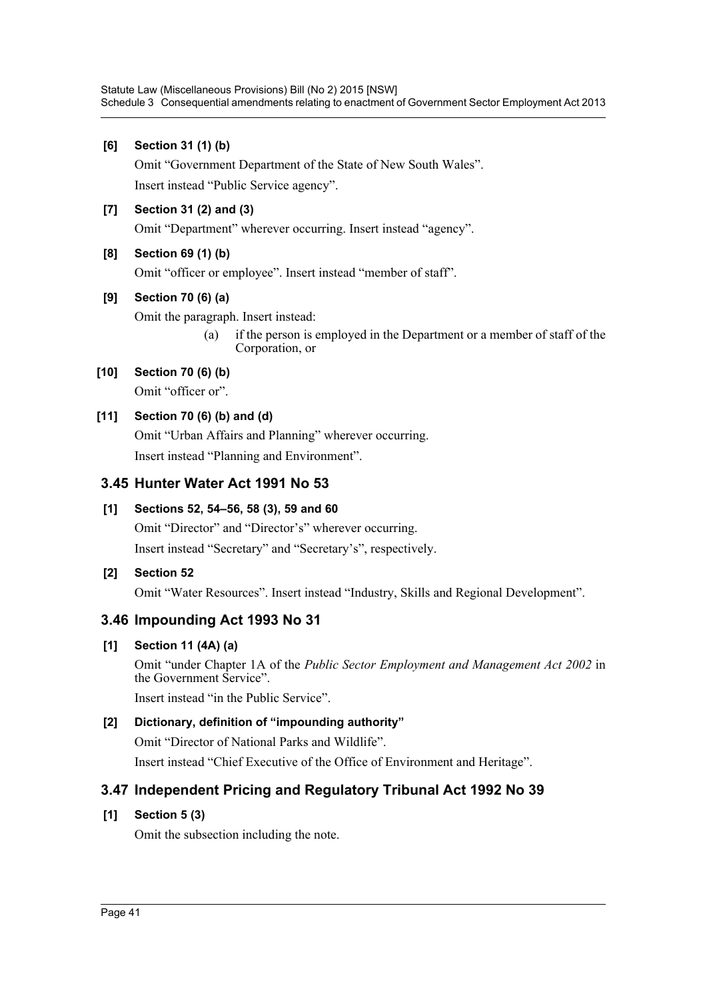## **[6] Section 31 (1) (b)**

Omit "Government Department of the State of New South Wales". Insert instead "Public Service agency".

# **[7] Section 31 (2) and (3)**

Omit "Department" wherever occurring. Insert instead "agency".

# **[8] Section 69 (1) (b)**

Omit "officer or employee". Insert instead "member of staff".

# **[9] Section 70 (6) (a)**

Omit the paragraph. Insert instead:

(a) if the person is employed in the Department or a member of staff of the Corporation, or

# **[10] Section 70 (6) (b)**

Omit "officer or".

# **[11] Section 70 (6) (b) and (d)**

Omit "Urban Affairs and Planning" wherever occurring. Insert instead "Planning and Environment".

# **3.45 Hunter Water Act 1991 No 53**

# **[1] Sections 52, 54–56, 58 (3), 59 and 60**

Omit "Director" and "Director's" wherever occurring. Insert instead "Secretary" and "Secretary's", respectively.

## **[2] Section 52**

Omit "Water Resources". Insert instead "Industry, Skills and Regional Development".

# **3.46 Impounding Act 1993 No 31**

# **[1] Section 11 (4A) (a)**

Omit "under Chapter 1A of the *Public Sector Employment and Management Act 2002* in the Government Service".

Insert instead "in the Public Service".

# **[2] Dictionary, definition of "impounding authority"**

Omit "Director of National Parks and Wildlife".

Insert instead "Chief Executive of the Office of Environment and Heritage".

# **3.47 Independent Pricing and Regulatory Tribunal Act 1992 No 39**

## **[1] Section 5 (3)**

Omit the subsection including the note.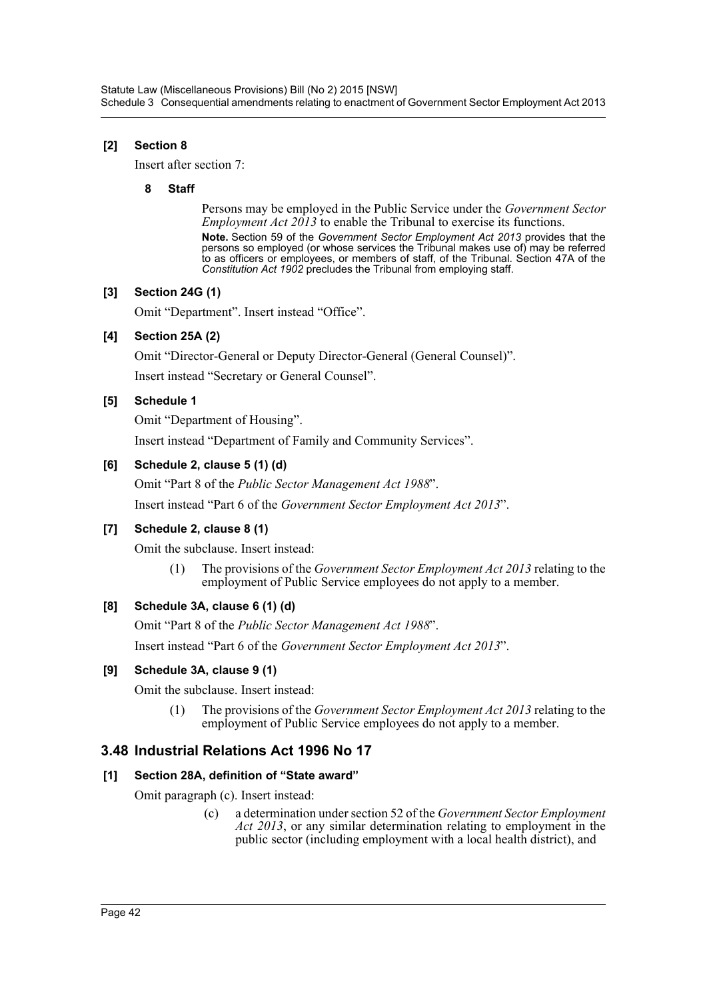# **[2] Section 8**

Insert after section 7:

### **8 Staff**

Persons may be employed in the Public Service under the *Government Sector Employment Act 2013* to enable the Tribunal to exercise its functions. **Note.** Section 59 of the *Government Sector Employment Act 2013* provides that the persons so employed (or whose services the Tribunal makes use of) may be referred to as officers or employees, or members of staff, of the Tribunal. Section 47A of the *Constitution Act 1902* precludes the Tribunal from employing staff.

## **[3] Section 24G (1)**

Omit "Department". Insert instead "Office".

## **[4] Section 25A (2)**

Omit "Director-General or Deputy Director-General (General Counsel)". Insert instead "Secretary or General Counsel".

# **[5] Schedule 1**

Omit "Department of Housing".

Insert instead "Department of Family and Community Services".

# **[6] Schedule 2, clause 5 (1) (d)**

Omit "Part 8 of the *Public Sector Management Act 1988*". Insert instead "Part 6 of the *Government Sector Employment Act 2013*".

# **[7] Schedule 2, clause 8 (1)**

Omit the subclause. Insert instead:

(1) The provisions of the *Government Sector Employment Act 2013* relating to the employment of Public Service employees do not apply to a member.

# **[8] Schedule 3A, clause 6 (1) (d)**

Omit "Part 8 of the *Public Sector Management Act 1988*". Insert instead "Part 6 of the *Government Sector Employment Act 2013*".

## **[9] Schedule 3A, clause 9 (1)**

Omit the subclause. Insert instead:

(1) The provisions of the *Government Sector Employment Act 2013* relating to the employment of Public Service employees do not apply to a member.

# **3.48 Industrial Relations Act 1996 No 17**

## **[1] Section 28A, definition of "State award"**

Omit paragraph (c). Insert instead:

(c) a determination under section 52 of the *Government Sector Employment Act 2013*, or any similar determination relating to employment in the public sector (including employment with a local health district), and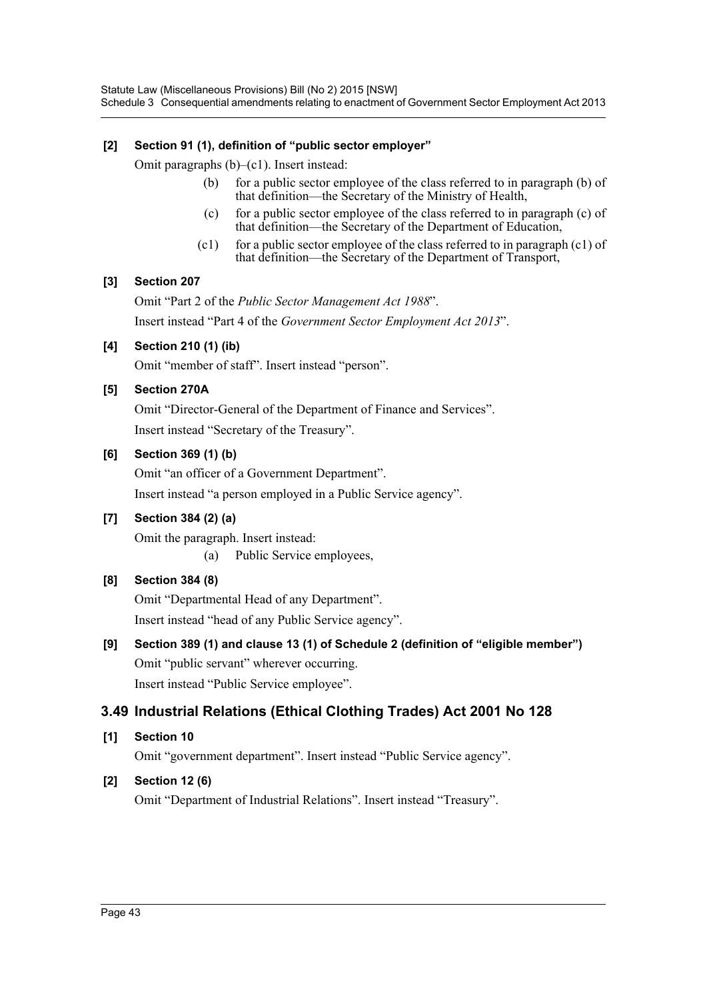# **[2] Section 91 (1), definition of "public sector employer"**

Omit paragraphs (b)–(c1). Insert instead:

- (b) for a public sector employee of the class referred to in paragraph (b) of that definition—the Secretary of the Ministry of Health,
- (c) for a public sector employee of the class referred to in paragraph (c) of that definition—the Secretary of the Department of Education,
- (c1) for a public sector employee of the class referred to in paragraph  $(c1)$  of that definition—the Secretary of the Department of Transport,

## **[3] Section 207**

Omit "Part 2 of the *Public Sector Management Act 1988*". Insert instead "Part 4 of the *Government Sector Employment Act 2013*".

## **[4] Section 210 (1) (ib)**

Omit "member of staff". Insert instead "person".

## **[5] Section 270A**

Omit "Director-General of the Department of Finance and Services". Insert instead "Secretary of the Treasury".

### **[6] Section 369 (1) (b)**

Omit "an officer of a Government Department". Insert instead "a person employed in a Public Service agency".

# **[7] Section 384 (2) (a)**

Omit the paragraph. Insert instead: (a) Public Service employees,

## **[8] Section 384 (8)**

Omit "Departmental Head of any Department". Insert instead "head of any Public Service agency".

**[9] Section 389 (1) and clause 13 (1) of Schedule 2 (definition of "eligible member")** Omit "public servant" wherever occurring. Insert instead "Public Service employee".

# **3.49 Industrial Relations (Ethical Clothing Trades) Act 2001 No 128**

**[1] Section 10**

Omit "government department". Insert instead "Public Service agency".

## **[2] Section 12 (6)**

Omit "Department of Industrial Relations". Insert instead "Treasury".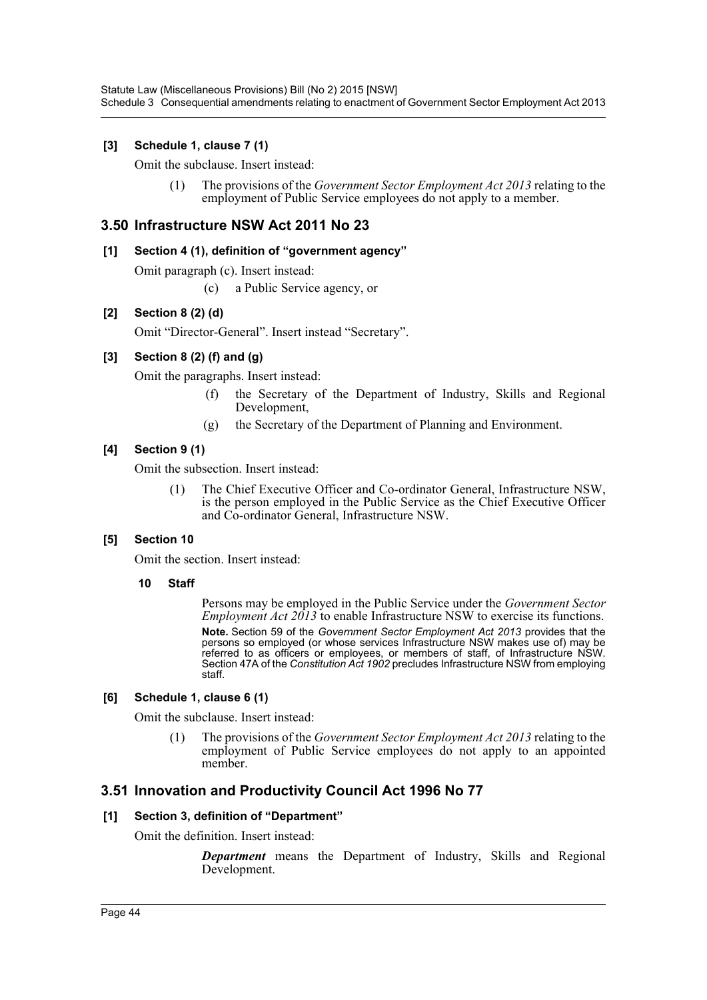Statute Law (Miscellaneous Provisions) Bill (No 2) 2015 [NSW] Schedule 3 Consequential amendments relating to enactment of Government Sector Employment Act 2013

### **[3] Schedule 1, clause 7 (1)**

Omit the subclause. Insert instead:

(1) The provisions of the *Government Sector Employment Act 2013* relating to the employment of Public Service employees do not apply to a member.

## **3.50 Infrastructure NSW Act 2011 No 23**

### **[1] Section 4 (1), definition of "government agency"**

Omit paragraph (c). Insert instead:

(c) a Public Service agency, or

### **[2] Section 8 (2) (d)**

Omit "Director-General". Insert instead "Secretary".

### **[3] Section 8 (2) (f) and (g)**

Omit the paragraphs. Insert instead:

- (f) the Secretary of the Department of Industry, Skills and Regional Development,
- (g) the Secretary of the Department of Planning and Environment.

### **[4] Section 9 (1)**

Omit the subsection. Insert instead:

(1) The Chief Executive Officer and Co-ordinator General, Infrastructure NSW, is the person employed in the Public Service as the Chief Executive Officer and Co-ordinator General, Infrastructure NSW.

### **[5] Section 10**

Omit the section. Insert instead:

**10 Staff**

Persons may be employed in the Public Service under the *Government Sector Employment Act 2013* to enable Infrastructure NSW to exercise its functions. **Note.** Section 59 of the *Government Sector Employment Act 2013* provides that the persons so employed (or whose services Infrastructure NSW makes use of) may be referred to as officers or employees, or members of staff, of Infrastructure NSW. Section 47A of the *Constitution Act 1902* precludes Infrastructure NSW from employing staff.

### **[6] Schedule 1, clause 6 (1)**

Omit the subclause. Insert instead:

(1) The provisions of the *Government Sector Employment Act 2013* relating to the employment of Public Service employees do not apply to an appointed member

## **3.51 Innovation and Productivity Council Act 1996 No 77**

### **[1] Section 3, definition of "Department"**

Omit the definition. Insert instead:

*Department* means the Department of Industry, Skills and Regional Development.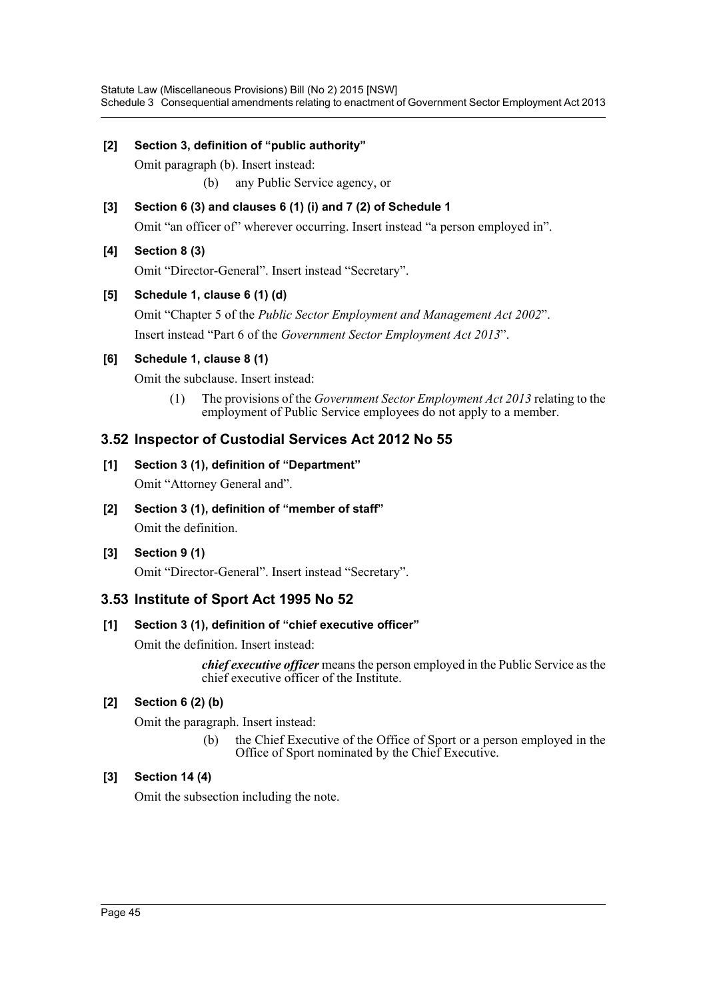## **[2] Section 3, definition of "public authority"**

Omit paragraph (b). Insert instead: (b) any Public Service agency, or

**[3] Section 6 (3) and clauses 6 (1) (i) and 7 (2) of Schedule 1** Omit "an officer of" wherever occurring. Insert instead "a person employed in".

# **[4] Section 8 (3)**

Omit "Director-General". Insert instead "Secretary".

# **[5] Schedule 1, clause 6 (1) (d)**

Omit "Chapter 5 of the *Public Sector Employment and Management Act 2002*". Insert instead "Part 6 of the *Government Sector Employment Act 2013*".

## **[6] Schedule 1, clause 8 (1)**

Omit the subclause. Insert instead:

(1) The provisions of the *Government Sector Employment Act 2013* relating to the employment of Public Service employees do not apply to a member.

# **3.52 Inspector of Custodial Services Act 2012 No 55**

## **[1] Section 3 (1), definition of "Department"**

Omit "Attorney General and".

**[2] Section 3 (1), definition of "member of staff"** Omit the definition.

## **[3] Section 9 (1)**

Omit "Director-General". Insert instead "Secretary".

# **3.53 Institute of Sport Act 1995 No 52**

## **[1] Section 3 (1), definition of "chief executive officer"**

Omit the definition. Insert instead:

*chief executive officer* means the person employed in the Public Service as the chief executive officer of the Institute.

## **[2] Section 6 (2) (b)**

Omit the paragraph. Insert instead:

(b) the Chief Executive of the Office of Sport or a person employed in the Office of Sport nominated by the Chief Executive.

## **[3] Section 14 (4)**

Omit the subsection including the note.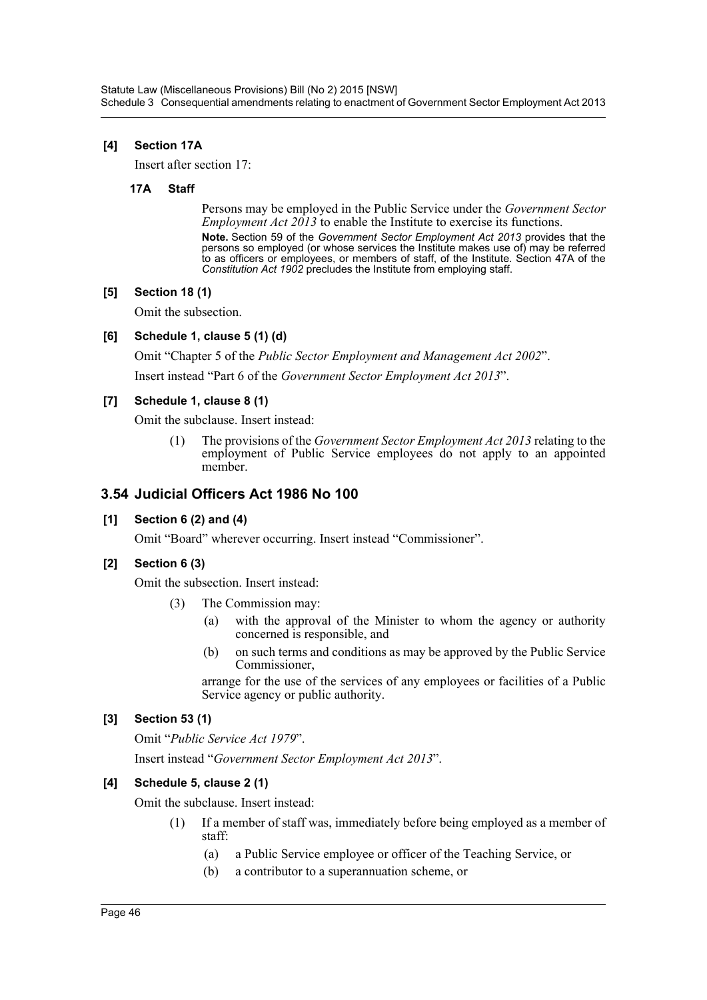## **[4] Section 17A**

Insert after section 17:

### **17A Staff**

Persons may be employed in the Public Service under the *Government Sector Employment Act 2013* to enable the Institute to exercise its functions. **Note.** Section 59 of the *Government Sector Employment Act 2013* provides that the persons so employed (or whose services the Institute makes use of) may be referred to as officers or employees, or members of staff, of the Institute. Section 47A of the

### **[5] Section 18 (1)**

Omit the subsection.

### **[6] Schedule 1, clause 5 (1) (d)**

Omit "Chapter 5 of the *Public Sector Employment and Management Act 2002*". Insert instead "Part 6 of the *Government Sector Employment Act 2013*".

*Constitution Act 1902* precludes the Institute from employing staff.

### **[7] Schedule 1, clause 8 (1)**

Omit the subclause. Insert instead:

(1) The provisions of the *Government Sector Employment Act 2013* relating to the employment of Public Service employees do not apply to an appointed member.

# **3.54 Judicial Officers Act 1986 No 100**

## **[1] Section 6 (2) and (4)**

Omit "Board" wherever occurring. Insert instead "Commissioner".

## **[2] Section 6 (3)**

Omit the subsection. Insert instead:

- (3) The Commission may:
	- (a) with the approval of the Minister to whom the agency or authority concerned is responsible, and
	- (b) on such terms and conditions as may be approved by the Public Service Commissioner,

arrange for the use of the services of any employees or facilities of a Public Service agency or public authority.

## **[3] Section 53 (1)**

Omit "*Public Service Act 1979*".

Insert instead "*Government Sector Employment Act 2013*".

## **[4] Schedule 5, clause 2 (1)**

Omit the subclause. Insert instead:

- (1) If a member of staff was, immediately before being employed as a member of staff:
	- (a) a Public Service employee or officer of the Teaching Service, or
	- (b) a contributor to a superannuation scheme, or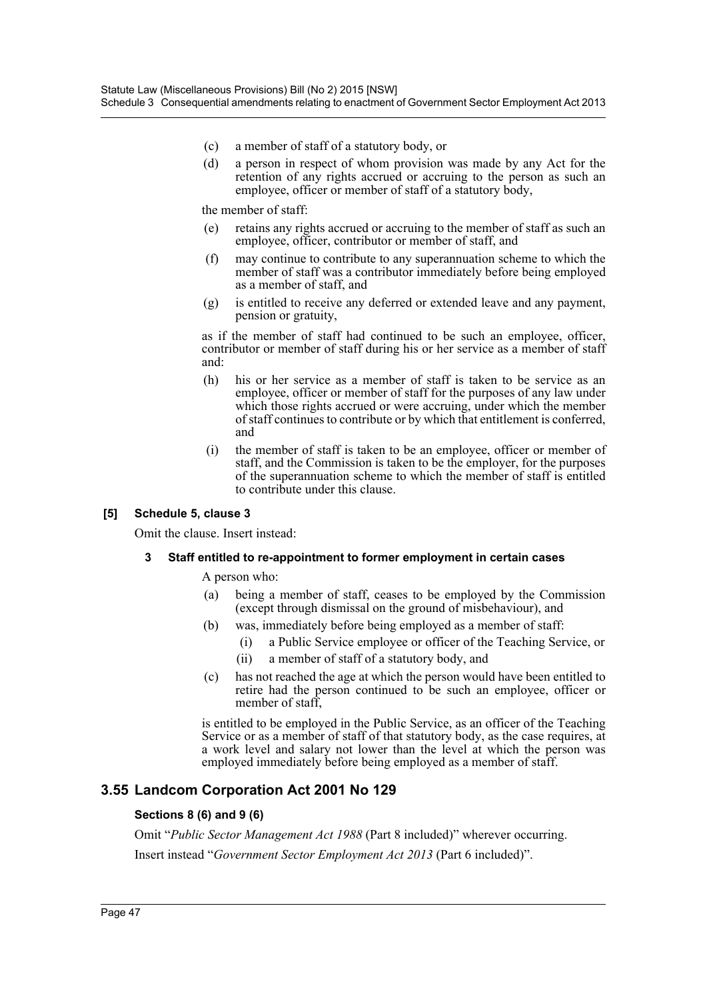- (c) a member of staff of a statutory body, or
- (d) a person in respect of whom provision was made by any Act for the retention of any rights accrued or accruing to the person as such an employee, officer or member of staff of a statutory body,

the member of staff:

- (e) retains any rights accrued or accruing to the member of staff as such an employee, officer, contributor or member of staff, and
- (f) may continue to contribute to any superannuation scheme to which the member of staff was a contributor immediately before being employed as a member of staff, and
- (g) is entitled to receive any deferred or extended leave and any payment, pension or gratuity,

as if the member of staff had continued to be such an employee, officer, contributor or member of staff during his or her service as a member of staff and:

- (h) his or her service as a member of staff is taken to be service as an employee, officer or member of staff for the purposes of any law under which those rights accrued or were accruing, under which the member of staff continues to contribute or by which that entitlement is conferred, and
- (i) the member of staff is taken to be an employee, officer or member of staff, and the Commission is taken to be the employer, for the purposes of the superannuation scheme to which the member of staff is entitled to contribute under this clause.

### **[5] Schedule 5, clause 3**

Omit the clause. Insert instead:

### **3 Staff entitled to re-appointment to former employment in certain cases**

A person who:

- (a) being a member of staff, ceases to be employed by the Commission (except through dismissal on the ground of misbehaviour), and
- (b) was, immediately before being employed as a member of staff:
	- (i) a Public Service employee or officer of the Teaching Service, or
	- (ii) a member of staff of a statutory body, and
- (c) has not reached the age at which the person would have been entitled to retire had the person continued to be such an employee, officer or member of staff,

is entitled to be employed in the Public Service, as an officer of the Teaching Service or as a member of staff of that statutory body, as the case requires, at a work level and salary not lower than the level at which the person was employed immediately before being employed as a member of staff.

## **3.55 Landcom Corporation Act 2001 No 129**

### **Sections 8 (6) and 9 (6)**

Omit "*Public Sector Management Act 1988* (Part 8 included)" wherever occurring.

Insert instead "*Government Sector Employment Act 2013* (Part 6 included)".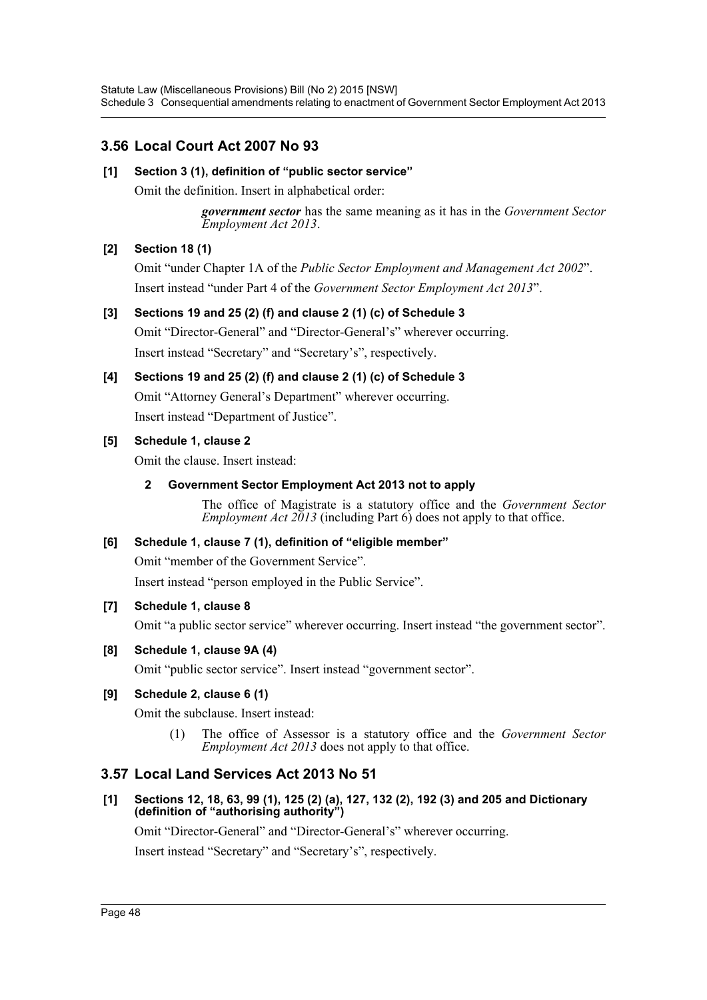# **3.56 Local Court Act 2007 No 93**

# **[1] Section 3 (1), definition of "public sector service"**

Omit the definition. Insert in alphabetical order:

*government sector* has the same meaning as it has in the *Government Sector Employment Act 2013*.

# **[2] Section 18 (1)**

Omit "under Chapter 1A of the *Public Sector Employment and Management Act 2002*". Insert instead "under Part 4 of the *Government Sector Employment Act 2013*".

## **[3] Sections 19 and 25 (2) (f) and clause 2 (1) (c) of Schedule 3**

Omit "Director-General" and "Director-General's" wherever occurring. Insert instead "Secretary" and "Secretary's", respectively.

# **[4] Sections 19 and 25 (2) (f) and clause 2 (1) (c) of Schedule 3**

Omit "Attorney General's Department" wherever occurring. Insert instead "Department of Justice".

# **[5] Schedule 1, clause 2**

Omit the clause. Insert instead:

# **2 Government Sector Employment Act 2013 not to apply**

The office of Magistrate is a statutory office and the *Government Sector Employment Act 2013* (including Part 6) does not apply to that office.

## **[6] Schedule 1, clause 7 (1), definition of "eligible member"**

Omit "member of the Government Service".

Insert instead "person employed in the Public Service".

## **[7] Schedule 1, clause 8**

Omit "a public sector service" wherever occurring. Insert instead "the government sector".

## **[8] Schedule 1, clause 9A (4)**

Omit "public sector service". Insert instead "government sector".

## **[9] Schedule 2, clause 6 (1)**

Omit the subclause. Insert instead:

(1) The office of Assessor is a statutory office and the *Government Sector Employment Act 2013* does not apply to that office.

# **3.57 Local Land Services Act 2013 No 51**

## **[1] Sections 12, 18, 63, 99 (1), 125 (2) (a), 127, 132 (2), 192 (3) and 205 and Dictionary (definition of "authorising authority")**

Omit "Director-General" and "Director-General's" wherever occurring.

Insert instead "Secretary" and "Secretary's", respectively.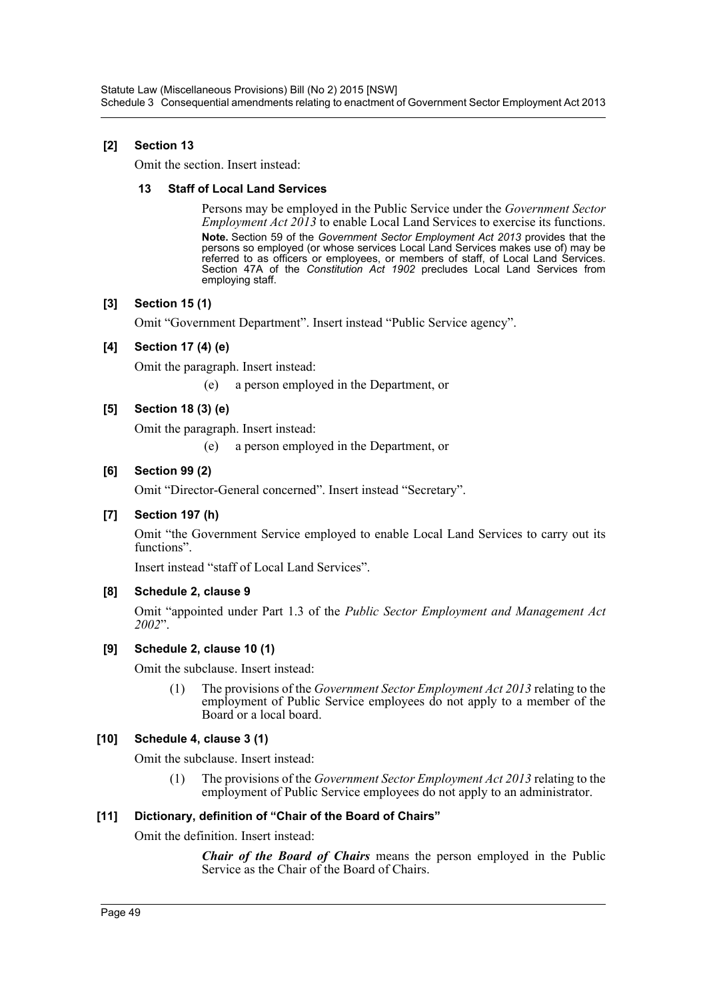# **[2] Section 13**

Omit the section. Insert instead:

### **13 Staff of Local Land Services**

Persons may be employed in the Public Service under the *Government Sector Employment Act 2013* to enable Local Land Services to exercise its functions. **Note.** Section 59 of the *Government Sector Employment Act 2013* provides that the persons so employed (or whose services Local Land Services makes use of) may be referred to as officers or employees, or members of staff, of Local Land Services. Section 47A of the *Constitution Act 1902* precludes Local Land Services from employing staff.

## **[3] Section 15 (1)**

Omit "Government Department". Insert instead "Public Service agency".

## **[4] Section 17 (4) (e)**

Omit the paragraph. Insert instead:

(e) a person employed in the Department, or

# **[5] Section 18 (3) (e)**

Omit the paragraph. Insert instead:

(e) a person employed in the Department, or

## **[6] Section 99 (2)**

Omit "Director-General concerned". Insert instead "Secretary".

## **[7] Section 197 (h)**

Omit "the Government Service employed to enable Local Land Services to carry out its functions".

Insert instead "staff of Local Land Services".

## **[8] Schedule 2, clause 9**

Omit "appointed under Part 1.3 of the *Public Sector Employment and Management Act 2002*".

## **[9] Schedule 2, clause 10 (1)**

Omit the subclause. Insert instead:

(1) The provisions of the *Government Sector Employment Act 2013* relating to the employment of Public Service employees do not apply to a member of the Board or a local board.

## **[10] Schedule 4, clause 3 (1)**

Omit the subclause. Insert instead:

(1) The provisions of the *Government Sector Employment Act 2013* relating to the employment of Public Service employees do not apply to an administrator.

## **[11] Dictionary, definition of "Chair of the Board of Chairs"**

Omit the definition. Insert instead:

*Chair of the Board of Chairs* means the person employed in the Public Service as the Chair of the Board of Chairs.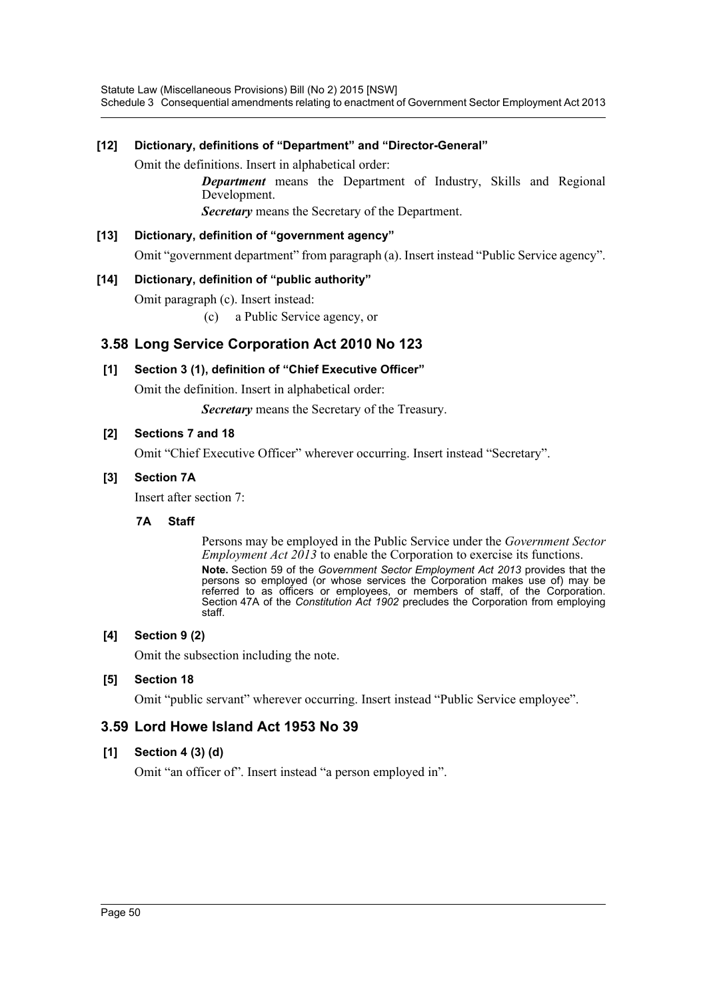Statute Law (Miscellaneous Provisions) Bill (No 2) 2015 [NSW] Schedule 3 Consequential amendments relating to enactment of Government Sector Employment Act 2013

### **[12] Dictionary, definitions of "Department" and "Director-General"**

Omit the definitions. Insert in alphabetical order:

*Department* means the Department of Industry, Skills and Regional Development.

*Secretary* means the Secretary of the Department.

# **[13] Dictionary, definition of "government agency"** Omit "government department" from paragraph (a). Insert instead "Public Service agency".

### **[14] Dictionary, definition of "public authority"**

Omit paragraph (c). Insert instead:

(c) a Public Service agency, or

# **3.58 Long Service Corporation Act 2010 No 123**

### **[1] Section 3 (1), definition of "Chief Executive Officer"**

Omit the definition. Insert in alphabetical order:

*Secretary* means the Secretary of the Treasury.

### **[2] Sections 7 and 18**

Omit "Chief Executive Officer" wherever occurring. Insert instead "Secretary".

### **[3] Section 7A**

Insert after section 7:

### **7A Staff**

Persons may be employed in the Public Service under the *Government Sector Employment Act 2013* to enable the Corporation to exercise its functions. **Note.** Section 59 of the *Government Sector Employment Act 2013* provides that the persons so employed (or whose services the Corporation makes use of) may be referred to as officers or employees, or members of staff, of the Corporation. Section 47A of the *Constitution Act 1902* precludes the Corporation from employing staff.

### **[4] Section 9 (2)**

Omit the subsection including the note.

### **[5] Section 18**

Omit "public servant" wherever occurring. Insert instead "Public Service employee".

## **3.59 Lord Howe Island Act 1953 No 39**

### **[1] Section 4 (3) (d)**

Omit "an officer of". Insert instead "a person employed in".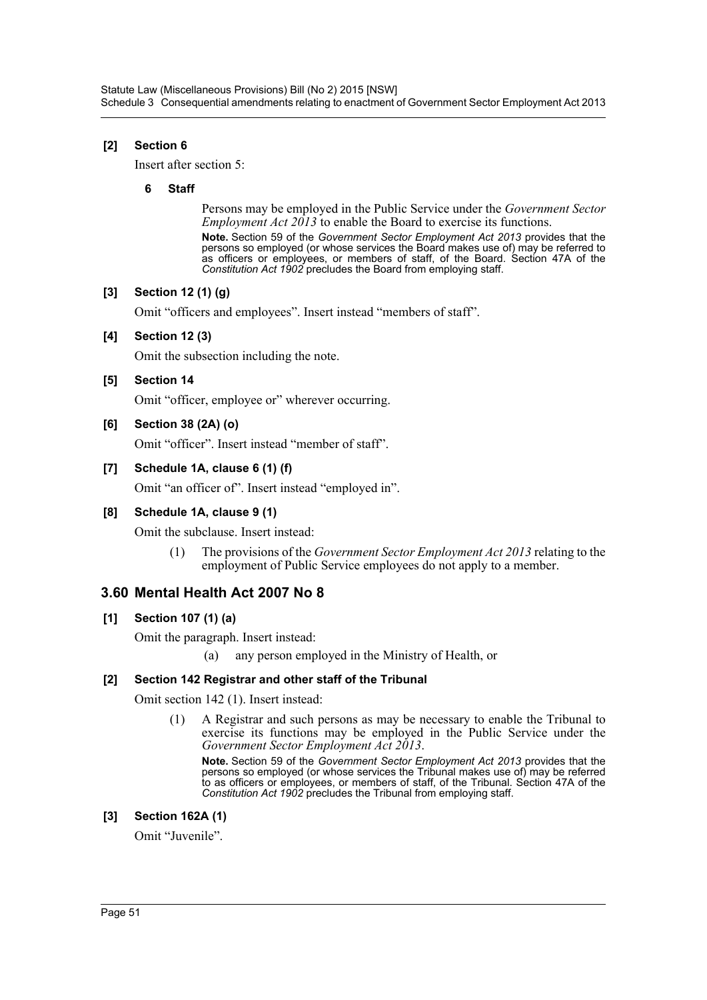## **[2] Section 6**

Insert after section 5:

### **6 Staff**

Persons may be employed in the Public Service under the *Government Sector Employment Act 2013* to enable the Board to exercise its functions.

**Note.** Section 59 of the *Government Sector Employment Act 2013* provides that the persons so employed (or whose services the Board makes use of) may be referred to as officers or employees, or members of staff, of the Board. Section 47A of the *Constitution Act 1902* precludes the Board from employing staff.

## **[3] Section 12 (1) (g)**

Omit "officers and employees". Insert instead "members of staff".

### **[4] Section 12 (3)**

Omit the subsection including the note.

### **[5] Section 14**

Omit "officer, employee or" wherever occurring.

### **[6] Section 38 (2A) (o)**

Omit "officer". Insert instead "member of staff".

### **[7] Schedule 1A, clause 6 (1) (f)**

Omit "an officer of". Insert instead "employed in".

### **[8] Schedule 1A, clause 9 (1)**

Omit the subclause. Insert instead:

(1) The provisions of the *Government Sector Employment Act 2013* relating to the employment of Public Service employees do not apply to a member.

# **3.60 Mental Health Act 2007 No 8**

### **[1] Section 107 (1) (a)**

Omit the paragraph. Insert instead:

(a) any person employed in the Ministry of Health, or

### **[2] Section 142 Registrar and other staff of the Tribunal**

Omit section 142 (1). Insert instead:

(1) A Registrar and such persons as may be necessary to enable the Tribunal to exercise its functions may be employed in the Public Service under the *Government Sector Employment Act 2013*.

**Note.** Section 59 of the *Government Sector Employment Act 2013* provides that the persons so employed (or whose services the Tribunal makes use of) may be referred to as officers or employees, or members of staff, of the Tribunal. Section 47A of the *Constitution Act 1902* precludes the Tribunal from employing staff.

### **[3] Section 162A (1)**

Omit "Juvenile".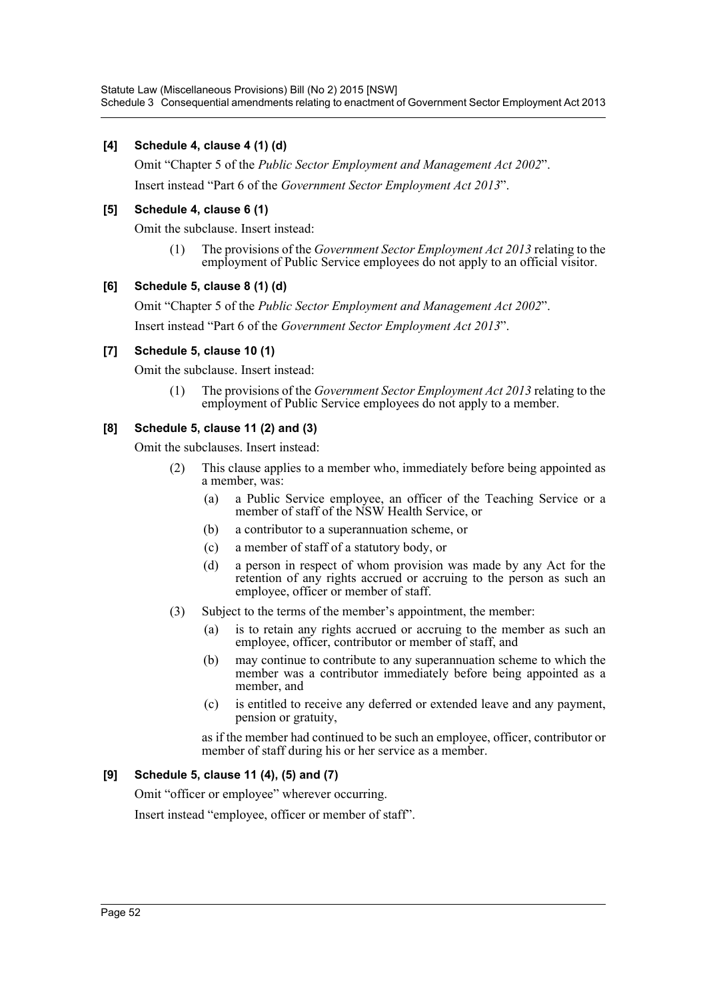Statute Law (Miscellaneous Provisions) Bill (No 2) 2015 [NSW] Schedule 3 Consequential amendments relating to enactment of Government Sector Employment Act 2013

### **[4] Schedule 4, clause 4 (1) (d)**

Omit "Chapter 5 of the *Public Sector Employment and Management Act 2002*".

Insert instead "Part 6 of the *Government Sector Employment Act 2013*".

### **[5] Schedule 4, clause 6 (1)**

Omit the subclause. Insert instead:

(1) The provisions of the *Government Sector Employment Act 2013* relating to the employment of Public Service employees do not apply to an official visitor.

### **[6] Schedule 5, clause 8 (1) (d)**

Omit "Chapter 5 of the *Public Sector Employment and Management Act 2002*".

Insert instead "Part 6 of the *Government Sector Employment Act 2013*".

## **[7] Schedule 5, clause 10 (1)**

Omit the subclause. Insert instead:

(1) The provisions of the *Government Sector Employment Act 2013* relating to the employment of Public Service employees do not apply to a member.

## **[8] Schedule 5, clause 11 (2) and (3)**

Omit the subclauses. Insert instead:

- (2) This clause applies to a member who, immediately before being appointed as a member, was:
	- (a) a Public Service employee, an officer of the Teaching Service or a member of staff of the NSW Health Service, or
	- (b) a contributor to a superannuation scheme, or
	- (c) a member of staff of a statutory body, or
	- (d) a person in respect of whom provision was made by any Act for the retention of any rights accrued or accruing to the person as such an employee, officer or member of staff.
- (3) Subject to the terms of the member's appointment, the member:
	- (a) is to retain any rights accrued or accruing to the member as such an employee, officer, contributor or member of staff, and
	- (b) may continue to contribute to any superannuation scheme to which the member was a contributor immediately before being appointed as a member, and
	- (c) is entitled to receive any deferred or extended leave and any payment, pension or gratuity,

as if the member had continued to be such an employee, officer, contributor or member of staff during his or her service as a member.

## **[9] Schedule 5, clause 11 (4), (5) and (7)**

Omit "officer or employee" wherever occurring.

Insert instead "employee, officer or member of staff".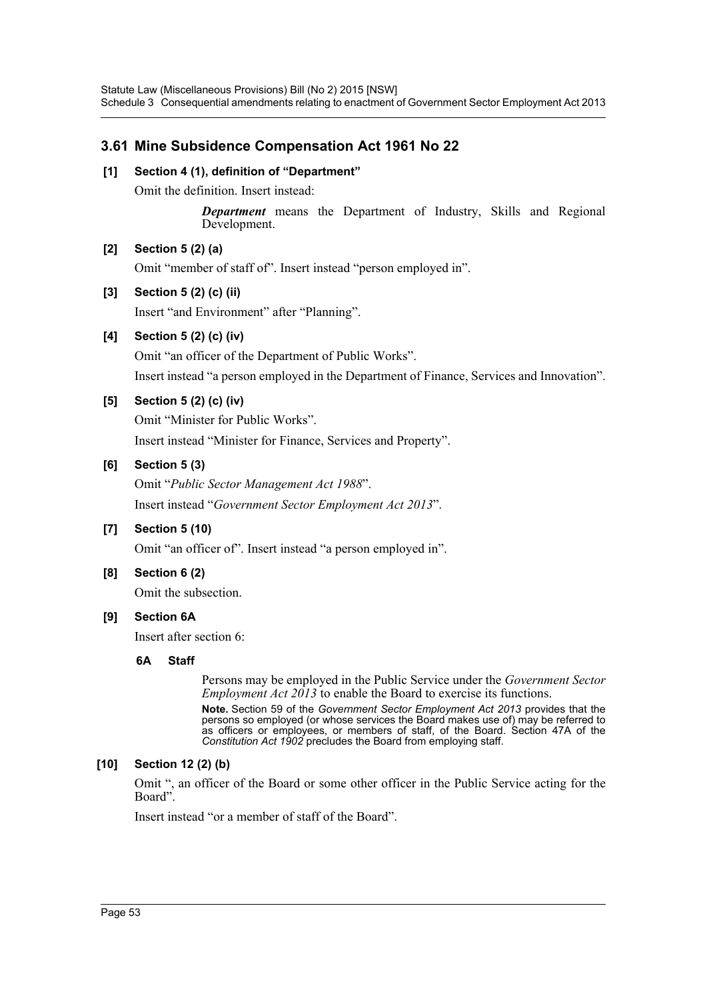# **3.61 Mine Subsidence Compensation Act 1961 No 22**

## **[1] Section 4 (1), definition of "Department"**

Omit the definition. Insert instead:

*Department* means the Department of Industry, Skills and Regional Development.

# **[2] Section 5 (2) (a)**

Omit "member of staff of". Insert instead "person employed in".

# **[3] Section 5 (2) (c) (ii)**

Insert "and Environment" after "Planning".

# **[4] Section 5 (2) (c) (iv)**

Omit "an officer of the Department of Public Works". Insert instead "a person employed in the Department of Finance, Services and Innovation".

# **[5] Section 5 (2) (c) (iv)**

Omit "Minister for Public Works". Insert instead "Minister for Finance, Services and Property".

# **[6] Section 5 (3)**

Omit "*Public Sector Management Act 1988*". Insert instead "*Government Sector Employment Act 2013*".

# **[7] Section 5 (10)**

Omit "an officer of". Insert instead "a person employed in".

## **[8] Section 6 (2)**

Omit the subsection.

## **[9] Section 6A**

Insert after section 6:

## **6A Staff**

Persons may be employed in the Public Service under the *Government Sector Employment Act 2013* to enable the Board to exercise its functions. **Note.** Section 59 of the *Government Sector Employment Act 2013* provides that the persons so employed (or whose services the Board makes use of) may be referred to as officers or employees, or members of staff, of the Board. Section 47A of the *Constitution Act 1902* precludes the Board from employing staff.

## **[10] Section 12 (2) (b)**

Omit ", an officer of the Board or some other officer in the Public Service acting for the Board".

Insert instead "or a member of staff of the Board".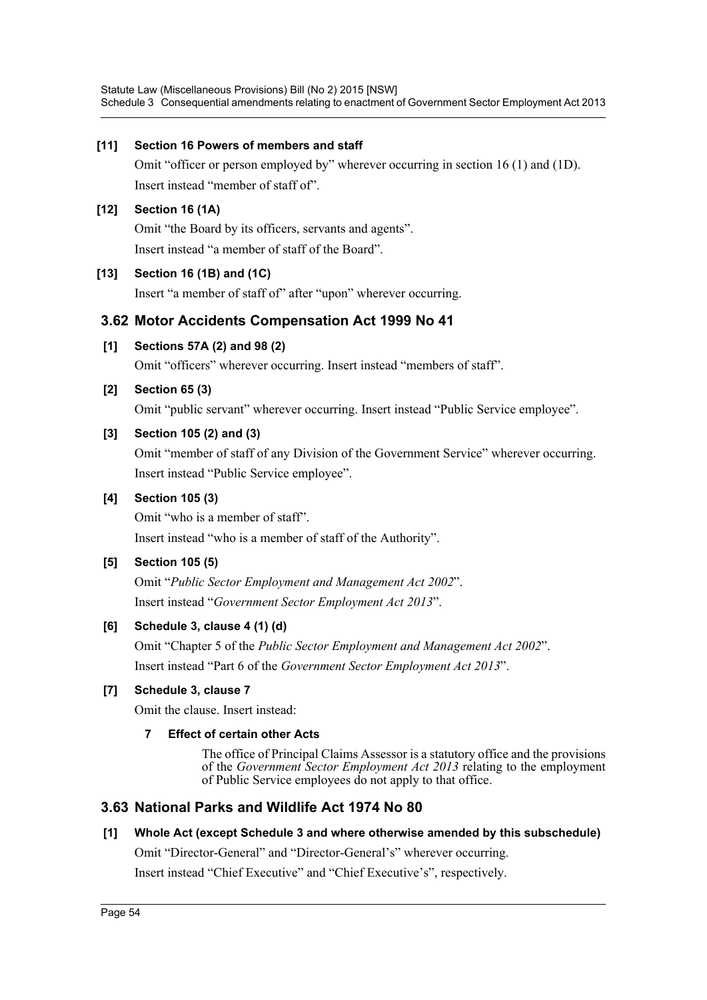Statute Law (Miscellaneous Provisions) Bill (No 2) 2015 [NSW] Schedule 3 Consequential amendments relating to enactment of Government Sector Employment Act 2013

### **[11] Section 16 Powers of members and staff**

Omit "officer or person employed by" wherever occurring in section 16 (1) and (1D). Insert instead "member of staff of".

### **[12] Section 16 (1A)**

Omit "the Board by its officers, servants and agents". Insert instead "a member of staff of the Board".

### **[13] Section 16 (1B) and (1C)**

Insert "a member of staff of" after "upon" wherever occurring.

## **3.62 Motor Accidents Compensation Act 1999 No 41**

### **[1] Sections 57A (2) and 98 (2)**

Omit "officers" wherever occurring. Insert instead "members of staff".

### **[2] Section 65 (3)**

Omit "public servant" wherever occurring. Insert instead "Public Service employee".

### **[3] Section 105 (2) and (3)**

Omit "member of staff of any Division of the Government Service" wherever occurring. Insert instead "Public Service employee".

### **[4] Section 105 (3)**

Omit "who is a member of staff". Insert instead "who is a member of staff of the Authority".

### **[5] Section 105 (5)**

Omit "*Public Sector Employment and Management Act 2002*". Insert instead "*Government Sector Employment Act 2013*".

## **[6] Schedule 3, clause 4 (1) (d)**

Omit "Chapter 5 of the *Public Sector Employment and Management Act 2002*". Insert instead "Part 6 of the *Government Sector Employment Act 2013*".

## **[7] Schedule 3, clause 7**

Omit the clause. Insert instead:

### **7 Effect of certain other Acts**

The office of Principal Claims Assessor is a statutory office and the provisions of the *Government Sector Employment Act 2013* relating to the employment of Public Service employees do not apply to that office.

# **3.63 National Parks and Wildlife Act 1974 No 80**

## **[1] Whole Act (except Schedule 3 and where otherwise amended by this subschedule)**

Omit "Director-General" and "Director-General's" wherever occurring.

Insert instead "Chief Executive" and "Chief Executive's", respectively.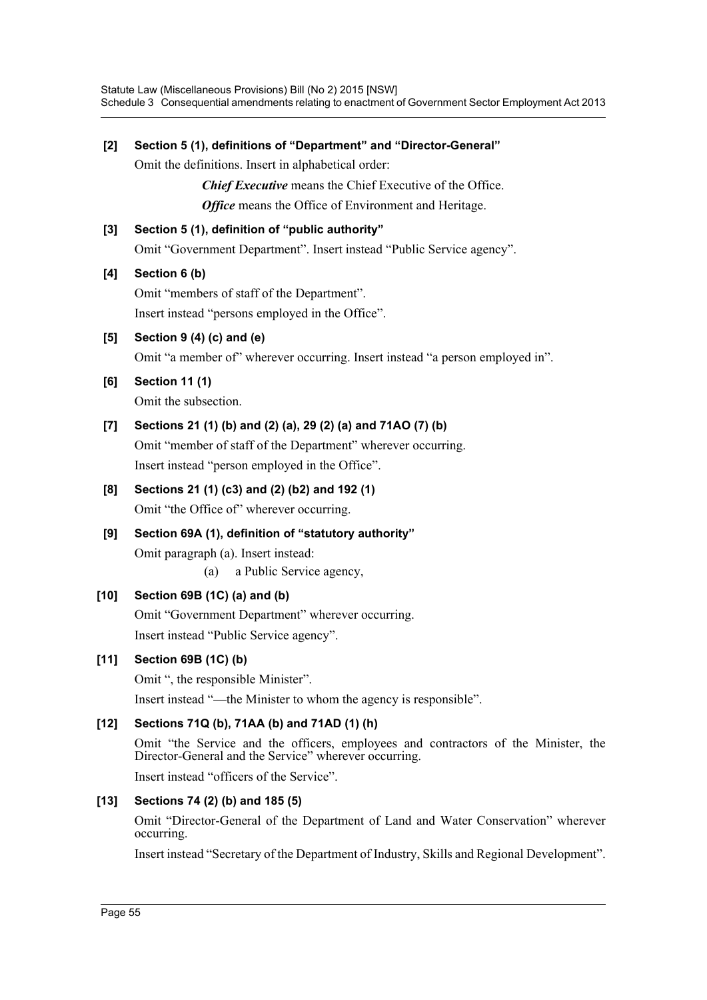# **[2] Section 5 (1), definitions of "Department" and "Director-General"** Omit the definitions. Insert in alphabetical order: *Chief Executive* means the Chief Executive of the Office. *Office* means the Office of Environment and Heritage. **[3] Section 5 (1), definition of "public authority"** Omit "Government Department". Insert instead "Public Service agency". **[4] Section 6 (b)** Omit "members of staff of the Department". Insert instead "persons employed in the Office". **[5] Section 9 (4) (c) and (e)** Omit "a member of" wherever occurring. Insert instead "a person employed in". **[6] Section 11 (1)** Omit the subsection. **[7] Sections 21 (1) (b) and (2) (a), 29 (2) (a) and 71AO (7) (b)** Omit "member of staff of the Department" wherever occurring. Insert instead "person employed in the Office". **[8] Sections 21 (1) (c3) and (2) (b2) and 192 (1)** Omit "the Office of" wherever occurring. **[9] Section 69A (1), definition of "statutory authority"** Omit paragraph (a). Insert instead: (a) a Public Service agency, **[10] Section 69B (1C) (a) and (b)** Omit "Government Department" wherever occurring. Insert instead "Public Service agency". **[11] Section 69B (1C) (b)** Omit ", the responsible Minister". Insert instead "—the Minister to whom the agency is responsible". **[12] Sections 71Q (b), 71AA (b) and 71AD (1) (h)** Omit "the Service and the officers, employees and contractors of the Minister, the Director-General and the Service" wherever occurring. Insert instead "officers of the Service". **[13] Sections 74 (2) (b) and 185 (5)** Omit "Director-General of the Department of Land and Water Conservation" wherever occurring. Insert instead "Secretary of the Department of Industry, Skills and Regional Development".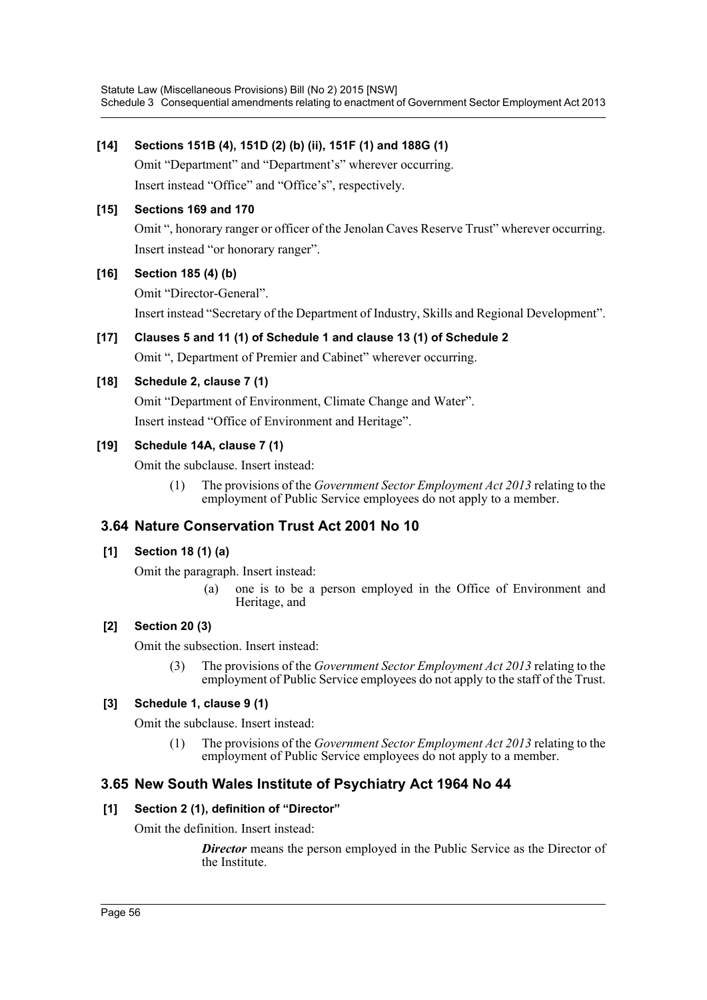## **[14] Sections 151B (4), 151D (2) (b) (ii), 151F (1) and 188G (1)**

Omit "Department" and "Department's" wherever occurring. Insert instead "Office" and "Office's", respectively.

## **[15] Sections 169 and 170**

Omit ", honorary ranger or officer of the Jenolan Caves Reserve Trust" wherever occurring. Insert instead "or honorary ranger".

# **[16] Section 185 (4) (b)**

Omit "Director-General".

Insert instead "Secretary of the Department of Industry, Skills and Regional Development".

# **[17] Clauses 5 and 11 (1) of Schedule 1 and clause 13 (1) of Schedule 2**

Omit ", Department of Premier and Cabinet" wherever occurring.

## **[18] Schedule 2, clause 7 (1)**

Omit "Department of Environment, Climate Change and Water". Insert instead "Office of Environment and Heritage".

## **[19] Schedule 14A, clause 7 (1)**

Omit the subclause. Insert instead:

(1) The provisions of the *Government Sector Employment Act 2013* relating to the employment of Public Service employees do not apply to a member.

# **3.64 Nature Conservation Trust Act 2001 No 10**

## **[1] Section 18 (1) (a)**

Omit the paragraph. Insert instead:

(a) one is to be a person employed in the Office of Environment and Heritage, and

## **[2] Section 20 (3)**

Omit the subsection. Insert instead:

(3) The provisions of the *Government Sector Employment Act 2013* relating to the employment of Public Service employees do not apply to the staff of the Trust.

## **[3] Schedule 1, clause 9 (1)**

Omit the subclause. Insert instead:

(1) The provisions of the *Government Sector Employment Act 2013* relating to the employment of Public Service employees do not apply to a member.

# **3.65 New South Wales Institute of Psychiatry Act 1964 No 44**

## **[1] Section 2 (1), definition of "Director"**

Omit the definition. Insert instead:

**Director** means the person employed in the Public Service as the Director of the Institute.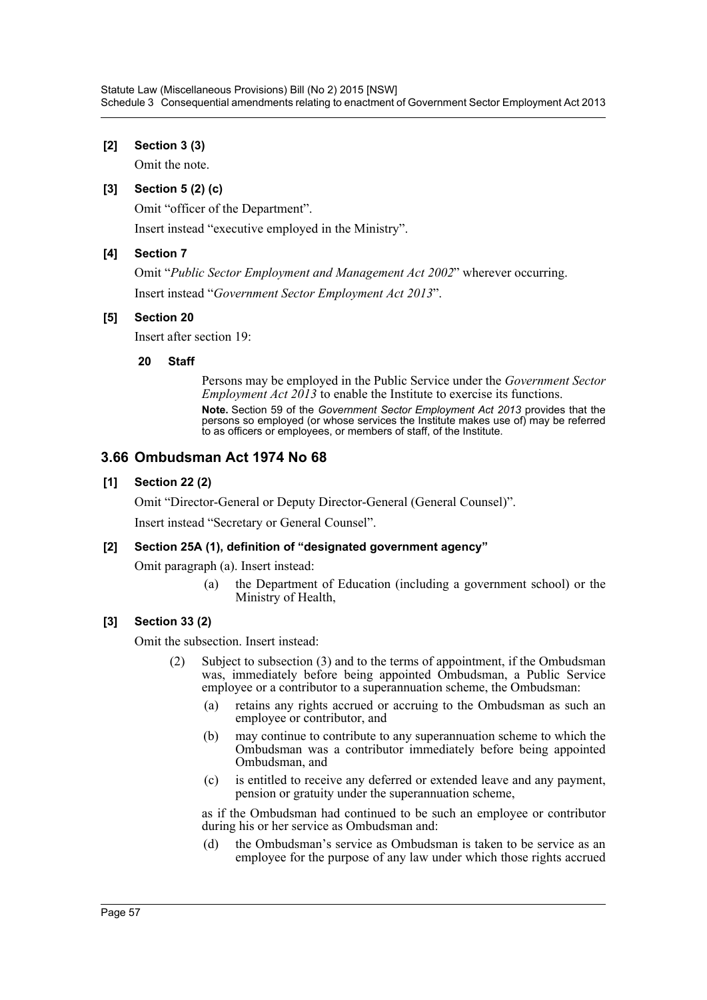## **[2] Section 3 (3)**

Omit the note.

## **[3] Section 5 (2) (c)**

Omit "officer of the Department".

Insert instead "executive employed in the Ministry".

## **[4] Section 7**

Omit "*Public Sector Employment and Management Act 2002*" wherever occurring. Insert instead "*Government Sector Employment Act 2013*".

### **[5] Section 20**

Insert after section 19:

### **20 Staff**

Persons may be employed in the Public Service under the *Government Sector Employment Act 2013* to enable the Institute to exercise its functions. **Note.** Section 59 of the *Government Sector Employment Act 2013* provides that the persons so employed (or whose services the Institute makes use of) may be referred to as officers or employees, or members of staff, of the Institute.

# **3.66 Ombudsman Act 1974 No 68**

## **[1] Section 22 (2)**

Omit "Director-General or Deputy Director-General (General Counsel)".

Insert instead "Secretary or General Counsel".

### **[2] Section 25A (1), definition of "designated government agency"**

Omit paragraph (a). Insert instead:

(a) the Department of Education (including a government school) or the Ministry of Health,

## **[3] Section 33 (2)**

Omit the subsection. Insert instead:

- (2) Subject to subsection (3) and to the terms of appointment, if the Ombudsman was, immediately before being appointed Ombudsman, a Public Service employee or a contributor to a superannuation scheme, the Ombudsman:
	- (a) retains any rights accrued or accruing to the Ombudsman as such an employee or contributor, and
	- (b) may continue to contribute to any superannuation scheme to which the Ombudsman was a contributor immediately before being appointed Ombudsman, and
	- (c) is entitled to receive any deferred or extended leave and any payment, pension or gratuity under the superannuation scheme,

as if the Ombudsman had continued to be such an employee or contributor during his or her service as Ombudsman and:

(d) the Ombudsman's service as Ombudsman is taken to be service as an employee for the purpose of any law under which those rights accrued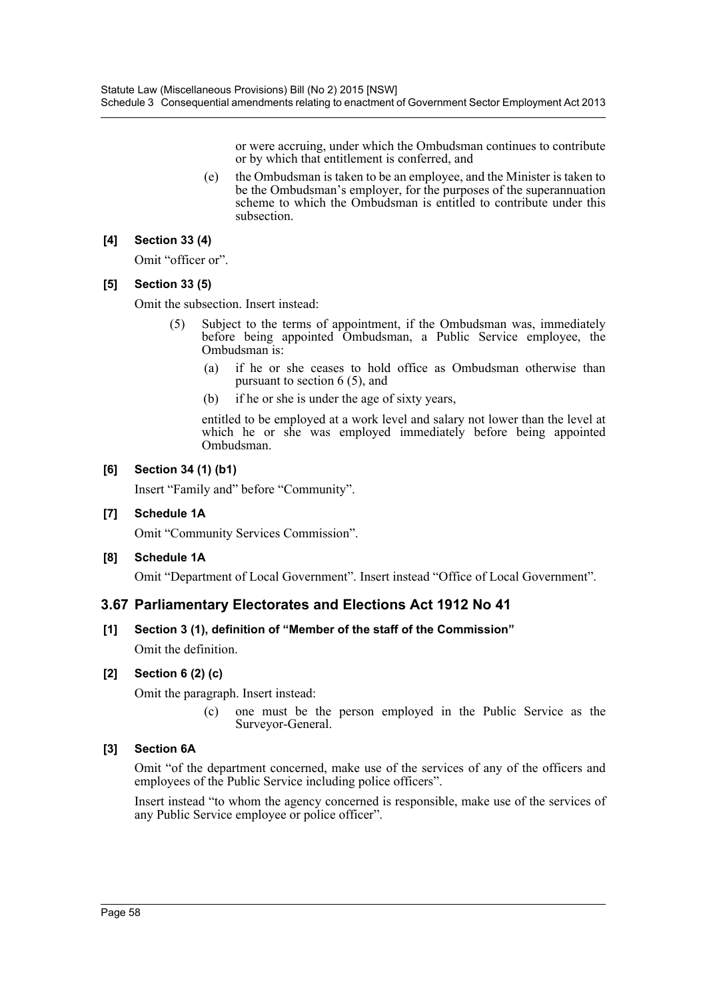or were accruing, under which the Ombudsman continues to contribute or by which that entitlement is conferred, and

 (e) the Ombudsman is taken to be an employee, and the Minister is taken to be the Ombudsman's employer, for the purposes of the superannuation scheme to which the Ombudsman is entitled to contribute under this subsection.

## **[4] Section 33 (4)**

Omit "officer or".

## **[5] Section 33 (5)**

Omit the subsection. Insert instead:

- (5) Subject to the terms of appointment, if the Ombudsman was, immediately before being appointed Ombudsman, a Public Service employee, the Ombudsman is:
	- (a) if he or she ceases to hold office as Ombudsman otherwise than pursuant to section 6 (5), and
	- (b) if he or she is under the age of sixty years,

entitled to be employed at a work level and salary not lower than the level at which he or she was employed immediately before being appointed Ombudsman.

## **[6] Section 34 (1) (b1)**

Insert "Family and" before "Community".

## **[7] Schedule 1A**

Omit "Community Services Commission".

## **[8] Schedule 1A**

Omit "Department of Local Government". Insert instead "Office of Local Government".

# **3.67 Parliamentary Electorates and Elections Act 1912 No 41**

# **[1] Section 3 (1), definition of "Member of the staff of the Commission"**

Omit the definition.

## **[2] Section 6 (2) (c)**

Omit the paragraph. Insert instead:

(c) one must be the person employed in the Public Service as the Surveyor-General.

## **[3] Section 6A**

Omit "of the department concerned, make use of the services of any of the officers and employees of the Public Service including police officers".

Insert instead "to whom the agency concerned is responsible, make use of the services of any Public Service employee or police officer".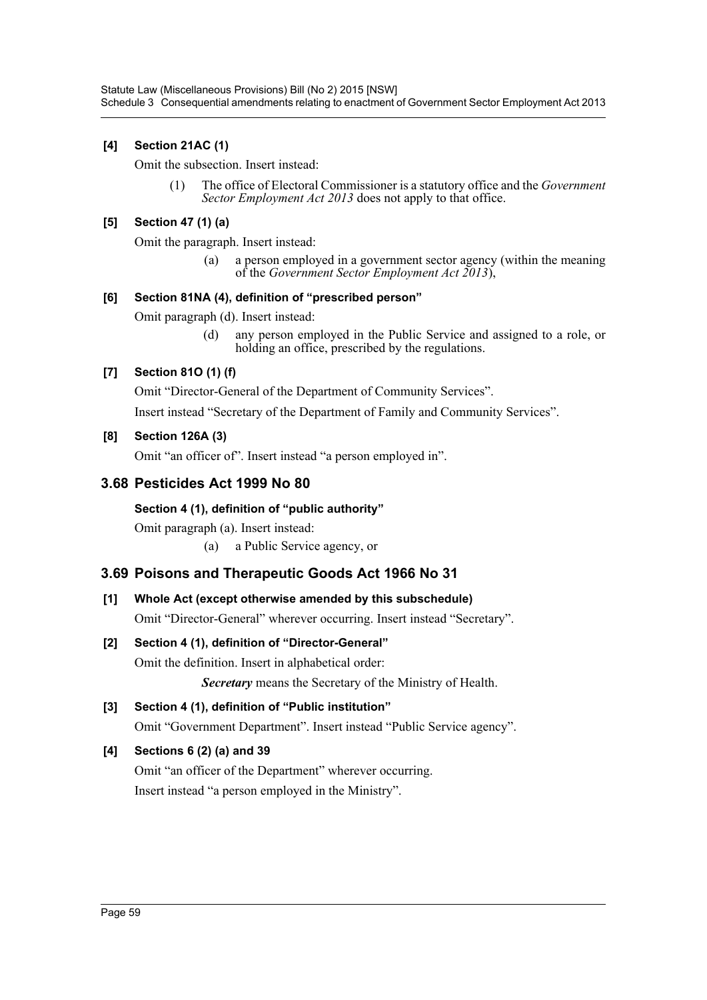# **[4] Section 21AC (1)**

Omit the subsection. Insert instead:

(1) The office of Electoral Commissioner is a statutory office and the *Government Sector Employment Act 2013* does not apply to that office.

## **[5] Section 47 (1) (a)**

Omit the paragraph. Insert instead:

(a) a person employed in a government sector agency (within the meaning of the *Government Sector Employment Act 2013*),

### **[6] Section 81NA (4), definition of "prescribed person"**

Omit paragraph (d). Insert instead:

(d) any person employed in the Public Service and assigned to a role, or holding an office, prescribed by the regulations.

# **[7] Section 81O (1) (f)**

Omit "Director-General of the Department of Community Services".

Insert instead "Secretary of the Department of Family and Community Services".

## **[8] Section 126A (3)**

Omit "an officer of". Insert instead "a person employed in".

# **3.68 Pesticides Act 1999 No 80**

## **Section 4 (1), definition of "public authority"**

Omit paragraph (a). Insert instead:

(a) a Public Service agency, or

# **3.69 Poisons and Therapeutic Goods Act 1966 No 31**

## **[1] Whole Act (except otherwise amended by this subschedule)**

Omit "Director-General" wherever occurring. Insert instead "Secretary".

## **[2] Section 4 (1), definition of "Director-General"**

Omit the definition. Insert in alphabetical order:

*Secretary* means the Secretary of the Ministry of Health.

## **[3] Section 4 (1), definition of "Public institution"**

Omit "Government Department". Insert instead "Public Service agency".

## **[4] Sections 6 (2) (a) and 39**

Omit "an officer of the Department" wherever occurring. Insert instead "a person employed in the Ministry".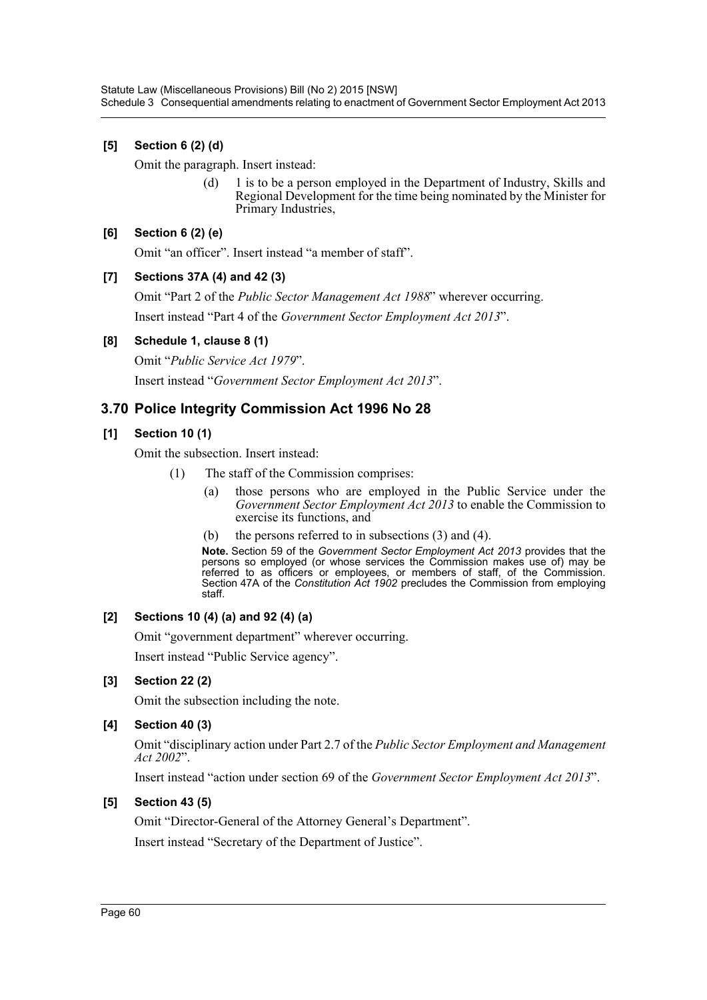# **[5] Section 6 (2) (d)**

Omit the paragraph. Insert instead:

(d) 1 is to be a person employed in the Department of Industry, Skills and Regional Development for the time being nominated by the Minister for Primary Industries,

## **[6] Section 6 (2) (e)**

Omit "an officer". Insert instead "a member of staff".

## **[7] Sections 37A (4) and 42 (3)**

Omit "Part 2 of the *Public Sector Management Act 1988*" wherever occurring.

Insert instead "Part 4 of the *Government Sector Employment Act 2013*".

### **[8] Schedule 1, clause 8 (1)**

Omit "*Public Service Act 1979*".

Insert instead "*Government Sector Employment Act 2013*".

# **3.70 Police Integrity Commission Act 1996 No 28**

## **[1] Section 10 (1)**

Omit the subsection. Insert instead:

- (1) The staff of the Commission comprises:
	- (a) those persons who are employed in the Public Service under the *Government Sector Employment Act 2013* to enable the Commission to exercise its functions, and
	- (b) the persons referred to in subsections (3) and (4).

**Note.** Section 59 of the *Government Sector Employment Act 2013* provides that the persons so employed (or whose services the Commission makes use of) may be referred to as officers or employees, or members of staff, of the Commission. Section 47A of the *Constitution Act 1902* precludes the Commission from employing staff.

### **[2] Sections 10 (4) (a) and 92 (4) (a)**

Omit "government department" wherever occurring.

Insert instead "Public Service agency".

## **[3] Section 22 (2)**

Omit the subsection including the note.

## **[4] Section 40 (3)**

Omit "disciplinary action under Part 2.7 of the *Public Sector Employment and Management Act 2002*".

Insert instead "action under section 69 of the *Government Sector Employment Act 2013*".

## **[5] Section 43 (5)**

Omit "Director-General of the Attorney General's Department".

Insert instead "Secretary of the Department of Justice".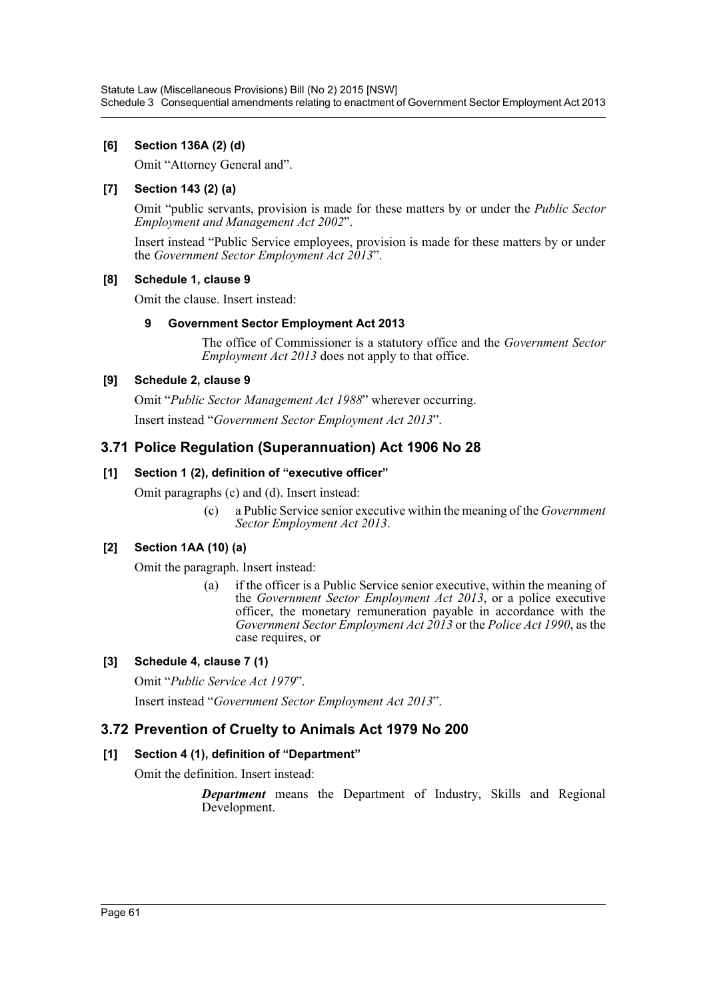# **[6] Section 136A (2) (d)**

Omit "Attorney General and".

# **[7] Section 143 (2) (a)**

Omit "public servants, provision is made for these matters by or under the *Public Sector Employment and Management Act 2002*".

Insert instead "Public Service employees, provision is made for these matters by or under the *Government Sector Employment Act 2013*".

## **[8] Schedule 1, clause 9**

Omit the clause. Insert instead:

## **9 Government Sector Employment Act 2013**

The office of Commissioner is a statutory office and the *Government Sector Employment Act 2013* does not apply to that office.

## **[9] Schedule 2, clause 9**

Omit "*Public Sector Management Act 1988*" wherever occurring.

Insert instead "*Government Sector Employment Act 2013*".

# **3.71 Police Regulation (Superannuation) Act 1906 No 28**

## **[1] Section 1 (2), definition of "executive officer"**

Omit paragraphs (c) and (d). Insert instead:

(c) a Public Service senior executive within the meaning of the *Government Sector Employment Act 2013*.

## **[2] Section 1AA (10) (a)**

Omit the paragraph. Insert instead:

(a) if the officer is a Public Service senior executive, within the meaning of the *Government Sector Employment Act 2013*, or a police executive officer, the monetary remuneration payable in accordance with the *Government Sector Employment Act 2013* or the *Police Act 1990*, as the case requires, or

## **[3] Schedule 4, clause 7 (1)**

Omit "*Public Service Act 1979*".

Insert instead "*Government Sector Employment Act 2013*".

# **3.72 Prevention of Cruelty to Animals Act 1979 No 200**

## **[1] Section 4 (1), definition of "Department"**

Omit the definition. Insert instead:

*Department* means the Department of Industry, Skills and Regional Development.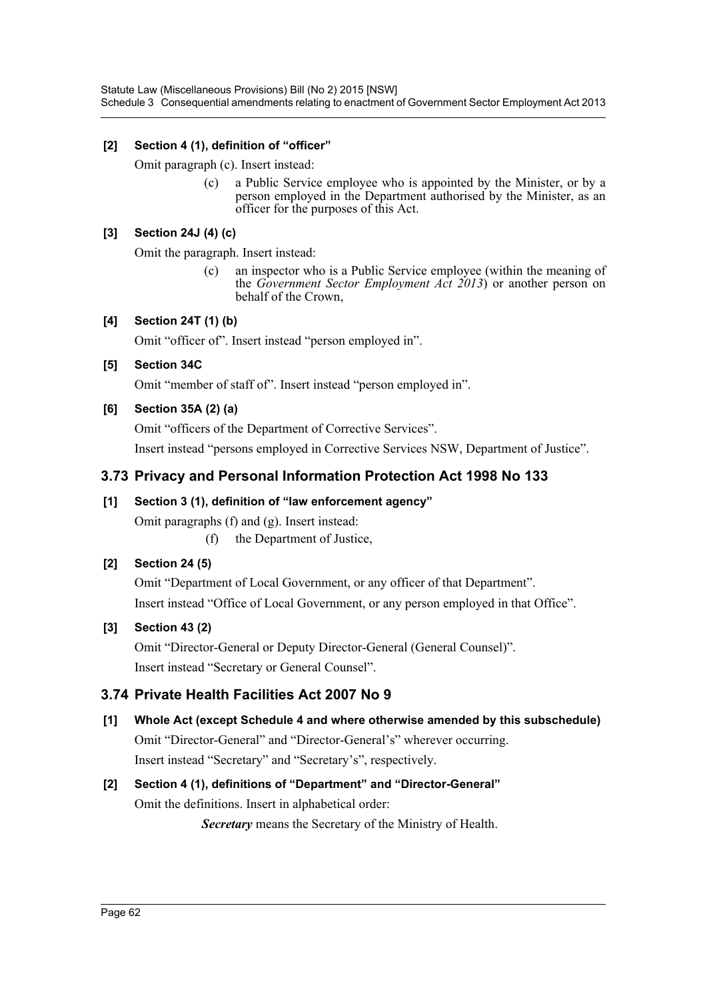Statute Law (Miscellaneous Provisions) Bill (No 2) 2015 [NSW] Schedule 3 Consequential amendments relating to enactment of Government Sector Employment Act 2013

### **[2] Section 4 (1), definition of "officer"**

Omit paragraph (c). Insert instead:

(c) a Public Service employee who is appointed by the Minister, or by a person employed in the Department authorised by the Minister, as an officer for the purposes of this Act.

### **[3] Section 24J (4) (c)**

Omit the paragraph. Insert instead:

(c) an inspector who is a Public Service employee (within the meaning of the *Government Sector Employment Act 2013*) or another person on behalf of the Crown,

### **[4] Section 24T (1) (b)**

Omit "officer of". Insert instead "person employed in".

### **[5] Section 34C**

Omit "member of staff of". Insert instead "person employed in".

### **[6] Section 35A (2) (a)**

Omit "officers of the Department of Corrective Services".

Insert instead "persons employed in Corrective Services NSW, Department of Justice".

# **3.73 Privacy and Personal Information Protection Act 1998 No 133**

### **[1] Section 3 (1), definition of "law enforcement agency"**

Omit paragraphs (f) and (g). Insert instead:

(f) the Department of Justice,

## **[2] Section 24 (5)**

Omit "Department of Local Government, or any officer of that Department". Insert instead "Office of Local Government, or any person employed in that Office".

## **[3] Section 43 (2)**

Omit "Director-General or Deputy Director-General (General Counsel)". Insert instead "Secretary or General Counsel".

# **3.74 Private Health Facilities Act 2007 No 9**

**[1] Whole Act (except Schedule 4 and where otherwise amended by this subschedule)** Omit "Director-General" and "Director-General's" wherever occurring. Insert instead "Secretary" and "Secretary's", respectively.

# **[2] Section 4 (1), definitions of "Department" and "Director-General"** Omit the definitions. Insert in alphabetical order:

*Secretary* means the Secretary of the Ministry of Health.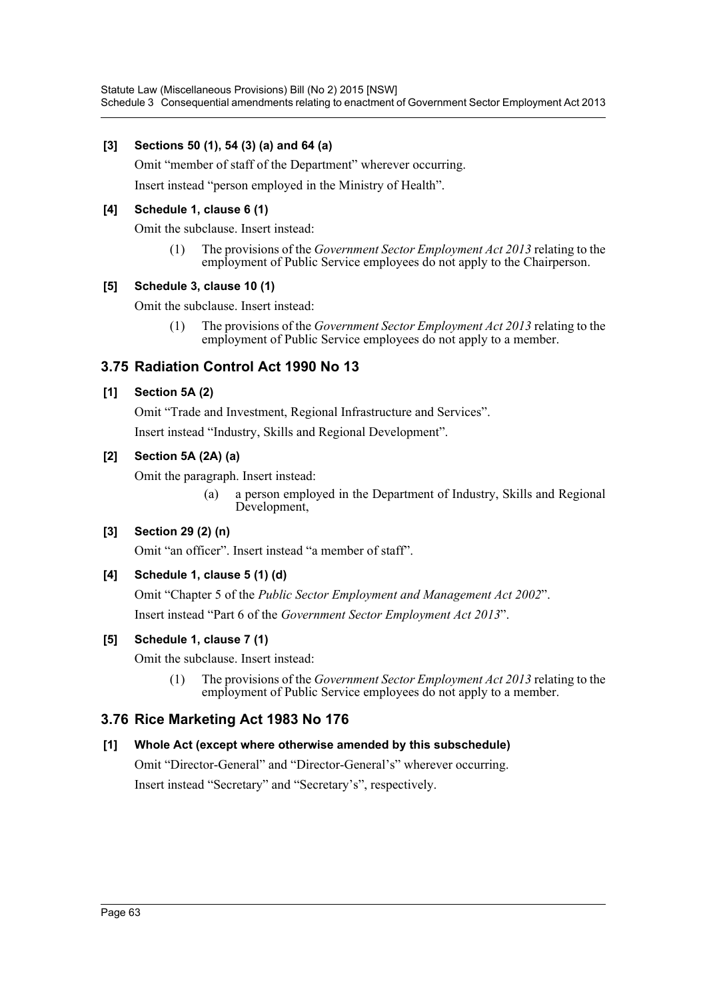Statute Law (Miscellaneous Provisions) Bill (No 2) 2015 [NSW] Schedule 3 Consequential amendments relating to enactment of Government Sector Employment Act 2013

### **[3] Sections 50 (1), 54 (3) (a) and 64 (a)**

Omit "member of staff of the Department" wherever occurring.

Insert instead "person employed in the Ministry of Health".

### **[4] Schedule 1, clause 6 (1)**

Omit the subclause. Insert instead:

(1) The provisions of the *Government Sector Employment Act 2013* relating to the employment of Public Service employees do not apply to the Chairperson.

### **[5] Schedule 3, clause 10 (1)**

Omit the subclause. Insert instead:

(1) The provisions of the *Government Sector Employment Act 2013* relating to the employment of Public Service employees do not apply to a member.

# **3.75 Radiation Control Act 1990 No 13**

### **[1] Section 5A (2)**

Omit "Trade and Investment, Regional Infrastructure and Services".

Insert instead "Industry, Skills and Regional Development".

### **[2] Section 5A (2A) (a)**

Omit the paragraph. Insert instead:

(a) a person employed in the Department of Industry, Skills and Regional Development,

### **[3] Section 29 (2) (n)**

Omit "an officer". Insert instead "a member of staff".

## **[4] Schedule 1, clause 5 (1) (d)**

Omit "Chapter 5 of the *Public Sector Employment and Management Act 2002*". Insert instead "Part 6 of the *Government Sector Employment Act 2013*".

### **[5] Schedule 1, clause 7 (1)**

Omit the subclause. Insert instead:

(1) The provisions of the *Government Sector Employment Act 2013* relating to the employment of Public Service employees do not apply to a member.

## **3.76 Rice Marketing Act 1983 No 176**

### **[1] Whole Act (except where otherwise amended by this subschedule)**

Omit "Director-General" and "Director-General's" wherever occurring. Insert instead "Secretary" and "Secretary's", respectively.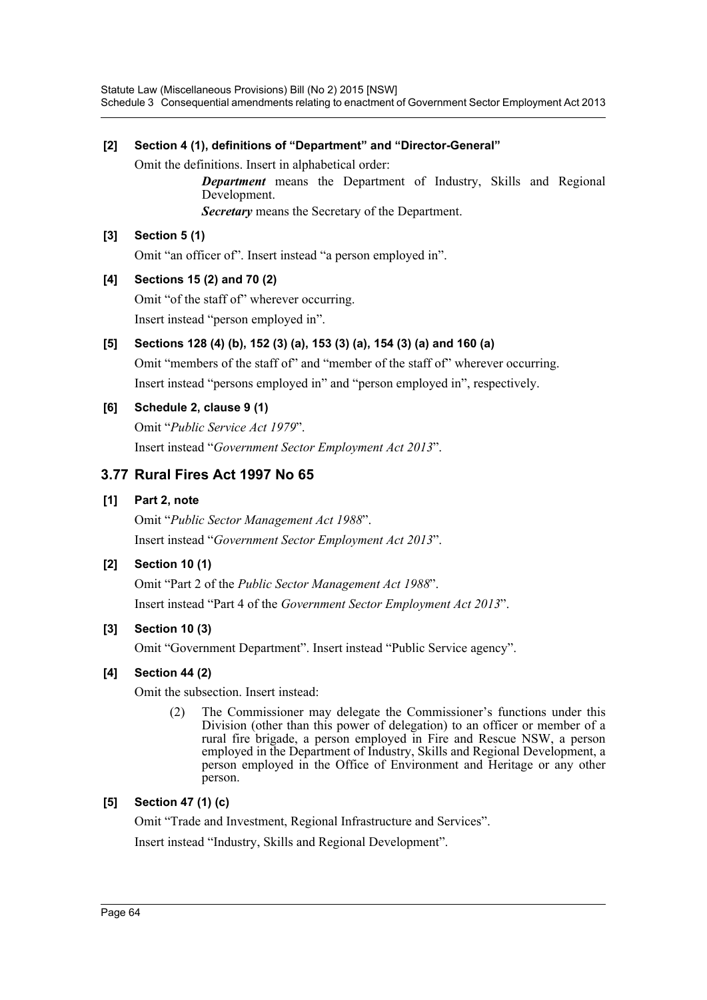## **[2] Section 4 (1), definitions of "Department" and "Director-General"**

Omit the definitions. Insert in alphabetical order:

*Department* means the Department of Industry, Skills and Regional Development.

*Secretary* means the Secretary of the Department.

## **[3] Section 5 (1)**

Omit "an officer of". Insert instead "a person employed in".

# **[4] Sections 15 (2) and 70 (2)**

Omit "of the staff of" wherever occurring. Insert instead "person employed in".

# **[5] Sections 128 (4) (b), 152 (3) (a), 153 (3) (a), 154 (3) (a) and 160 (a)**

Omit "members of the staff of" and "member of the staff of" wherever occurring. Insert instead "persons employed in" and "person employed in", respectively.

# **[6] Schedule 2, clause 9 (1)**

Omit "*Public Service Act 1979*". Insert instead "*Government Sector Employment Act 2013*".

# **3.77 Rural Fires Act 1997 No 65**

## **[1] Part 2, note**

Omit "*Public Sector Management Act 1988*". Insert instead "*Government Sector Employment Act 2013*".

# **[2] Section 10 (1)**

Omit "Part 2 of the *Public Sector Management Act 1988*". Insert instead "Part 4 of the *Government Sector Employment Act 2013*".

## **[3] Section 10 (3)**

Omit "Government Department". Insert instead "Public Service agency".

## **[4] Section 44 (2)**

Omit the subsection. Insert instead:

(2) The Commissioner may delegate the Commissioner's functions under this Division (other than this power of delegation) to an officer or member of a rural fire brigade, a person employed in Fire and Rescue NSW, a person employed in the Department of Industry, Skills and Regional Development, a person employed in the Office of Environment and Heritage or any other person.

# **[5] Section 47 (1) (c)**

Omit "Trade and Investment, Regional Infrastructure and Services".

Insert instead "Industry, Skills and Regional Development".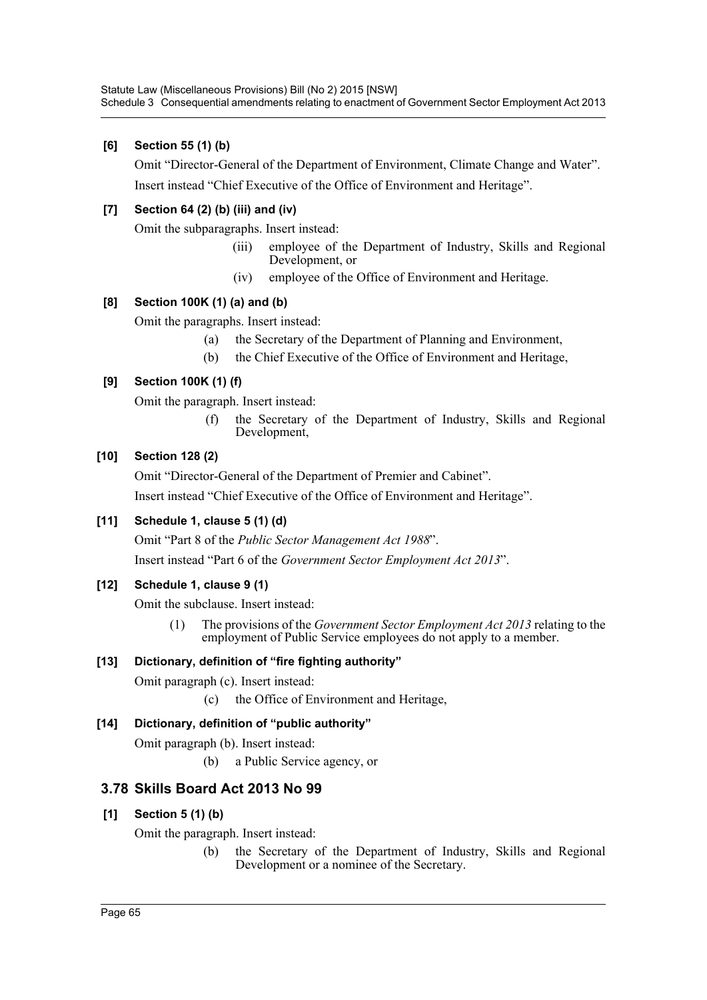# **[6] Section 55 (1) (b)**

Omit "Director-General of the Department of Environment, Climate Change and Water". Insert instead "Chief Executive of the Office of Environment and Heritage".

# **[7] Section 64 (2) (b) (iii) and (iv)**

Omit the subparagraphs. Insert instead:

- (iii) employee of the Department of Industry, Skills and Regional Development, or
- (iv) employee of the Office of Environment and Heritage.

# **[8] Section 100K (1) (a) and (b)**

Omit the paragraphs. Insert instead:

- (a) the Secretary of the Department of Planning and Environment,
- (b) the Chief Executive of the Office of Environment and Heritage,

# **[9] Section 100K (1) (f)**

Omit the paragraph. Insert instead:

(f) the Secretary of the Department of Industry, Skills and Regional Development,

## **[10] Section 128 (2)**

Omit "Director-General of the Department of Premier and Cabinet".

Insert instead "Chief Executive of the Office of Environment and Heritage".

## **[11] Schedule 1, clause 5 (1) (d)**

Omit "Part 8 of the *Public Sector Management Act 1988*".

Insert instead "Part 6 of the *Government Sector Employment Act 2013*".

## **[12] Schedule 1, clause 9 (1)**

Omit the subclause. Insert instead:

(1) The provisions of the *Government Sector Employment Act 2013* relating to the employment of Public Service employees do not apply to a member.

## **[13] Dictionary, definition of "fire fighting authority"**

Omit paragraph (c). Insert instead:

(c) the Office of Environment and Heritage,

## **[14] Dictionary, definition of "public authority"**

Omit paragraph (b). Insert instead:

(b) a Public Service agency, or

# **3.78 Skills Board Act 2013 No 99**

## **[1] Section 5 (1) (b)**

Omit the paragraph. Insert instead:

(b) the Secretary of the Department of Industry, Skills and Regional Development or a nominee of the Secretary.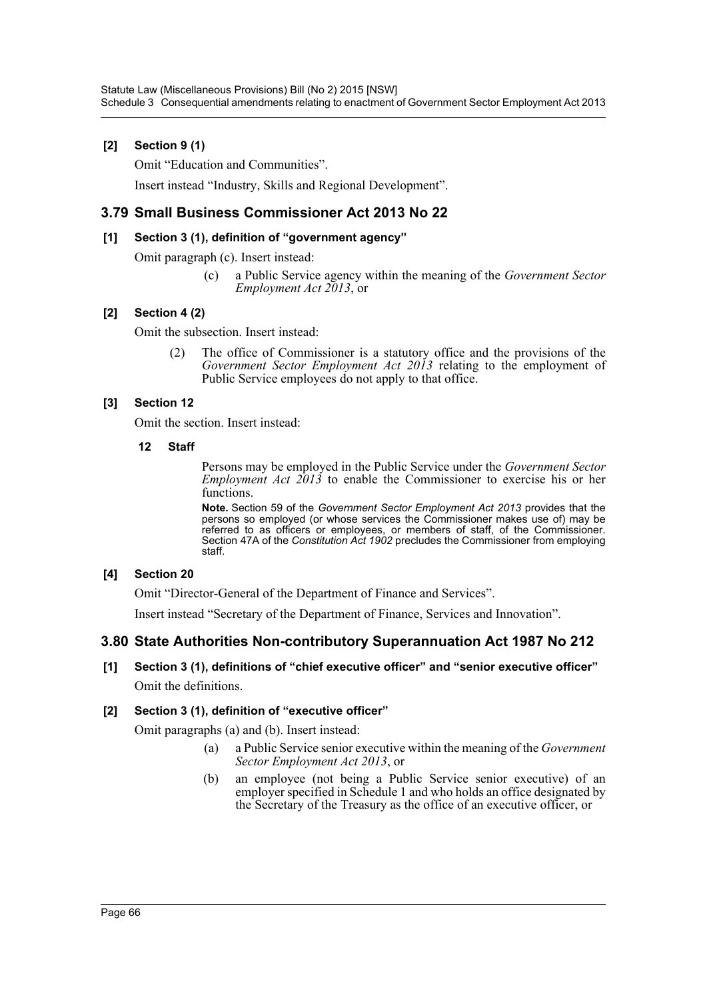## **[2] Section 9 (1)**

Omit "Education and Communities".

Insert instead "Industry, Skills and Regional Development".

# **3.79 Small Business Commissioner Act 2013 No 22**

### **[1] Section 3 (1), definition of "government agency"**

Omit paragraph (c). Insert instead:

(c) a Public Service agency within the meaning of the *Government Sector Employment Act 2013*, or

## **[2] Section 4 (2)**

Omit the subsection. Insert instead:

(2) The office of Commissioner is a statutory office and the provisions of the *Government Sector Employment Act 2013* relating to the employment of Public Service employees do not apply to that office.

## **[3] Section 12**

Omit the section. Insert instead:

### **12 Staff**

Persons may be employed in the Public Service under the *Government Sector Employment Act 2013* to enable the Commissioner to exercise his or her functions.

**Note.** Section 59 of the *Government Sector Employment Act 2013* provides that the persons so employed (or whose services the Commissioner makes use of) may be referred to as officers or employees, or members of staff, of the Commissioner. Section 47A of the *Constitution Act 1902* precludes the Commissioner from employing staff.

### **[4] Section 20**

Omit "Director-General of the Department of Finance and Services".

Insert instead "Secretary of the Department of Finance, Services and Innovation".

# **3.80 State Authorities Non-contributory Superannuation Act 1987 No 212**

# **[1] Section 3 (1), definitions of "chief executive officer" and "senior executive officer"** Omit the definitions.

### **[2] Section 3 (1), definition of "executive officer"**

Omit paragraphs (a) and (b). Insert instead:

- (a) a Public Service senior executive within the meaning of the *Government Sector Employment Act 2013*, or
- (b) an employee (not being a Public Service senior executive) of an employer specified in Schedule 1 and who holds an office designated by the Secretary of the Treasury as the office of an executive officer, or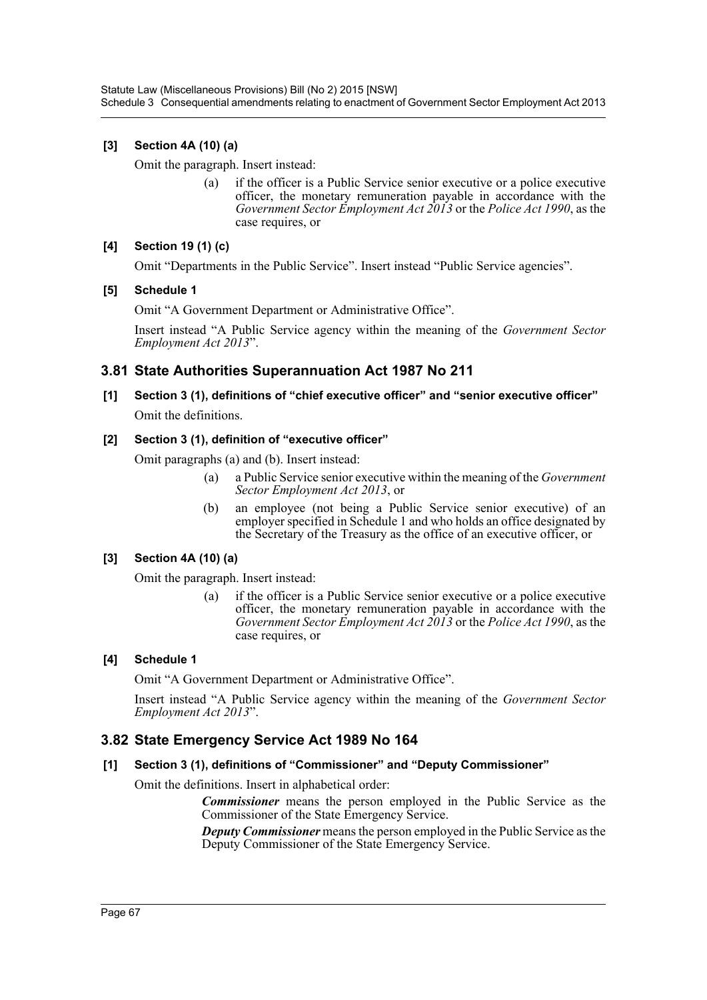# **[3] Section 4A (10) (a)**

Omit the paragraph. Insert instead:

(a) if the officer is a Public Service senior executive or a police executive officer, the monetary remuneration payable in accordance with the *Government Sector Employment Act 2013* or the *Police Act 1990*, as the case requires, or

## **[4] Section 19 (1) (c)**

Omit "Departments in the Public Service". Insert instead "Public Service agencies".

### **[5] Schedule 1**

Omit "A Government Department or Administrative Office".

Insert instead "A Public Service agency within the meaning of the *Government Sector Employment Act 2013*".

# **3.81 State Authorities Superannuation Act 1987 No 211**

**[1] Section 3 (1), definitions of "chief executive officer" and "senior executive officer"** Omit the definitions.

### **[2] Section 3 (1), definition of "executive officer"**

Omit paragraphs (a) and (b). Insert instead:

- (a) a Public Service senior executive within the meaning of the *Government Sector Employment Act 2013*, or
- (b) an employee (not being a Public Service senior executive) of an employer specified in Schedule 1 and who holds an office designated by the Secretary of the Treasury as the office of an executive officer, or

## **[3] Section 4A (10) (a)**

Omit the paragraph. Insert instead:

(a) if the officer is a Public Service senior executive or a police executive officer, the monetary remuneration payable in accordance with the *Government Sector Employment Act 2013* or the *Police Act 1990*, as the case requires, or

## **[4] Schedule 1**

Omit "A Government Department or Administrative Office".

Insert instead "A Public Service agency within the meaning of the *Government Sector Employment Act 2013*".

# **3.82 State Emergency Service Act 1989 No 164**

## **[1] Section 3 (1), definitions of "Commissioner" and "Deputy Commissioner"**

Omit the definitions. Insert in alphabetical order:

*Commissioner* means the person employed in the Public Service as the Commissioner of the State Emergency Service.

*Deputy Commissioner* means the person employed in the Public Service as the Deputy Commissioner of the State Emergency Service.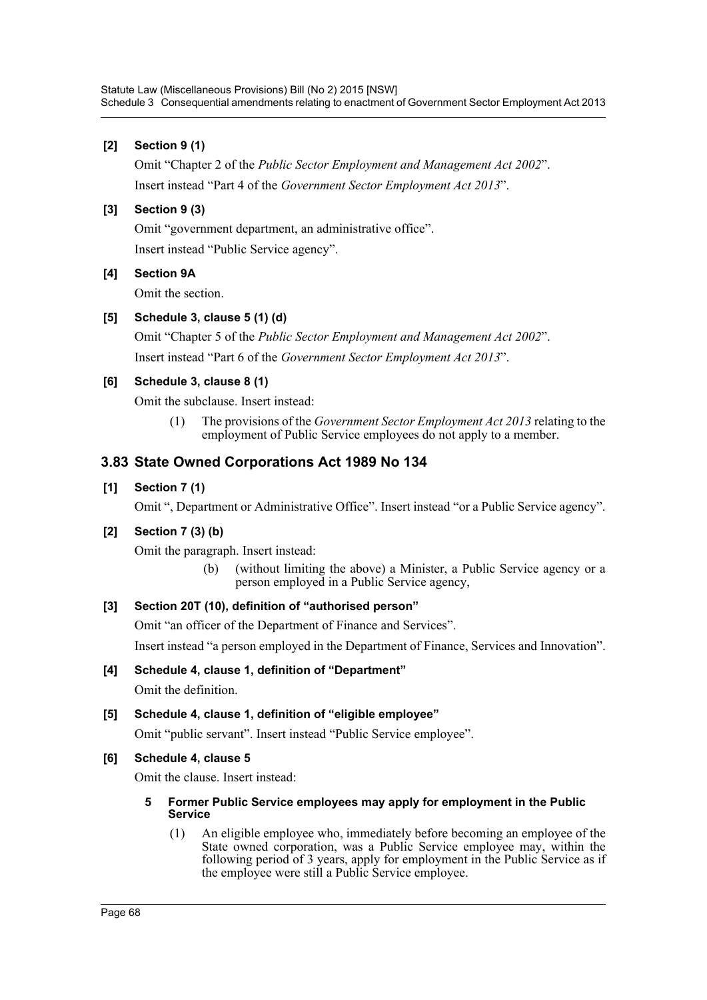## **[2] Section 9 (1)**

Omit "Chapter 2 of the *Public Sector Employment and Management Act 2002*". Insert instead "Part 4 of the *Government Sector Employment Act 2013*".

### **[3] Section 9 (3)**

Omit "government department, an administrative office".

Insert instead "Public Service agency".

### **[4] Section 9A**

Omit the section.

## **[5] Schedule 3, clause 5 (1) (d)**

Omit "Chapter 5 of the *Public Sector Employment and Management Act 2002*". Insert instead "Part 6 of the *Government Sector Employment Act 2013*".

### **[6] Schedule 3, clause 8 (1)**

Omit the subclause. Insert instead:

(1) The provisions of the *Government Sector Employment Act 2013* relating to the employment of Public Service employees do not apply to a member.

# **3.83 State Owned Corporations Act 1989 No 134**

### **[1] Section 7 (1)**

Omit ", Department or Administrative Office". Insert instead "or a Public Service agency".

## **[2] Section 7 (3) (b)**

Omit the paragraph. Insert instead:

(b) (without limiting the above) a Minister, a Public Service agency or a person employed in a Public Service agency,

## **[3] Section 20T (10), definition of "authorised person"**

Omit "an officer of the Department of Finance and Services".

Insert instead "a person employed in the Department of Finance, Services and Innovation".

## **[4] Schedule 4, clause 1, definition of "Department"**

Omit the definition.

## **[5] Schedule 4, clause 1, definition of "eligible employee"**

Omit "public servant". Insert instead "Public Service employee".

## **[6] Schedule 4, clause 5**

Omit the clause. Insert instead:

### **5 Former Public Service employees may apply for employment in the Public Service**

(1) An eligible employee who, immediately before becoming an employee of the State owned corporation, was a Public Service employee may, within the following period of 3 years, apply for employment in the Public Service as if the employee were still a Public Service employee.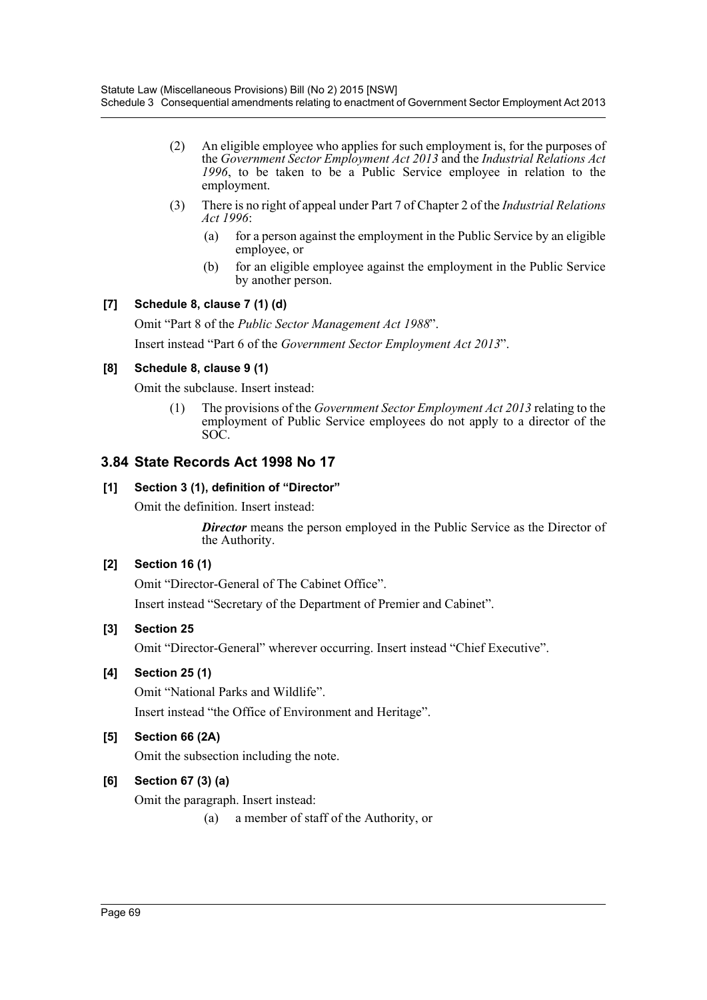- (2) An eligible employee who applies for such employment is, for the purposes of the *Government Sector Employment Act 2013* and the *Industrial Relations Act 1996*, to be taken to be a Public Service employee in relation to the employment.
- (3) There is no right of appeal under Part 7 of Chapter 2 of the *Industrial Relations Act 1996*:
	- (a) for a person against the employment in the Public Service by an eligible employee, or
	- (b) for an eligible employee against the employment in the Public Service by another person.

# **[7] Schedule 8, clause 7 (1) (d)**

Omit "Part 8 of the *Public Sector Management Act 1988*". Insert instead "Part 6 of the *Government Sector Employment Act 2013*".

# **[8] Schedule 8, clause 9 (1)**

Omit the subclause. Insert instead:

(1) The provisions of the *Government Sector Employment Act 2013* relating to the employment of Public Service employees do not apply to a director of the SOC.

# **3.84 State Records Act 1998 No 17**

# **[1] Section 3 (1), definition of "Director"**

Omit the definition. Insert instead:

**Director** means the person employed in the Public Service as the Director of the Authority.

# **[2] Section 16 (1)**

Omit "Director-General of The Cabinet Office".

Insert instead "Secretary of the Department of Premier and Cabinet".

## **[3] Section 25**

Omit "Director-General" wherever occurring. Insert instead "Chief Executive".

## **[4] Section 25 (1)**

Omit "National Parks and Wildlife".

Insert instead "the Office of Environment and Heritage".

# **[5] Section 66 (2A)**

Omit the subsection including the note.

# **[6] Section 67 (3) (a)**

Omit the paragraph. Insert instead:

(a) a member of staff of the Authority, or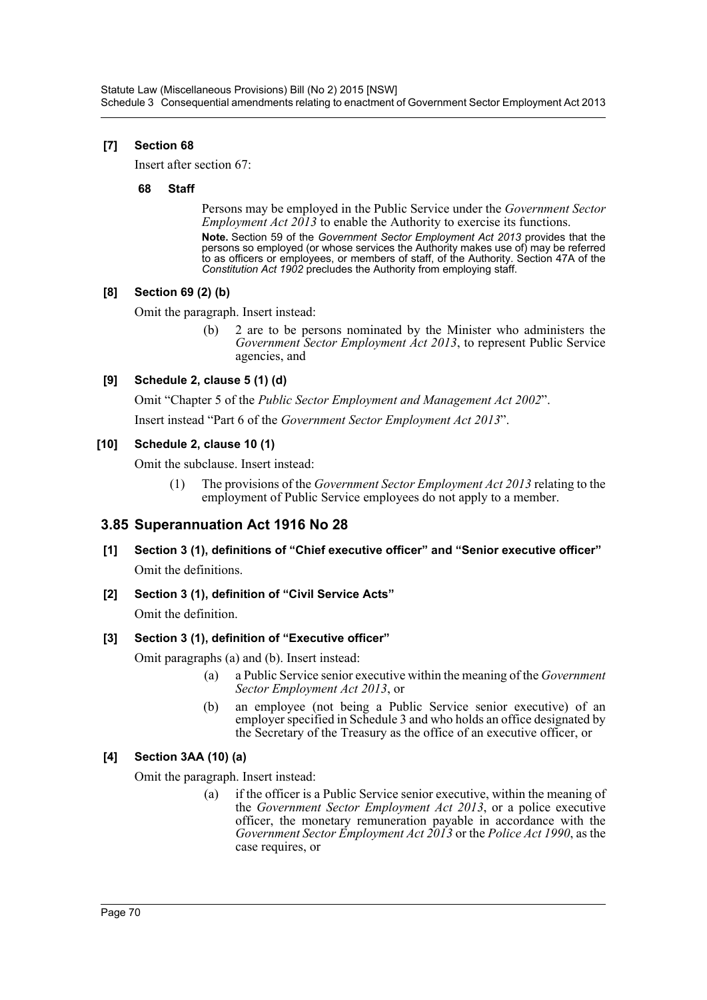## **[7] Section 68**

Insert after section 67:

### **68 Staff**

Persons may be employed in the Public Service under the *Government Sector Employment Act 2013* to enable the Authority to exercise its functions.

**Note.** Section 59 of the *Government Sector Employment Act 2013* provides that the persons so employed (or whose services the Authority makes use of) may be referred to as officers or employees, or members of staff, of the Authority. Section 47A of the *Constitution Act 1902* precludes the Authority from employing staff.

## **[8] Section 69 (2) (b)**

Omit the paragraph. Insert instead:

(b) 2 are to be persons nominated by the Minister who administers the *Government Sector Employment Act 2013*, to represent Public Service agencies, and

# **[9] Schedule 2, clause 5 (1) (d)**

Omit "Chapter 5 of the *Public Sector Employment and Management Act 2002*".

Insert instead "Part 6 of the *Government Sector Employment Act 2013*".

## **[10] Schedule 2, clause 10 (1)**

Omit the subclause. Insert instead:

(1) The provisions of the *Government Sector Employment Act 2013* relating to the employment of Public Service employees do not apply to a member.

# **3.85 Superannuation Act 1916 No 28**

- **[1] Section 3 (1), definitions of "Chief executive officer" and "Senior executive officer"** Omit the definitions.
- **[2] Section 3 (1), definition of "Civil Service Acts"**

Omit the definition.

## **[3] Section 3 (1), definition of "Executive officer"**

Omit paragraphs (a) and (b). Insert instead:

- (a) a Public Service senior executive within the meaning of the *Government Sector Employment Act 2013*, or
- (b) an employee (not being a Public Service senior executive) of an employer specified in Schedule 3 and who holds an office designated by the Secretary of the Treasury as the office of an executive officer, or

# **[4] Section 3AA (10) (a)**

Omit the paragraph. Insert instead:

(a) if the officer is a Public Service senior executive, within the meaning of the *Government Sector Employment Act 2013*, or a police executive officer, the monetary remuneration payable in accordance with the *Government Sector Employment Act 2013* or the *Police Act 1990*, as the case requires, or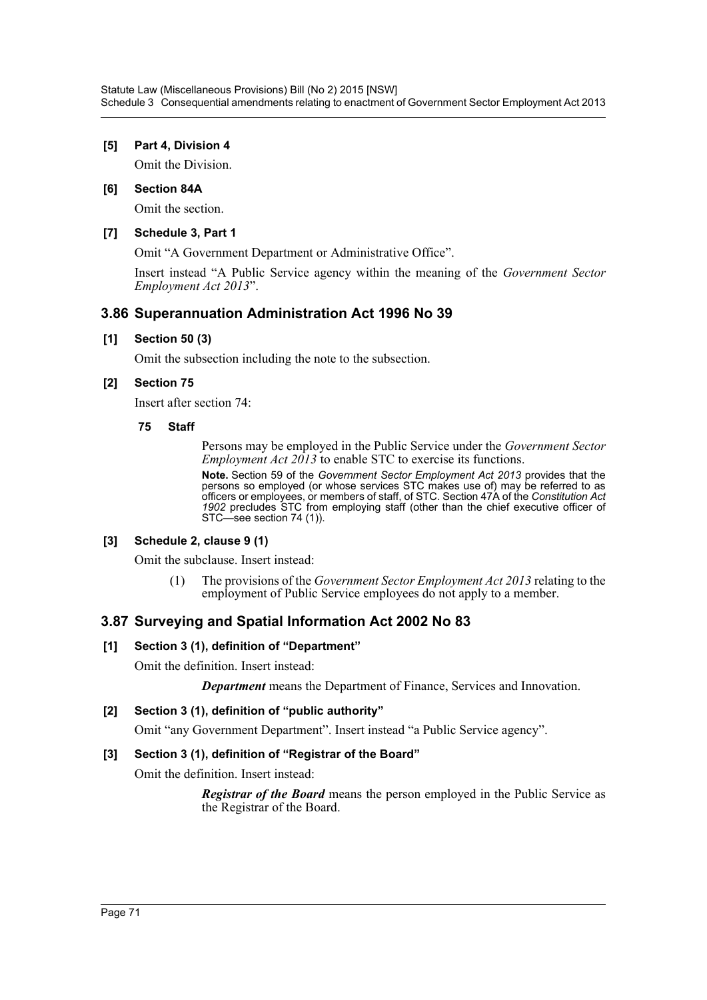### **[5] Part 4, Division 4**

Omit the Division.

### **[6] Section 84A**

Omit the section.

### **[7] Schedule 3, Part 1**

Omit "A Government Department or Administrative Office".

Insert instead "A Public Service agency within the meaning of the *Government Sector Employment Act 2013*".

# **3.86 Superannuation Administration Act 1996 No 39**

### **[1] Section 50 (3)**

Omit the subsection including the note to the subsection.

### **[2] Section 75**

Insert after section 74:

### **75 Staff**

Persons may be employed in the Public Service under the *Government Sector Employment Act 2013* to enable STC to exercise its functions.

**Note.** Section 59 of the *Government Sector Employment Act 2013* provides that the persons so employed (or whose services STC makes use of) may be referred to as officers or employees, or members of staff, of STC. Section 47A of the *Constitution Act 1902* precludes STC from employing staff (other than the chief executive officer of STC—see section 74 (1)).

### **[3] Schedule 2, clause 9 (1)**

Omit the subclause. Insert instead:

(1) The provisions of the *Government Sector Employment Act 2013* relating to the employment of Public Service employees do not apply to a member.

## **3.87 Surveying and Spatial Information Act 2002 No 83**

### **[1] Section 3 (1), definition of "Department"**

Omit the definition. Insert instead:

*Department* means the Department of Finance, Services and Innovation.

### **[2] Section 3 (1), definition of "public authority"**

Omit "any Government Department". Insert instead "a Public Service agency".

# **[3] Section 3 (1), definition of "Registrar of the Board"**

Omit the definition. Insert instead:

*Registrar of the Board* means the person employed in the Public Service as the Registrar of the Board.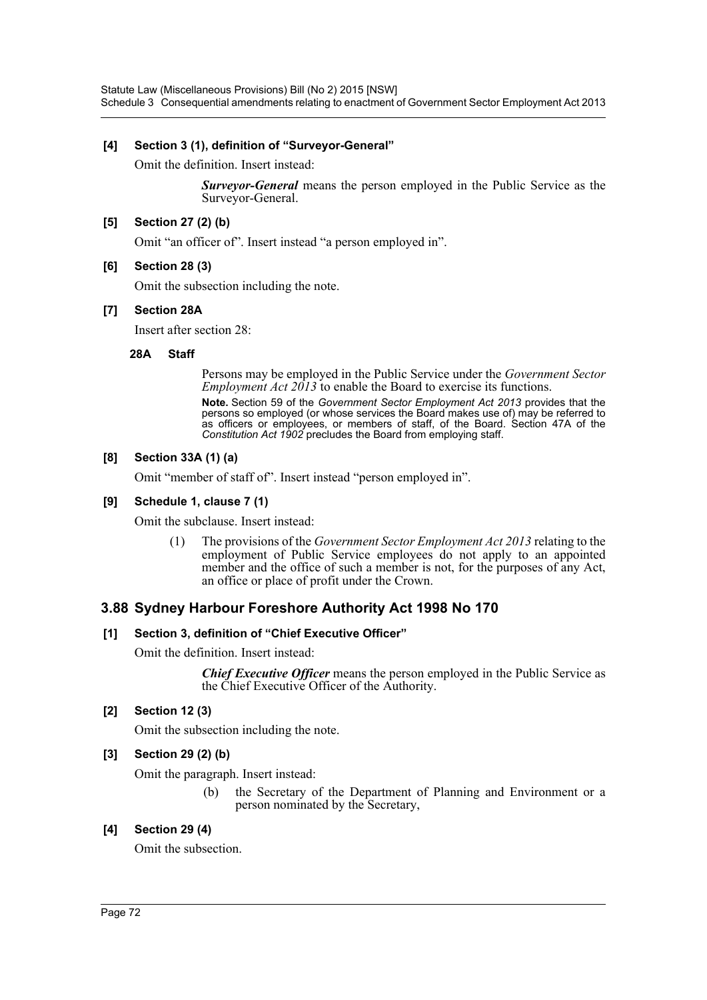#### **[4] Section 3 (1), definition of "Surveyor-General"**

Omit the definition. Insert instead:

*Surveyor-General* means the person employed in the Public Service as the Surveyor-General.

## **[5] Section 27 (2) (b)**

Omit "an officer of". Insert instead "a person employed in".

#### **[6] Section 28 (3)**

Omit the subsection including the note.

#### **[7] Section 28A**

Insert after section 28:

#### **28A Staff**

Persons may be employed in the Public Service under the *Government Sector Employment Act 2013* to enable the Board to exercise its functions.

**Note.** Section 59 of the *Government Sector Employment Act 2013* provides that the persons so employed (or whose services the Board makes use of) may be referred to as officers or employees, or members of staff, of the Board. Section 47A of the *Constitution Act 1902* precludes the Board from employing staff.

#### **[8] Section 33A (1) (a)**

Omit "member of staff of". Insert instead "person employed in".

#### **[9] Schedule 1, clause 7 (1)**

Omit the subclause. Insert instead:

(1) The provisions of the *Government Sector Employment Act 2013* relating to the employment of Public Service employees do not apply to an appointed member and the office of such a member is not, for the purposes of any Act, an office or place of profit under the Crown.

## **3.88 Sydney Harbour Foreshore Authority Act 1998 No 170**

#### **[1] Section 3, definition of "Chief Executive Officer"**

Omit the definition. Insert instead:

*Chief Executive Officer* means the person employed in the Public Service as the Chief Executive Officer of the Authority.

## **[2] Section 12 (3)**

Omit the subsection including the note.

## **[3] Section 29 (2) (b)**

Omit the paragraph. Insert instead:

(b) the Secretary of the Department of Planning and Environment or a person nominated by the Secretary,

#### **[4] Section 29 (4)**

Omit the subsection.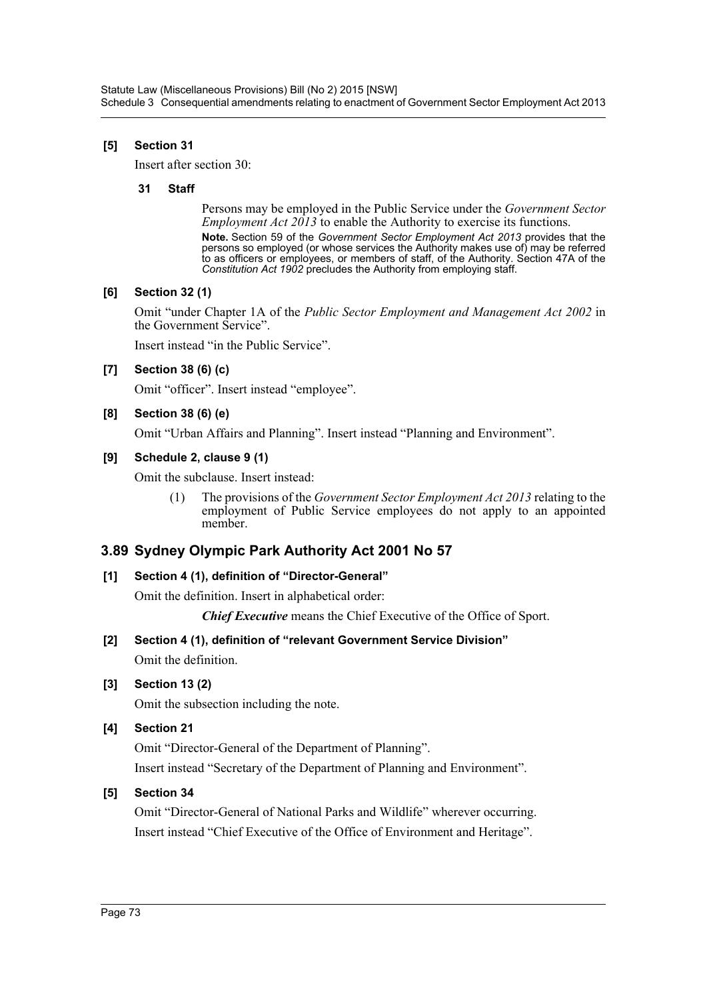## **[5] Section 31**

Insert after section 30:

#### **31 Staff**

Persons may be employed in the Public Service under the *Government Sector Employment Act 2013* to enable the Authority to exercise its functions.

**Note.** Section 59 of the *Government Sector Employment Act 2013* provides that the persons so employed (or whose services the Authority makes use of) may be referred to as officers or employees, or members of staff, of the Authority. Section 47A of the *Constitution Act 1902* precludes the Authority from employing staff.

## **[6] Section 32 (1)**

Omit "under Chapter 1A of the *Public Sector Employment and Management Act 2002* in the Government Service".

Insert instead "in the Public Service".

## **[7] Section 38 (6) (c)**

Omit "officer". Insert instead "employee".

## **[8] Section 38 (6) (e)**

Omit "Urban Affairs and Planning". Insert instead "Planning and Environment".

## **[9] Schedule 2, clause 9 (1)**

Omit the subclause. Insert instead:

(1) The provisions of the *Government Sector Employment Act 2013* relating to the employment of Public Service employees do not apply to an appointed member.

# **3.89 Sydney Olympic Park Authority Act 2001 No 57**

## **[1] Section 4 (1), definition of "Director-General"**

Omit the definition. Insert in alphabetical order:

*Chief Executive* means the Chief Executive of the Office of Sport.

# **[2] Section 4 (1), definition of "relevant Government Service Division"**

Omit the definition.

## **[3] Section 13 (2)**

Omit the subsection including the note.

## **[4] Section 21**

Omit "Director-General of the Department of Planning".

Insert instead "Secretary of the Department of Planning and Environment".

## **[5] Section 34**

Omit "Director-General of National Parks and Wildlife" wherever occurring. Insert instead "Chief Executive of the Office of Environment and Heritage".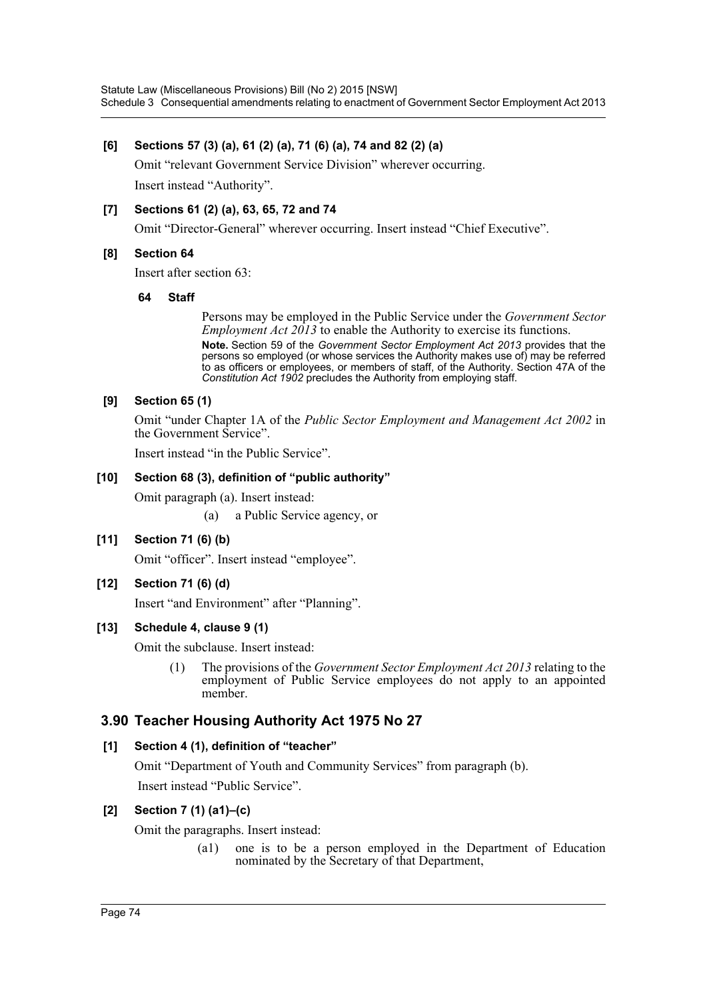## **[6] Sections 57 (3) (a), 61 (2) (a), 71 (6) (a), 74 and 82 (2) (a)**

Omit "relevant Government Service Division" wherever occurring. Insert instead "Authority".

## **[7] Sections 61 (2) (a), 63, 65, 72 and 74**

Omit "Director-General" wherever occurring. Insert instead "Chief Executive".

## **[8] Section 64**

Insert after section 63:

#### **64 Staff**

Persons may be employed in the Public Service under the *Government Sector Employment Act 2013* to enable the Authority to exercise its functions.

**Note.** Section 59 of the *Government Sector Employment Act 2013* provides that the persons so employed (or whose services the Authority makes use of) may be referred to as officers or employees, or members of staff, of the Authority. Section 47A of the *Constitution Act 1902* precludes the Authority from employing staff.

## **[9] Section 65 (1)**

Omit "under Chapter 1A of the *Public Sector Employment and Management Act 2002* in the Government Service".

Insert instead "in the Public Service".

## **[10] Section 68 (3), definition of "public authority"**

Omit paragraph (a). Insert instead:

(a) a Public Service agency, or

## **[11] Section 71 (6) (b)**

Omit "officer". Insert instead "employee".

## **[12] Section 71 (6) (d)**

Insert "and Environment" after "Planning".

## **[13] Schedule 4, clause 9 (1)**

Omit the subclause. Insert instead:

(1) The provisions of the *Government Sector Employment Act 2013* relating to the employment of Public Service employees do not apply to an appointed member.

# **3.90 Teacher Housing Authority Act 1975 No 27**

## **[1] Section 4 (1), definition of "teacher"**

Omit "Department of Youth and Community Services" from paragraph (b). Insert instead "Public Service".

## **[2] Section 7 (1) (a1)–(c)**

Omit the paragraphs. Insert instead:

(a1) one is to be a person employed in the Department of Education nominated by the Secretary of that Department,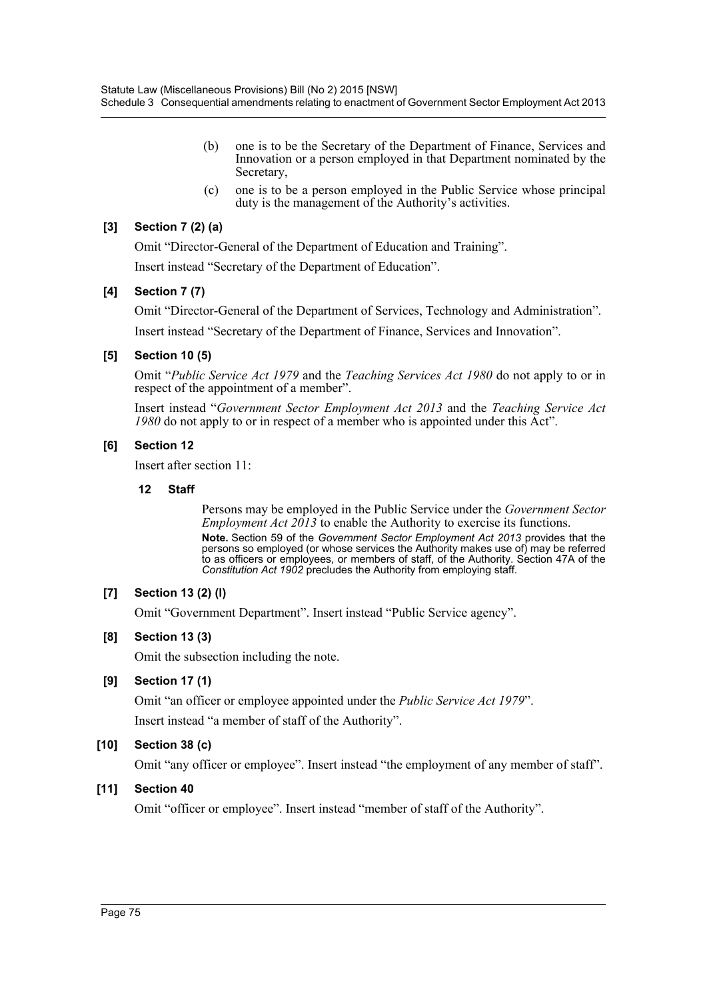- (b) one is to be the Secretary of the Department of Finance, Services and Innovation or a person employed in that Department nominated by the Secretary,
- (c) one is to be a person employed in the Public Service whose principal duty is the management of the Authority's activities.

## **[3] Section 7 (2) (a)**

Omit "Director-General of the Department of Education and Training".

Insert instead "Secretary of the Department of Education".

#### **[4] Section 7 (7)**

Omit "Director-General of the Department of Services, Technology and Administration".

Insert instead "Secretary of the Department of Finance, Services and Innovation".

#### **[5] Section 10 (5)**

Omit "*Public Service Act 1979* and the *Teaching Services Act 1980* do not apply to or in respect of the appointment of a member".

Insert instead "*Government Sector Employment Act 2013* and the *Teaching Service Act 1980* do not apply to or in respect of a member who is appointed under this Act".

#### **[6] Section 12**

Insert after section 11:

#### **12 Staff**

Persons may be employed in the Public Service under the *Government Sector Employment Act 2013* to enable the Authority to exercise its functions.

**Note.** Section 59 of the *Government Sector Employment Act 2013* provides that the persons so employed (or whose services the Authority makes use of) may be referred to as officers or employees, or members of staff, of the Authority. Section 47A of the *Constitution Act 1902* precludes the Authority from employing staff.

## **[7] Section 13 (2) (l)**

Omit "Government Department". Insert instead "Public Service agency".

## **[8] Section 13 (3)**

Omit the subsection including the note.

## **[9] Section 17 (1)**

Omit "an officer or employee appointed under the *Public Service Act 1979*". Insert instead "a member of staff of the Authority".

## **[10] Section 38 (c)**

Omit "any officer or employee". Insert instead "the employment of any member of staff".

## **[11] Section 40**

Omit "officer or employee". Insert instead "member of staff of the Authority".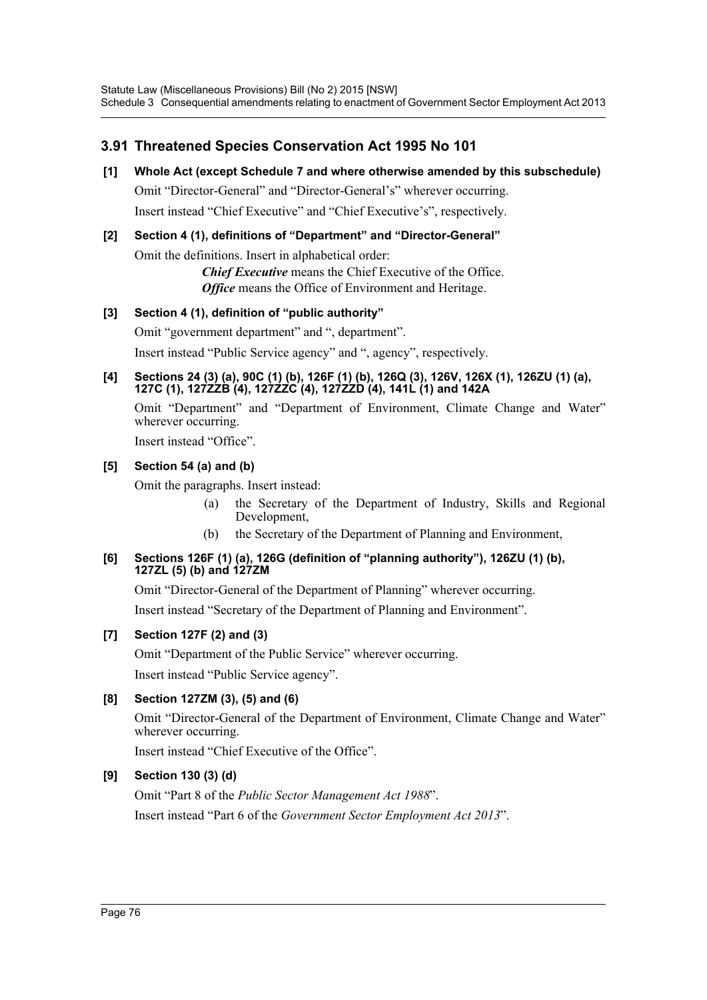# **3.91 Threatened Species Conservation Act 1995 No 101**

**[1] Whole Act (except Schedule 7 and where otherwise amended by this subschedule)** Omit "Director-General" and "Director-General's" wherever occurring. Insert instead "Chief Executive" and "Chief Executive's", respectively.

# **[2] Section 4 (1), definitions of "Department" and "Director-General"**

Omit the definitions. Insert in alphabetical order:

*Chief Executive* means the Chief Executive of the Office. *Office* means the Office of Environment and Heritage.

## **[3] Section 4 (1), definition of "public authority"**

Omit "government department" and ", department".

Insert instead "Public Service agency" and ", agency", respectively.

#### **[4] Sections 24 (3) (a), 90C (1) (b), 126F (1) (b), 126Q (3), 126V, 126X (1), 126ZU (1) (a), 127C (1), 127ZZB (4), 127ZZC (4), 127ZZD (4), 141L (1) and 142A**

Omit "Department" and "Department of Environment, Climate Change and Water" wherever occurring.

Insert instead "Office".

## **[5] Section 54 (a) and (b)**

Omit the paragraphs. Insert instead:

- (a) the Secretary of the Department of Industry, Skills and Regional Development,
- (b) the Secretary of the Department of Planning and Environment,

#### **[6] Sections 126F (1) (a), 126G (definition of "planning authority"), 126ZU (1) (b), 127ZL (5) (b) and 127ZM**

Omit "Director-General of the Department of Planning" wherever occurring. Insert instead "Secretary of the Department of Planning and Environment".

## **[7] Section 127F (2) and (3)**

Omit "Department of the Public Service" wherever occurring. Insert instead "Public Service agency".

## **[8] Section 127ZM (3), (5) and (6)**

Omit "Director-General of the Department of Environment, Climate Change and Water" wherever occurring.

Insert instead "Chief Executive of the Office".

## **[9] Section 130 (3) (d)**

Omit "Part 8 of the *Public Sector Management Act 1988*". Insert instead "Part 6 of the *Government Sector Employment Act 2013*".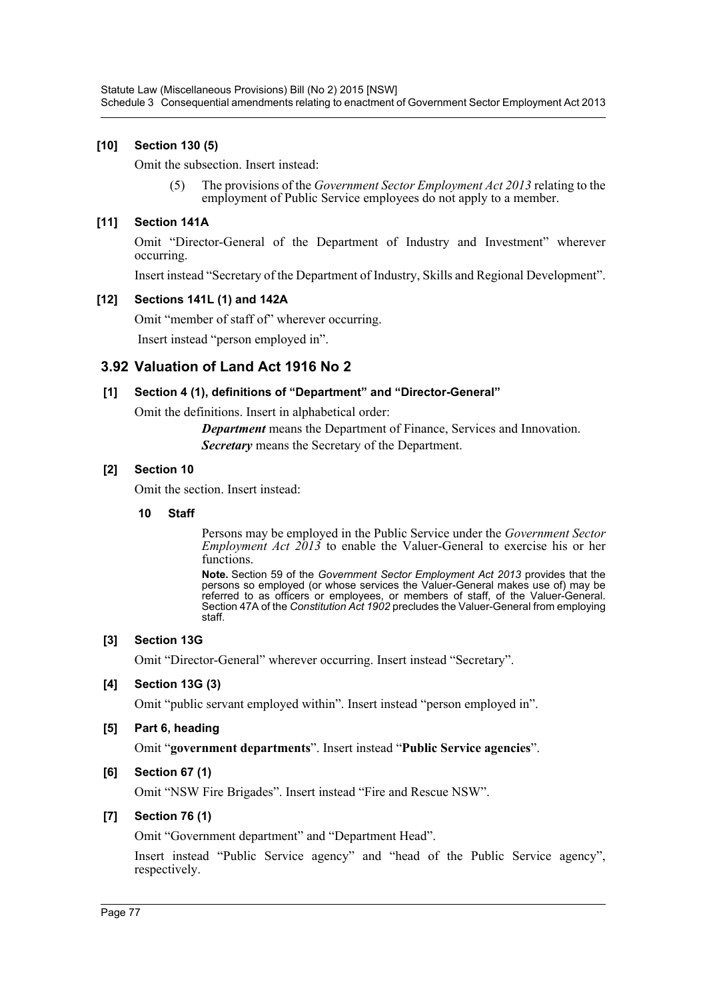## **[10] Section 130 (5)**

Omit the subsection. Insert instead:

(5) The provisions of the *Government Sector Employment Act 2013* relating to the employment of Public Service employees do not apply to a member.

## **[11] Section 141A**

Omit "Director-General of the Department of Industry and Investment" wherever occurring.

Insert instead "Secretary of the Department of Industry, Skills and Regional Development".

## **[12] Sections 141L (1) and 142A**

Omit "member of staff of" wherever occurring.

Insert instead "person employed in".

# **3.92 Valuation of Land Act 1916 No 2**

## **[1] Section 4 (1), definitions of "Department" and "Director-General"**

Omit the definitions. Insert in alphabetical order:

*Department* means the Department of Finance, Services and Innovation. *Secretary* means the Secretary of the Department.

## **[2] Section 10**

Omit the section. Insert instead:

#### **10 Staff**

Persons may be employed in the Public Service under the *Government Sector Employment Act 2013* to enable the Valuer-General to exercise his or her functions.

**Note.** Section 59 of the *Government Sector Employment Act 2013* provides that the persons so employed (or whose services the Valuer-General makes use of) may be referred to as officers or employees, or members of staff, of the Valuer-General. Section 47A of the *Constitution Act 1902* precludes the Valuer-General from employing staff.

## **[3] Section 13G**

Omit "Director-General" wherever occurring. Insert instead "Secretary".

## **[4] Section 13G (3)**

Omit "public servant employed within". Insert instead "person employed in".

## **[5] Part 6, heading**

Omit "**government departments**". Insert instead "**Public Service agencies**".

## **[6] Section 67 (1)**

Omit "NSW Fire Brigades". Insert instead "Fire and Rescue NSW".

## **[7] Section 76 (1)**

Omit "Government department" and "Department Head".

Insert instead "Public Service agency" and "head of the Public Service agency", respectively.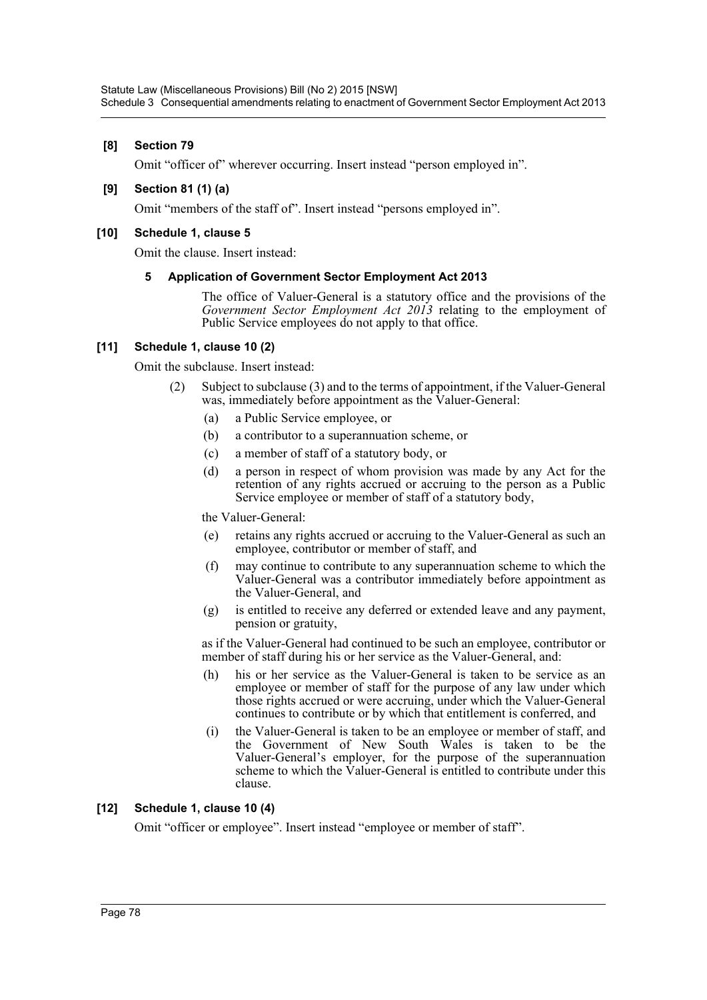## **[8] Section 79**

Omit "officer of" wherever occurring. Insert instead "person employed in".

#### **[9] Section 81 (1) (a)**

Omit "members of the staff of". Insert instead "persons employed in".

#### **[10] Schedule 1, clause 5**

Omit the clause. Insert instead:

#### **5 Application of Government Sector Employment Act 2013**

The office of Valuer-General is a statutory office and the provisions of the *Government Sector Employment Act 2013* relating to the employment of Public Service employees do not apply to that office.

#### **[11] Schedule 1, clause 10 (2)**

Omit the subclause. Insert instead:

- (2) Subject to subclause (3) and to the terms of appointment, if the Valuer-General was, immediately before appointment as the Valuer-General:
	- (a) a Public Service employee, or
	- (b) a contributor to a superannuation scheme, or
	- (c) a member of staff of a statutory body, or
	- (d) a person in respect of whom provision was made by any Act for the retention of any rights accrued or accruing to the person as a Public Service employee or member of staff of a statutory body,

the Valuer-General:

- (e) retains any rights accrued or accruing to the Valuer-General as such an employee, contributor or member of staff, and
- (f) may continue to contribute to any superannuation scheme to which the Valuer-General was a contributor immediately before appointment as the Valuer-General, and
- (g) is entitled to receive any deferred or extended leave and any payment, pension or gratuity,

as if the Valuer-General had continued to be such an employee, contributor or member of staff during his or her service as the Valuer-General, and:

- (h) his or her service as the Valuer-General is taken to be service as an employee or member of staff for the purpose of any law under which those rights accrued or were accruing, under which the Valuer-General continues to contribute or by which that entitlement is conferred, and
- (i) the Valuer-General is taken to be an employee or member of staff, and the Government of New South Wales is taken to be the Valuer-General's employer, for the purpose of the superannuation scheme to which the Valuer-General is entitled to contribute under this clause.

## **[12] Schedule 1, clause 10 (4)**

Omit "officer or employee". Insert instead "employee or member of staff".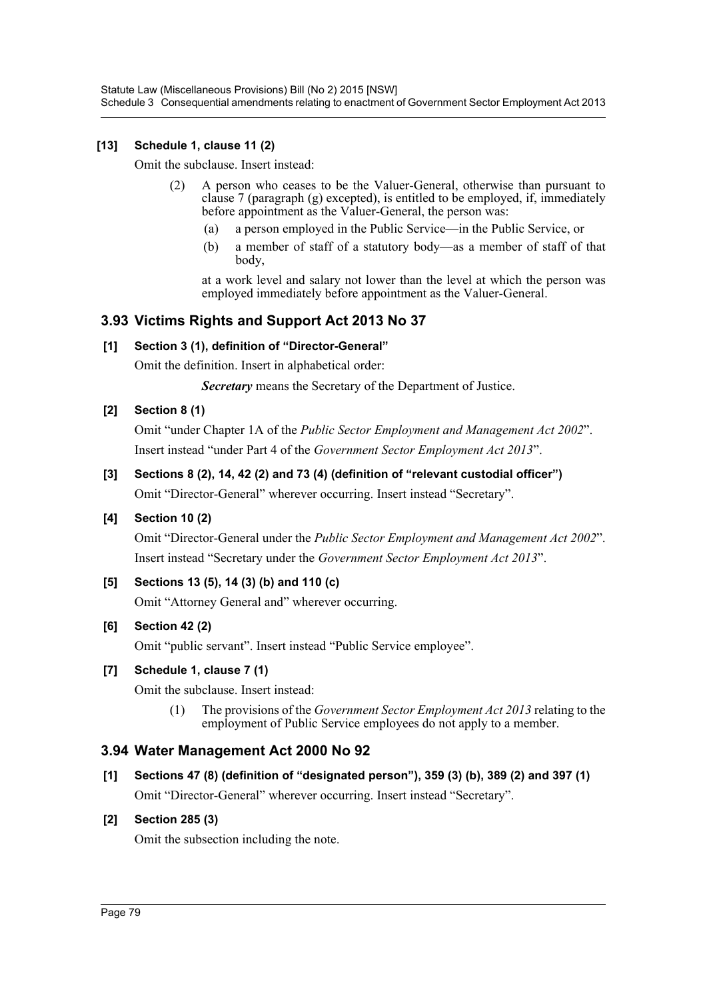## **[13] Schedule 1, clause 11 (2)**

Omit the subclause. Insert instead:

- (2) A person who ceases to be the Valuer-General, otherwise than pursuant to clause 7 (paragraph (g) excepted), is entitled to be employed, if, immediately before appointment as the Valuer-General, the person was:
	- (a) a person employed in the Public Service—in the Public Service, or
	- (b) a member of staff of a statutory body—as a member of staff of that body,

at a work level and salary not lower than the level at which the person was employed immediately before appointment as the Valuer-General.

## **3.93 Victims Rights and Support Act 2013 No 37**

## **[1] Section 3 (1), definition of "Director-General"**

Omit the definition. Insert in alphabetical order:

*Secretary* means the Secretary of the Department of Justice.

## **[2] Section 8 (1)**

Omit "under Chapter 1A of the *Public Sector Employment and Management Act 2002*". Insert instead "under Part 4 of the *Government Sector Employment Act 2013*".

## **[3] Sections 8 (2), 14, 42 (2) and 73 (4) (definition of "relevant custodial officer")**

Omit "Director-General" wherever occurring. Insert instead "Secretary".

## **[4] Section 10 (2)**

Omit "Director-General under the *Public Sector Employment and Management Act 2002*". Insert instead "Secretary under the *Government Sector Employment Act 2013*".

## **[5] Sections 13 (5), 14 (3) (b) and 110 (c)**

Omit "Attorney General and" wherever occurring.

## **[6] Section 42 (2)**

Omit "public servant". Insert instead "Public Service employee".

## **[7] Schedule 1, clause 7 (1)**

Omit the subclause. Insert instead:

(1) The provisions of the *Government Sector Employment Act 2013* relating to the employment of Public Service employees do not apply to a member.

## **3.94 Water Management Act 2000 No 92**

**[1] Sections 47 (8) (definition of "designated person"), 359 (3) (b), 389 (2) and 397 (1)** Omit "Director-General" wherever occurring. Insert instead "Secretary".

## **[2] Section 285 (3)**

Omit the subsection including the note.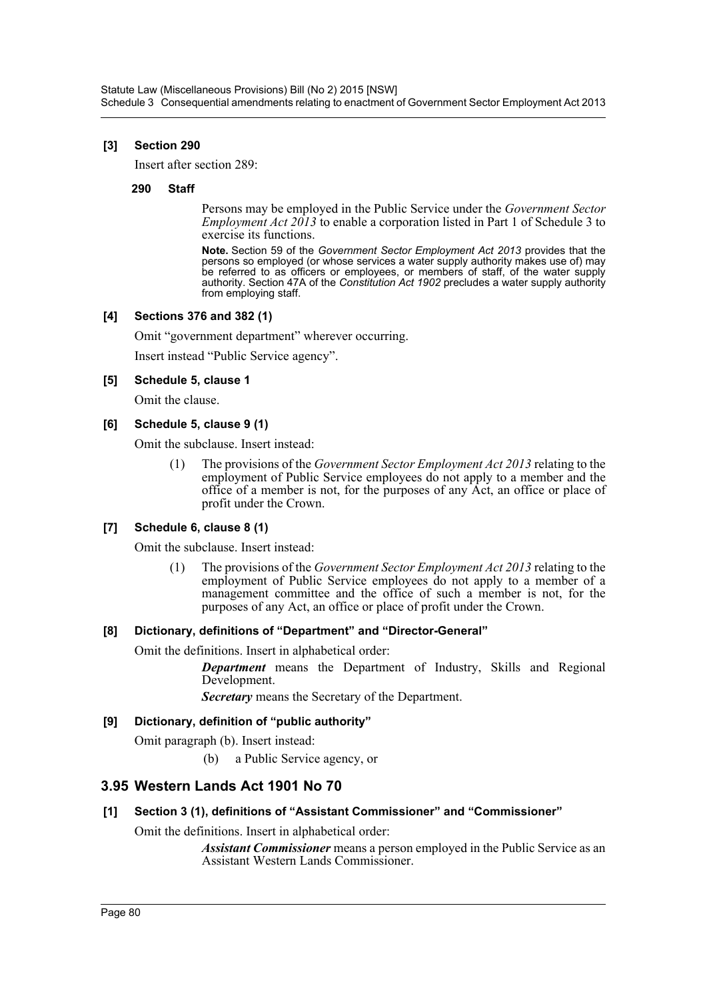#### **[3] Section 290**

Insert after section 289:

#### **290 Staff**

Persons may be employed in the Public Service under the *Government Sector Employment Act 2013* to enable a corporation listed in Part 1 of Schedule 3 to exercise its functions.

**Note.** Section 59 of the *Government Sector Employment Act 2013* provides that the persons so employed (or whose services a water supply authority makes use of) may be referred to as officers or employees, or members of staff, of the water supply authority. Section 47A of the *Constitution Act 1902* precludes a water supply authority from employing staff.

#### **[4] Sections 376 and 382 (1)**

Omit "government department" wherever occurring.

Insert instead "Public Service agency".

#### **[5] Schedule 5, clause 1**

Omit the clause.

#### **[6] Schedule 5, clause 9 (1)**

Omit the subclause. Insert instead:

(1) The provisions of the *Government Sector Employment Act 2013* relating to the employment of Public Service employees do not apply to a member and the office of a member is not, for the purposes of any Act, an office or place of profit under the Crown.

## **[7] Schedule 6, clause 8 (1)**

Omit the subclause. Insert instead:

(1) The provisions of the *Government Sector Employment Act 2013* relating to the employment of Public Service employees do not apply to a member of a management committee and the office of such a member is not, for the purposes of any Act, an office or place of profit under the Crown.

#### **[8] Dictionary, definitions of "Department" and "Director-General"**

Omit the definitions. Insert in alphabetical order:

*Department* means the Department of Industry, Skills and Regional Development.

*Secretary* means the Secretary of the Department.

#### **[9] Dictionary, definition of "public authority"**

Omit paragraph (b). Insert instead:

(b) a Public Service agency, or

## **3.95 Western Lands Act 1901 No 70**

## **[1] Section 3 (1), definitions of "Assistant Commissioner" and "Commissioner"**

Omit the definitions. Insert in alphabetical order:

*Assistant Commissioner* means a person employed in the Public Service as an Assistant Western Lands Commissioner.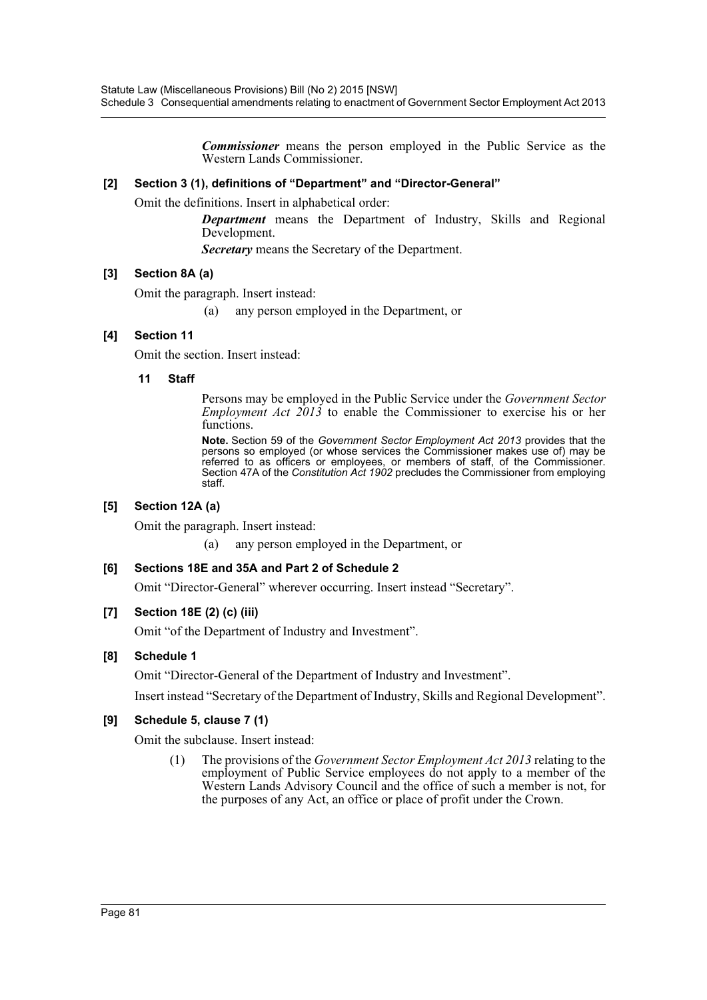*Commissioner* means the person employed in the Public Service as the Western Lands Commissioner.

#### **[2] Section 3 (1), definitions of "Department" and "Director-General"**

Omit the definitions. Insert in alphabetical order:

*Department* means the Department of Industry, Skills and Regional Development.

*Secretary* means the Secretary of the Department.

#### **[3] Section 8A (a)**

Omit the paragraph. Insert instead:

(a) any person employed in the Department, or

#### **[4] Section 11**

Omit the section. Insert instead:

#### **11 Staff**

Persons may be employed in the Public Service under the *Government Sector Employment Act 2013* to enable the Commissioner to exercise his or her functions.

**Note.** Section 59 of the *Government Sector Employment Act 2013* provides that the persons so employed (or whose services the Commissioner makes use of) may be referred to as officers or employees, or members of staff, of the Commissioner. Section 47A of the *Constitution Act 1902* precludes the Commissioner from employing staff.

## **[5] Section 12A (a)**

Omit the paragraph. Insert instead:

(a) any person employed in the Department, or

## **[6] Sections 18E and 35A and Part 2 of Schedule 2**

Omit "Director-General" wherever occurring. Insert instead "Secretary".

## **[7] Section 18E (2) (c) (iii)**

Omit "of the Department of Industry and Investment".

#### **[8] Schedule 1**

Omit "Director-General of the Department of Industry and Investment".

Insert instead "Secretary of the Department of Industry, Skills and Regional Development".

## **[9] Schedule 5, clause 7 (1)**

Omit the subclause. Insert instead:

(1) The provisions of the *Government Sector Employment Act 2013* relating to the employment of Public Service employees do not apply to a member of the Western Lands Advisory Council and the office of such a member is not, for the purposes of any Act, an office or place of profit under the Crown.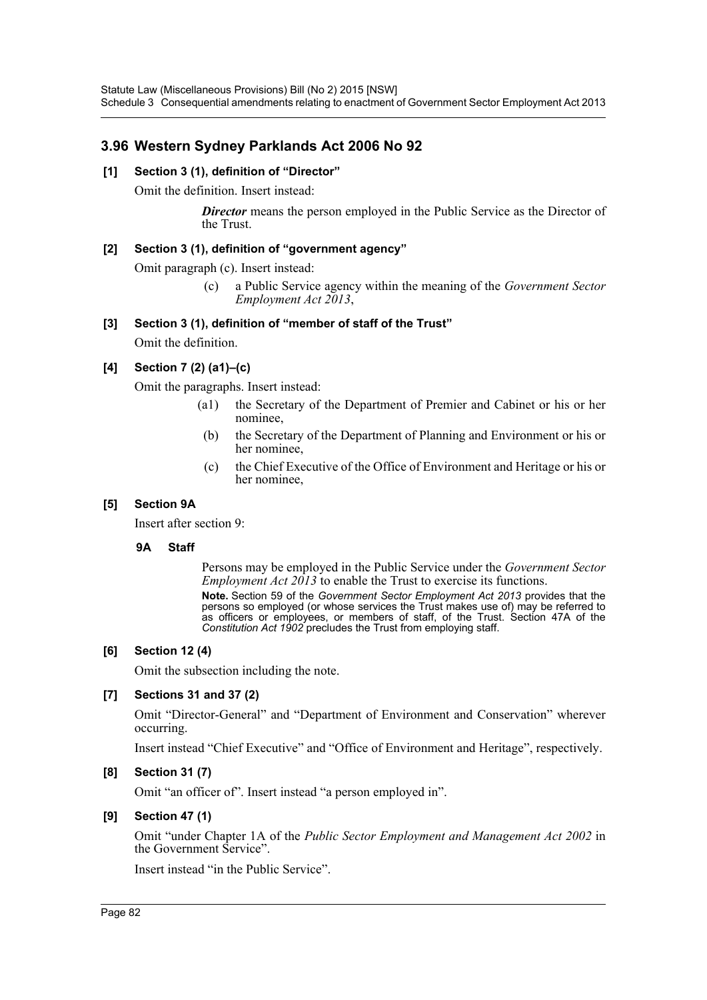# **3.96 Western Sydney Parklands Act 2006 No 92**

#### **[1] Section 3 (1), definition of "Director"**

Omit the definition. Insert instead:

**Director** means the person employed in the Public Service as the Director of the Trust.

#### **[2] Section 3 (1), definition of "government agency"**

Omit paragraph (c). Insert instead:

(c) a Public Service agency within the meaning of the *Government Sector Employment Act 2013*,

## **[3] Section 3 (1), definition of "member of staff of the Trust"**

Omit the definition.

## **[4] Section 7 (2) (a1)–(c)**

Omit the paragraphs. Insert instead:

- (a1) the Secretary of the Department of Premier and Cabinet or his or her nominee,
- (b) the Secretary of the Department of Planning and Environment or his or her nominee,
- (c) the Chief Executive of the Office of Environment and Heritage or his or her nominee,

#### **[5] Section 9A**

Insert after section 9:

#### **9A Staff**

Persons may be employed in the Public Service under the *Government Sector Employment Act 2013* to enable the Trust to exercise its functions.

**Note.** Section 59 of the *Government Sector Employment Act 2013* provides that the persons so employed (or whose services the Trust makes use of) may be referred to as officers or employees, or members of staff, of the Trust. Section 47A of the *Constitution Act 1902* precludes the Trust from employing staff.

#### **[6] Section 12 (4)**

Omit the subsection including the note.

## **[7] Sections 31 and 37 (2)**

Omit "Director-General" and "Department of Environment and Conservation" wherever occurring.

Insert instead "Chief Executive" and "Office of Environment and Heritage", respectively.

#### **[8] Section 31 (7)**

Omit "an officer of". Insert instead "a person employed in".

## **[9] Section 47 (1)**

Omit "under Chapter 1A of the *Public Sector Employment and Management Act 2002* in the Government Service".

Insert instead "in the Public Service".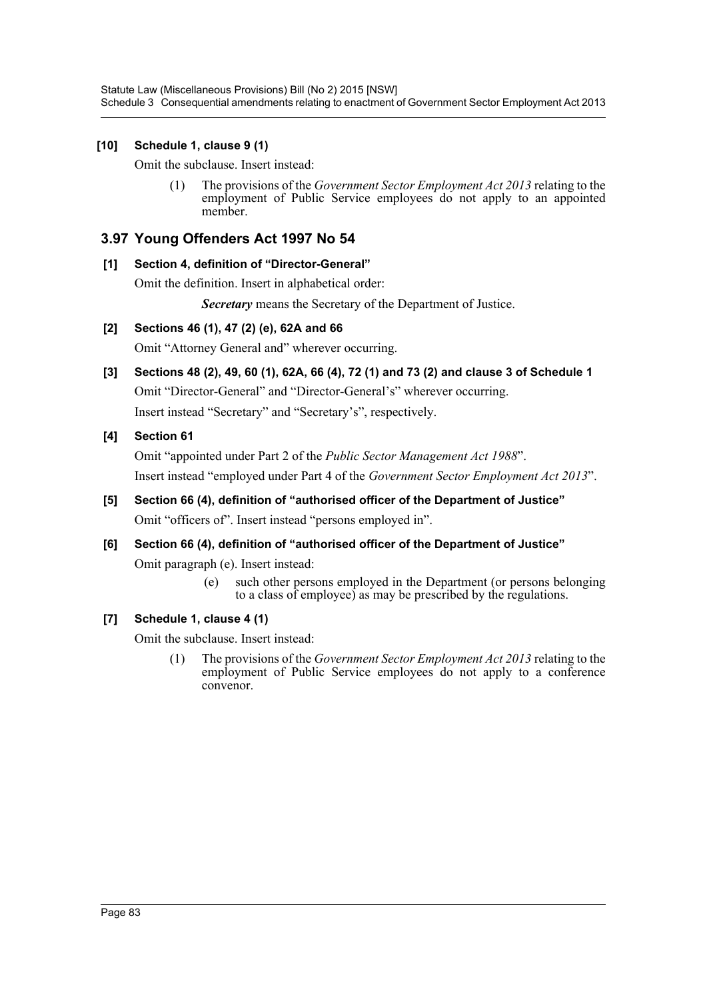Statute Law (Miscellaneous Provisions) Bill (No 2) 2015 [NSW] Schedule 3 Consequential amendments relating to enactment of Government Sector Employment Act 2013

#### **[10] Schedule 1, clause 9 (1)**

Omit the subclause. Insert instead:

(1) The provisions of the *Government Sector Employment Act 2013* relating to the employment of Public Service employees do not apply to an appointed member.

## **3.97 Young Offenders Act 1997 No 54**

#### **[1] Section 4, definition of "Director-General"**

Omit the definition. Insert in alphabetical order:

*Secretary* means the Secretary of the Department of Justice.

#### **[2] Sections 46 (1), 47 (2) (e), 62A and 66**

Omit "Attorney General and" wherever occurring.

**[3] Sections 48 (2), 49, 60 (1), 62A, 66 (4), 72 (1) and 73 (2) and clause 3 of Schedule 1**

Omit "Director-General" and "Director-General's" wherever occurring. Insert instead "Secretary" and "Secretary's", respectively.

**[4] Section 61**

Omit "appointed under Part 2 of the *Public Sector Management Act 1988*". Insert instead "employed under Part 4 of the *Government Sector Employment Act 2013*".

- **[5] Section 66 (4), definition of "authorised officer of the Department of Justice"** Omit "officers of". Insert instead "persons employed in".
- **[6] Section 66 (4), definition of "authorised officer of the Department of Justice"**

Omit paragraph (e). Insert instead:

(e) such other persons employed in the Department (or persons belonging to a class of employee) as may be prescribed by the regulations.

#### **[7] Schedule 1, clause 4 (1)**

Omit the subclause. Insert instead:

(1) The provisions of the *Government Sector Employment Act 2013* relating to the employment of Public Service employees do not apply to a conference convenor.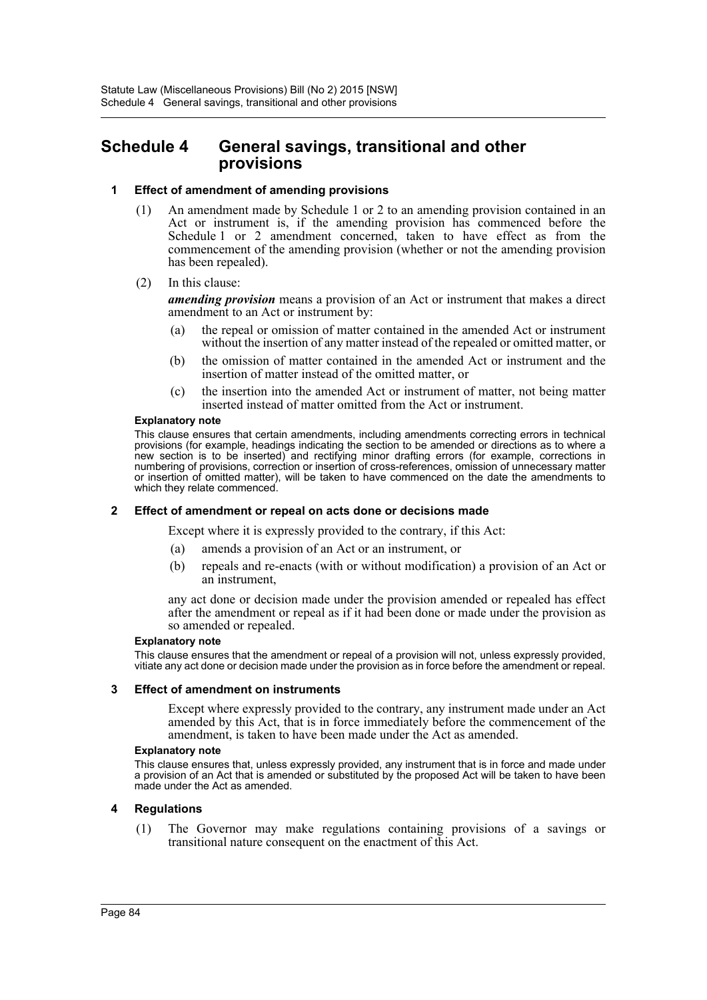# **Schedule 4 General savings, transitional and other provisions**

#### **1 Effect of amendment of amending provisions**

- (1) An amendment made by Schedule 1 or 2 to an amending provision contained in an Act or instrument is, if the amending provision has commenced before the Schedule 1 or 2 amendment concerned, taken to have effect as from the commencement of the amending provision (whether or not the amending provision has been repealed).
- (2) In this clause:

*amending provision* means a provision of an Act or instrument that makes a direct amendment to an Act or instrument by:

- (a) the repeal or omission of matter contained in the amended Act or instrument without the insertion of any matter instead of the repealed or omitted matter, or
- (b) the omission of matter contained in the amended Act or instrument and the insertion of matter instead of the omitted matter, or
- (c) the insertion into the amended Act or instrument of matter, not being matter inserted instead of matter omitted from the Act or instrument.

#### **Explanatory note**

This clause ensures that certain amendments, including amendments correcting errors in technical provisions (for example, headings indicating the section to be amended or directions as to where a new section is to be inserted) and rectifying minor drafting errors (for example, corrections in numbering of provisions, correction or insertion of cross-references, omission of unnecessary matter or insertion of omitted matter), will be taken to have commenced on the date the amendments to which they relate commenced.

#### **2 Effect of amendment or repeal on acts done or decisions made**

Except where it is expressly provided to the contrary, if this Act:

- (a) amends a provision of an Act or an instrument, or
- (b) repeals and re-enacts (with or without modification) a provision of an Act or an instrument,

any act done or decision made under the provision amended or repealed has effect after the amendment or repeal as if it had been done or made under the provision as so amended or repealed.

#### **Explanatory note**

This clause ensures that the amendment or repeal of a provision will not, unless expressly provided, vitiate any act done or decision made under the provision as in force before the amendment or repeal.

#### **3 Effect of amendment on instruments**

Except where expressly provided to the contrary, any instrument made under an Act amended by this Act, that is in force immediately before the commencement of the amendment, is taken to have been made under the Act as amended.

#### **Explanatory note**

This clause ensures that, unless expressly provided, any instrument that is in force and made under a provision of an Act that is amended or substituted by the proposed Act will be taken to have been made under the Act as amended.

#### **4 Regulations**

(1) The Governor may make regulations containing provisions of a savings or transitional nature consequent on the enactment of this Act.